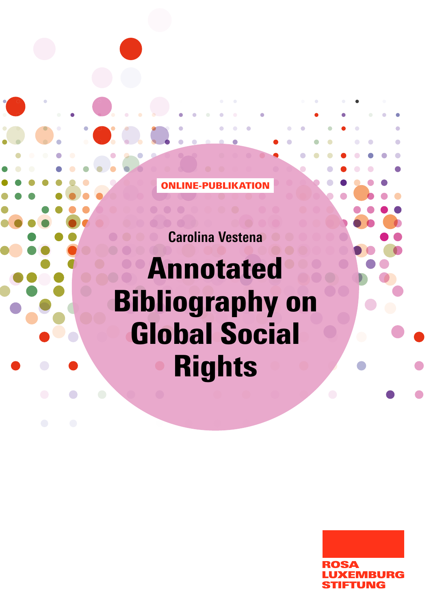Online-Publikation

**Carolina Vestena**  Annotated Bibliography on Global Social **Rights** 

 $\overline{\phantom{0}}$ 

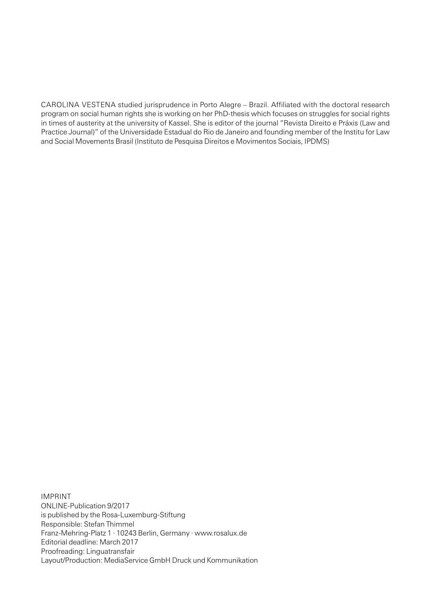CAROLINA VESTENA studied jurisprudence in Porto Alegre – Brazil. Affiliated with the doctoral research program on social human rights she is working on her PhD-thesis which focuses on struggles for social rights in times of austerity at the university of Kassel. She is editor of the journal "Revista Direito e Práxis (Law and Practice Journal)" of the Universidade Estadual do Rio de Janeiro and founding member of the Institu for Law and Social Movements Brasil (Instituto de Pesquisa Direitos e Movimentos Sociais, IPDMS)

**IMPRINT** ONLINE-Publication 9/2017 is published by the Rosa-Luxemburg-Stiftung Responsible: Stefan Thimmel Franz-Mehring-Platz 1 · 10243 Berlin, Germany · www.rosalux.de Editorial deadline: March 2017 Proofreading: Linguatransfair Layout/Production: MediaService GmbH Druck und Kommunikation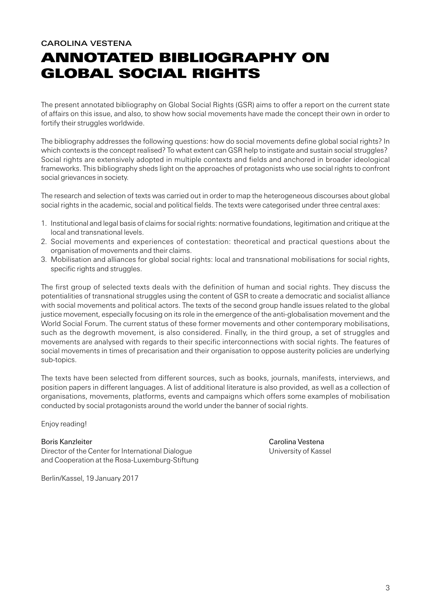# Carolina Vestena

# Annotated Bibliography on Global Social Rights

The present annotated bibliography on Global Social Rights (GSR) aims to offer a report on the current state of affairs on this issue, and also, to show how social movements have made the concept their own in order to fortify their struggles worldwide.

The bibliography addresses the following questions: how do social movements define global social rights? In which contexts is the concept realised? To what extent can GSR help to instigate and sustain social struggles? Social rights are extensively adopted in multiple contexts and fields and anchored in broader ideological frameworks. This bibliography sheds light on the approaches of protagonists who use social rights to confront social grievances in society.

The research and selection of texts was carried out in order to map the heterogeneous discourses about global social rights in the academic, social and political fields. The texts were categorised under three central axes:

- 1. Institutional and legal basis of claims for social rights: normative foundations, legitimation and critique at the local and transnational levels.
- 2. Social movements and experiences of contestation: theoretical and practical questions about the organisation of movements and their claims.
- 3. Mobilisation and alliances for global social rights: local and transnational mobilisations for social rights, specific rights and struggles.

The first group of selected texts deals with the definition of human and social rights. They discuss the potentialities of transnational struggles using the content of GSR to create a democratic and socialist alliance with social movements and political actors. The texts of the second group handle issues related to the global justice movement, especially focusing on its role in the emergence of the anti-globalisation movement and the World Social Forum. The current status of these former movements and other contemporary mobilisations, such as the degrowth movement, is also considered. Finally, in the third group, a set of struggles and movements are analysed with regards to their specific interconnections with social rights. The features of social movements in times of precarisation and their organisation to oppose austerity policies are underlying sub-topics.

The texts have been selected from different sources, such as books, journals, manifests, interviews, and position papers in different languages. A list of additional literature is also provided, as well as a collection of organisations, movements, platforms, events and campaigns which offers some examples of mobilisation conducted by social protagonists around the world under the banner of social rights.

Enjoy reading!

#### Boris Kanzleiter Carolina Vestena

Director of the Center for International Dialogue University of Kassel and Cooperation at the Rosa-Luxemburg-Stiftung

Berlin/Kassel, 19 January 2017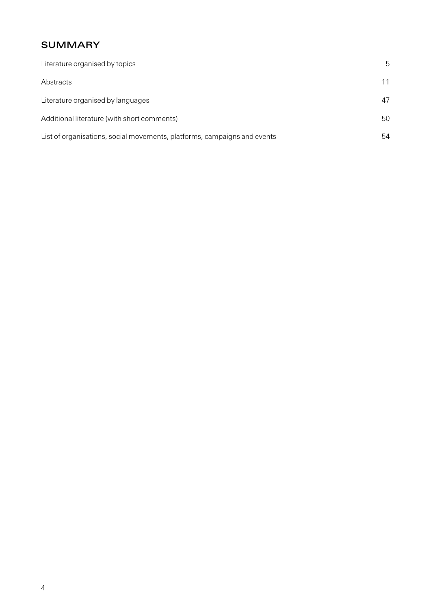# **SUMMARY**

| Literature organised by topics                                           | 5  |
|--------------------------------------------------------------------------|----|
| Abstracts                                                                | 11 |
| Literature organised by languages                                        | 47 |
| Additional literature (with short comments)                              | 50 |
| List of organisations, social movements, platforms, campaigns and events | 54 |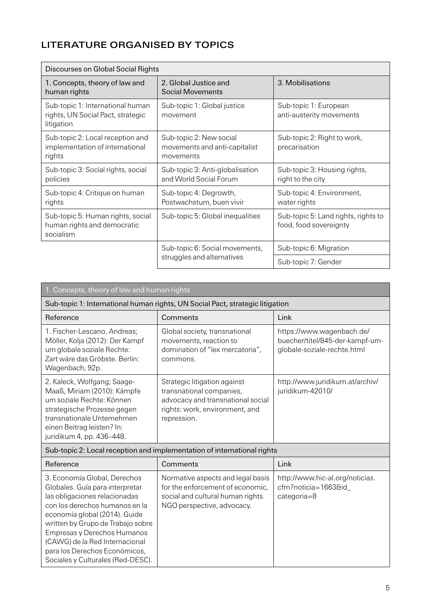# Literature organised by topics

| Discourses on Global Social Rights                                                  |                                                                       |                                                               |
|-------------------------------------------------------------------------------------|-----------------------------------------------------------------------|---------------------------------------------------------------|
| 1. Concepts, theory of law and<br>human rights                                      | 2. Global Justice and<br><b>Social Movements</b>                      | 3. Mobilisations                                              |
| Sub-topic 1: International human<br>rights, UN Social Pact, strategic<br>litigation | Sub-topic 1: Global justice<br>movement                               | Sub-topic 1: European<br>anti-austerity movements             |
| Sub-topic 2: Local reception and<br>implementation of international<br>rights       | Sub-topic 2: New social<br>movements and anti-capitalist<br>movements | Sub-topic 2: Right to work,<br>precarisation                  |
| Sub-topic 3: Social rights, social<br>policies                                      | Sub-topic 3: Anti-globalisation<br>and World Social Forum             | Sub-topic 3: Housing rights,<br>right to the city             |
| Sub-topic 4: Critique on human<br>rights                                            | Sub-topic 4: Degrowth,<br>Postwachstum, buen vivir                    | Sub-topic 4: Environment,<br>water rights                     |
| Sub-topic 5: Human rights, social<br>human rights and democratic<br>socialism       | Sub-topic 5: Global inequalities                                      | Sub-topic 5: Land rights, rights to<br>food, food sovereignty |
|                                                                                     | Sub-topic 6: Social movements,                                        | Sub-topic 6: Migration                                        |
|                                                                                     | struggles and alternatives                                            | Sub-topic 7: Gender                                           |

| 1. Concepts, theory of law and human rights                                                                                                                                                                                                                                                                                                     |                                                                                                                                                |                                                                                             |  |
|-------------------------------------------------------------------------------------------------------------------------------------------------------------------------------------------------------------------------------------------------------------------------------------------------------------------------------------------------|------------------------------------------------------------------------------------------------------------------------------------------------|---------------------------------------------------------------------------------------------|--|
| Sub-topic 1: International human rights, UN Social Pact, strategic litigation                                                                                                                                                                                                                                                                   |                                                                                                                                                |                                                                                             |  |
| Reference                                                                                                                                                                                                                                                                                                                                       | Link<br>Comments                                                                                                                               |                                                                                             |  |
| 1. Fischer-Lescano, Andreas;<br>Möller, Kolja (2012): Der Kampf<br>um globale soziale Rechte:<br>Zart wäre das Gröbste. Berlin:<br>Wagenbach, 92p.                                                                                                                                                                                              | Global society, transnational<br>movements, reaction to<br>domination of "lex mercatoria",<br>commons.                                         | https://www.wagenbach.de/<br>buecher/titel/845-der-kampf-um-<br>globale-soziale-rechte.html |  |
| 2. Kaleck, Wolfgang; Saage-<br>Maaß, Miriam (2010): Kämpfe<br>um soziale Rechte: Können<br>strategische Prozesse gegen<br>transnationale Unternehmen<br>einen Beitrag leisten? In:<br>juridikum 4, pp. 436-448.                                                                                                                                 | Strategic litigation against<br>transnational companies,<br>advocacy and transnational social<br>rights: work, environment, and<br>repression. | http://www.juridikum.at/archiv/<br>juridikum-42010/                                         |  |
|                                                                                                                                                                                                                                                                                                                                                 | Sub-topic 2: Local reception and implementation of international rights                                                                        |                                                                                             |  |
| Reference                                                                                                                                                                                                                                                                                                                                       | Comments                                                                                                                                       | Link                                                                                        |  |
| 3. Economía Global, Derechos<br>Globales. Guía para interpretar<br>las obligaciones relacionadas<br>con los derechos humanos en la<br>economía global (2014). Guide<br>written by Grupo de Trabajo sobre<br>Empresas y Derechos Humanos<br>(CAWG) de la Red Internacional<br>para los Derechos Económicos,<br>Sociales y Culturales (Red-DESC). | Normative aspects and legal basis<br>for the enforcement of economic,<br>social and cultural human rights.<br>NGO perspective, advocacy.       | http://www.hic-al.org/noticias.<br>cfm?noticia=1663&id_<br>categoria=8                      |  |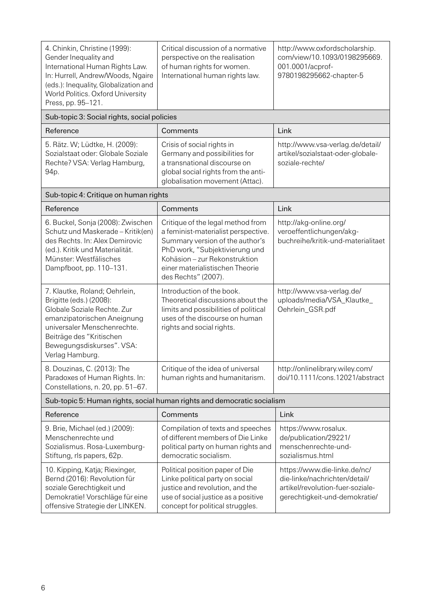| 4. Chinkin, Christine (1999):<br>Gender Inequality and<br>International Human Rights Law.<br>In: Hurrell, Andrew/Woods, Ngaire<br>(eds.): Inequality, Globalization and<br>World Politics. Oxford University<br>Press, pp. 95-121. | Critical discussion of a normative<br>perspective on the realisation<br>of human rights for women.<br>International human rights law.                                                                                                    | http://www.oxfordscholarship.<br>com/view/10.1093/0198295669.<br>001.0001/acprof-<br>9780198295662-chapter-5                       |
|------------------------------------------------------------------------------------------------------------------------------------------------------------------------------------------------------------------------------------|------------------------------------------------------------------------------------------------------------------------------------------------------------------------------------------------------------------------------------------|------------------------------------------------------------------------------------------------------------------------------------|
| Sub-topic 3: Social rights, social policies                                                                                                                                                                                        |                                                                                                                                                                                                                                          |                                                                                                                                    |
| Reference                                                                                                                                                                                                                          | Comments                                                                                                                                                                                                                                 | Link                                                                                                                               |
| 5. Rätz. W; Lüdtke, H. (2009):<br>Sozialstaat oder: Globale Soziale<br>Rechte? VSA: Verlag Hamburg,<br>94p.                                                                                                                        | Crisis of social rights in<br>Germany and possibilities for<br>a transnational discourse on<br>global social rights from the anti-<br>globalisation movement (Attac).                                                                    | http://www.vsa-verlag.de/detail/<br>artikel/sozialstaat-oder-globale-<br>soziale-rechte/                                           |
| Sub-topic 4: Critique on human rights                                                                                                                                                                                              |                                                                                                                                                                                                                                          |                                                                                                                                    |
| Reference                                                                                                                                                                                                                          | Comments                                                                                                                                                                                                                                 | Link                                                                                                                               |
| 6. Buckel, Sonja (2008): Zwischen<br>Schutz und Maskerade - Kritik(en)<br>des Rechts. In: Alex Demirovic<br>(ed.). Kritik und Materialität.<br>Münster: Westfälisches<br>Dampfboot, pp. 110-131.                                   | Critique of the legal method from<br>a feminist-materialist perspective.<br>Summary version of the author's<br>PhD work, "Subjektivierung und<br>Kohäsion - zur Rekonstruktion<br>einer materialistischen Theorie<br>des Rechts" (2007). | http://akg-online.org/<br>veroeffentlichungen/akg-<br>buchreihe/kritik-und-materialitaet                                           |
| 7. Klautke, Roland; Oehrlein,<br>Brigitte (eds.) (2008):<br>Globale Soziale Rechte. Zur<br>emanzipatorischen Aneignung<br>universaler Menschenrechte.<br>Beiträge des "Kritischen<br>Bewegungsdiskurses". VSA:<br>Verlag Hamburg.  | Introduction of the book.<br>Theoretical discussions about the<br>limits and possibilities of political<br>uses of the discourse on human<br>rights and social rights.                                                                   | http://www.vsa-verlag.de/<br>uploads/media/VSA_Klautke_<br>Oehrlein_GSR.pdf                                                        |
| 8. Douzinas, C. (2013): The<br>Paradoxes of Human Rights. In:<br>Constellations, n. 20, pp. 51-67.                                                                                                                                 | Critique of the idea of universal<br>human rights and humanitarism.                                                                                                                                                                      | http://onlinelibrary.wiley.com/<br>doi/10.1111/cons.12021/abstract                                                                 |
| Sub-topic 5: Human rights, social human rights and democratic socialism                                                                                                                                                            |                                                                                                                                                                                                                                          |                                                                                                                                    |
| Reference                                                                                                                                                                                                                          | Comments                                                                                                                                                                                                                                 | Link                                                                                                                               |
| 9. Brie, Michael (ed.) (2009):<br>Menschenrechte und<br>Sozialismus. Rosa-Luxemburg-<br>Stiftung, rls papers, 62p.                                                                                                                 | Compilation of texts and speeches<br>of different members of Die Linke<br>political party on human rights and<br>democratic socialism.                                                                                                   | https://www.rosalux.<br>de/publication/29221/<br>menschenrechte-und-<br>sozialismus.html                                           |
| 10. Kipping, Katja; Riexinger,<br>Bernd (2016): Revolution für<br>soziale Gerechtigkeit und<br>Demokratie! Vorschläge für eine<br>offensive Strategie der LINKEN.                                                                  | Political position paper of Die<br>Linke political party on social<br>justice and revolution, and the<br>use of social justice as a positive<br>concept for political struggles.                                                         | https://www.die-linke.de/nc/<br>die-linke/nachrichten/detail/<br>artikel/revolution-fuer-soziale-<br>gerechtigkeit-und-demokratie/ |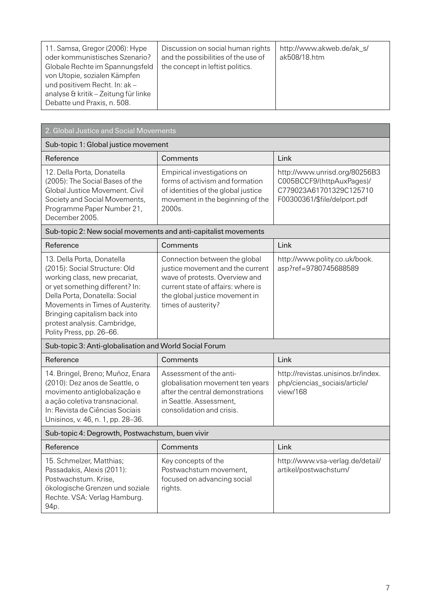| 11. Samsa, Gregor (2006): Hype<br>oder kommunistisches Szenario?<br>Globale Rechte im Spannungsfeld<br>von Utopie, sozialen Kämpfen<br>und positivem Recht. In: ak -<br>analyse & kritik - Zeitung für linke<br>Debatte und Praxis, n. 508. | Discussion on social human rights<br>and the possibilities of the use of<br>the concept in leftist politics. | http://www.akweb.de/ak s/<br>ak508/18.htm |
|---------------------------------------------------------------------------------------------------------------------------------------------------------------------------------------------------------------------------------------------|--------------------------------------------------------------------------------------------------------------|-------------------------------------------|
|---------------------------------------------------------------------------------------------------------------------------------------------------------------------------------------------------------------------------------------------|--------------------------------------------------------------------------------------------------------------|-------------------------------------------|

| 2. Global Justice and Social Movements                                                                                                                                                                                                                                                             |                                                                                                                                                                                                    |                                                                                                                       |
|----------------------------------------------------------------------------------------------------------------------------------------------------------------------------------------------------------------------------------------------------------------------------------------------------|----------------------------------------------------------------------------------------------------------------------------------------------------------------------------------------------------|-----------------------------------------------------------------------------------------------------------------------|
| Sub-topic 1: Global justice movement                                                                                                                                                                                                                                                               |                                                                                                                                                                                                    |                                                                                                                       |
| Reference                                                                                                                                                                                                                                                                                          | Link<br>Comments                                                                                                                                                                                   |                                                                                                                       |
| 12. Della Porta, Donatella<br>(2005): The Social Bases of the<br>Global Justice Movement. Civil<br>Society and Social Movements,<br>Programme Paper Number 21,<br>December 2005.                                                                                                                   | Empirical investigations on<br>forms of activism and formation<br>of identities of the global justice<br>movement in the beginning of the<br>2000s.                                                | http://www.unrisd.org/80256B3<br>C005BCCF9/(httpAuxPages)/<br>C779023A61701329C125710<br>F00300361/\$file/delport.pdf |
| Sub-topic 2: New social movements and anti-capitalist movements                                                                                                                                                                                                                                    |                                                                                                                                                                                                    |                                                                                                                       |
| Reference                                                                                                                                                                                                                                                                                          | Comments                                                                                                                                                                                           | Link                                                                                                                  |
| 13. Della Porta, Donatella<br>(2015): Social Structure: Old<br>working class, new precariat,<br>or yet something different? In:<br>Della Porta, Donatella: Social<br>Movements in Times of Austerity.<br>Bringing capitalism back into<br>protest analysis. Cambridge,<br>Polity Press, pp. 26-66. | Connection between the global<br>justice movement and the current<br>wave of protests. Overview and<br>current state of affairs: where is<br>the global justice movement in<br>times of austerity? | http://www.polity.co.uk/book.<br>asp?ref=9780745688589                                                                |
| Sub-topic 3: Anti-globalisation and World Social Forum                                                                                                                                                                                                                                             |                                                                                                                                                                                                    |                                                                                                                       |
| Reference                                                                                                                                                                                                                                                                                          | Link<br>Comments                                                                                                                                                                                   |                                                                                                                       |
| 14. Bringel, Breno; Muñoz, Enara<br>(2010): Dez anos de Seattle, o<br>movimento antiglobalização e<br>a ação coletiva transnacional.<br>In: Revista de Ciências Sociais<br>Unisinos, v. 46, n. 1, pp. 28-36.                                                                                       | Assessment of the anti-<br>globalisation movement ten years<br>after the central demonstrations<br>in Seattle. Assessment,<br>consolidation and crisis.                                            | http://revistas.unisinos.br/index.<br>php/ciencias_sociais/article/<br>view/168                                       |
| Sub-topic 4: Degrowth, Postwachstum, buen vivir                                                                                                                                                                                                                                                    |                                                                                                                                                                                                    |                                                                                                                       |
| Reference                                                                                                                                                                                                                                                                                          | Comments                                                                                                                                                                                           | Link                                                                                                                  |
| 15. Schmelzer, Matthias;<br>Passadakis, Alexis (2011):<br>Postwachstum. Krise,<br>ökologische Grenzen und soziale<br>Rechte. VSA: Verlag Hamburg.<br>94p.                                                                                                                                          | Key concepts of the<br>Postwachstum movement,<br>focused on advancing social<br>rights.                                                                                                            | http://www.vsa-verlag.de/detail/<br>artikel/postwachstum/                                                             |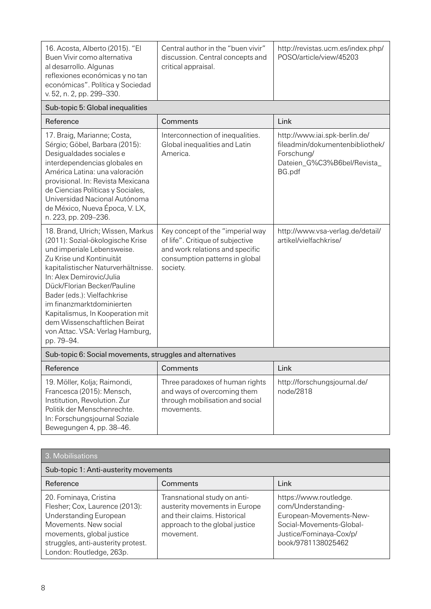| 16. Acosta, Alberto (2015). "El<br>Buen Vivir como alternativa<br>al desarrollo. Algunas<br>reflexiones económicas y no tan<br>económicas". Política y Sociedad<br>v. 52, n. 2, pp. 299-330.                                                                                                                                                                                                                        | Central author in the "buen vivir"<br>discussion. Central concepts and<br>critical appraisal.                                                         | http://revistas.ucm.es/index.php/<br>POSO/article/view/45203                                                            |
|---------------------------------------------------------------------------------------------------------------------------------------------------------------------------------------------------------------------------------------------------------------------------------------------------------------------------------------------------------------------------------------------------------------------|-------------------------------------------------------------------------------------------------------------------------------------------------------|-------------------------------------------------------------------------------------------------------------------------|
| Sub-topic 5: Global inequalities                                                                                                                                                                                                                                                                                                                                                                                    |                                                                                                                                                       |                                                                                                                         |
| Reference                                                                                                                                                                                                                                                                                                                                                                                                           | Comments                                                                                                                                              | Link                                                                                                                    |
| 17. Braig, Marianne; Costa,<br>Sérgio; Göbel, Barbara (2015):<br>Desigualdades sociales e<br>interdependencias globales en<br>América Latina: una valoración<br>provisional. In: Revista Mexicana<br>de Ciencias Políticas y Sociales,<br>Universidad Nacional Autónoma<br>de México, Nueva Época, V. LX,<br>n. 223, pp. 209-236.                                                                                   | Interconnection of inequalities.<br>Global inequalities and Latin<br>America.                                                                         | http://www.iai.spk-berlin.de/<br>fileadmin/dokumentenbibliothek/<br>Forschung/<br>Dateien_G%C3%B6bel/Revista_<br>BG.pdf |
| 18. Brand, Ulrich; Wissen, Markus<br>(2011): Sozial-ökologische Krise<br>und imperiale Lebensweise.<br>Zu Krise und Kontinuität<br>kapitalistischer Naturverhältnisse.<br>In: Alex Demirovic/Julia<br>Dück/Florian Becker/Pauline<br>Bader (eds.): Vielfachkrise<br>im finanzmarktdominierten<br>Kapitalismus, In Kooperation mit<br>dem Wissenschaftlichen Beirat<br>von Attac. VSA: Verlag Hamburg,<br>pp. 79-94. | Key concept of the "imperial way<br>of life". Critique of subjective<br>and work relations and specific<br>consumption patterns in global<br>society. | http://www.vsa-verlag.de/detail/<br>artikel/vielfachkrise/                                                              |
| Sub-topic 6: Social movements, struggles and alternatives                                                                                                                                                                                                                                                                                                                                                           |                                                                                                                                                       |                                                                                                                         |
| Reference                                                                                                                                                                                                                                                                                                                                                                                                           | Comments                                                                                                                                              | Link                                                                                                                    |
| 19. Möller, Kolja; Raimondi,<br>Francesca (2015): Mensch,<br>Institution, Revolution. Zur<br>Politik der Menschenrechte.<br>In: Forschungsjournal Soziale<br>Bewegungen 4, pp. 38-46.                                                                                                                                                                                                                               | Three paradoxes of human rights<br>and ways of overcoming them<br>through mobilisation and social<br>movements.                                       | http://forschungsjournal.de/<br>node/2818                                                                               |

| 3. Mobilisations                                                                                                                                                                                           |                                                                                                                                              |                                                                                                                                                      |
|------------------------------------------------------------------------------------------------------------------------------------------------------------------------------------------------------------|----------------------------------------------------------------------------------------------------------------------------------------------|------------------------------------------------------------------------------------------------------------------------------------------------------|
| Sub-topic 1: Anti-austerity movements                                                                                                                                                                      |                                                                                                                                              |                                                                                                                                                      |
| Reference                                                                                                                                                                                                  | Comments                                                                                                                                     | Link                                                                                                                                                 |
| 20. Fominaya, Cristina<br>Flesher; Cox, Laurence (2013):<br>Understanding European<br>Movements. New social<br>movements, global justice<br>struggles, anti-austerity protest.<br>London: Routledge, 263p. | Transnational study on anti-<br>austerity movements in Europe<br>and their claims. Historical<br>approach to the global justice<br>movement. | https://www.routledge.<br>com/Understanding-<br>European-Movements-New-<br>Social-Movements-Global-<br>Justice/Fominaya-Cox/p/<br>book/9781138025462 |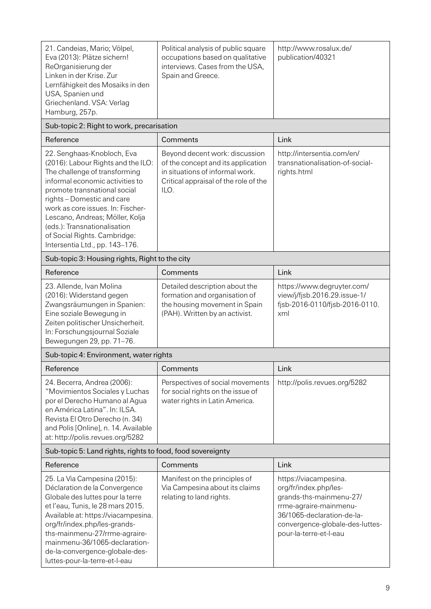| 21. Candeias, Mario; Völpel,<br>Eva (2013): Plätze sichern!<br>ReOrganisierung der<br>Linken in der Krise. Zur<br>Lernfähigkeit des Mosaiks in den<br>USA, Spanien und<br>Griechenland. VSA: Verlag<br>Hamburg, 257p.                                                                                                                                                        | Political analysis of public square<br>http://www.rosalux.de/<br>occupations based on qualitative<br>publication/40321<br>interviews. Cases from the USA,<br>Spain and Greece. |                                                                                                                                                                                                |
|------------------------------------------------------------------------------------------------------------------------------------------------------------------------------------------------------------------------------------------------------------------------------------------------------------------------------------------------------------------------------|--------------------------------------------------------------------------------------------------------------------------------------------------------------------------------|------------------------------------------------------------------------------------------------------------------------------------------------------------------------------------------------|
| Sub-topic 2: Right to work, precarisation                                                                                                                                                                                                                                                                                                                                    |                                                                                                                                                                                |                                                                                                                                                                                                |
| Reference                                                                                                                                                                                                                                                                                                                                                                    | Comments                                                                                                                                                                       | Link                                                                                                                                                                                           |
| 22. Senghaas-Knobloch, Eva<br>(2016): Labour Rights and the ILO:<br>The challenge of transforming<br>informal economic activities to<br>promote transnational social<br>rights - Domestic and care<br>work as core issues. In: Fischer-<br>Lescano, Andreas; Möller, Kolja<br>(eds.): Transnationalisation<br>of Social Rights. Cambridge:<br>Intersentia Ltd., pp. 143-176. | Beyond decent work: discussion<br>of the concept and its application<br>in situations of informal work.<br>Critical appraisal of the role of the<br>ILO.                       | http://intersentia.com/en/<br>transnationalisation-of-social-<br>rights.html                                                                                                                   |
| Sub-topic 3: Housing rights, Right to the city                                                                                                                                                                                                                                                                                                                               |                                                                                                                                                                                |                                                                                                                                                                                                |
| Reference                                                                                                                                                                                                                                                                                                                                                                    | Comments                                                                                                                                                                       | Link                                                                                                                                                                                           |
| 23. Allende, Ivan Molina<br>(2016): Widerstand gegen<br>Zwangsräumungen in Spanien:<br>Eine soziale Bewegung in<br>Zeiten politischer Unsicherheit.<br>In: Forschungsjournal Soziale<br>Bewegungen 29, pp. 71-76.                                                                                                                                                            | Detailed description about the<br>formation and organisation of<br>the housing movement in Spain<br>(PAH). Written by an activist.                                             | https://www.degruyter.com/<br>view/j/fjsb.2016.29.issue-1/<br>fjsb-2016-0110/fjsb-2016-0110.<br>xml                                                                                            |
| Sub-topic 4: Environment, water rights                                                                                                                                                                                                                                                                                                                                       |                                                                                                                                                                                |                                                                                                                                                                                                |
| Reference                                                                                                                                                                                                                                                                                                                                                                    | Comments                                                                                                                                                                       | Link                                                                                                                                                                                           |
| 24. Becerra, Andrea (2006):<br>"Movimientos Sociales y Luchas<br>por el Derecho Humano al Agua<br>en América Latina". In: ILSA.<br>Revista El Otro Derecho (n. 34)<br>and Polis [Online], n. 14. Available<br>at: http://polis.revues.org/5282                                                                                                                               | Perspectives of social movements<br>http://polis.revues.org/5282<br>for social rights on the issue of<br>water rights in Latin America.                                        |                                                                                                                                                                                                |
| Sub-topic 5: Land rights, rights to food, food sovereignty                                                                                                                                                                                                                                                                                                                   |                                                                                                                                                                                |                                                                                                                                                                                                |
| Reference                                                                                                                                                                                                                                                                                                                                                                    | Comments                                                                                                                                                                       | Link                                                                                                                                                                                           |
| 25. La Via Campesina (2015):<br>Déclaration de la Convergence<br>Globale des luttes pour la terre<br>et l'eau, Tunis, le 28 mars 2015.<br>Available at: https://viacampesina.<br>org/fr/index.php/les-grands-<br>ths-mainmenu-27/rrme-agraire-<br>mainmenu-36/1065-declaration-<br>de-la-convergence-globale-des-<br>luttes-pour-la-terre-et-l-eau                           | Manifest on the principles of<br>Via Campesina about its claims<br>relating to land rights.                                                                                    | https://viacampesina.<br>org/fr/index.php/les-<br>grands-ths-mainmenu-27/<br>rrme-agraire-mainmenu-<br>36/1065-declaration-de-la-<br>convergence-globale-des-luttes-<br>pour-la-terre-et-l-eau |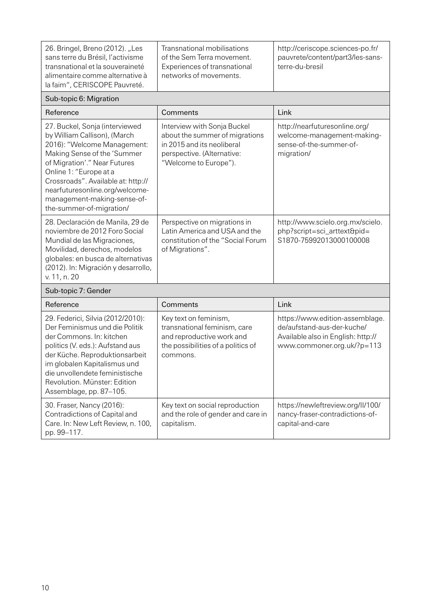| 26. Bringel, Breno (2012). "Les<br>sans terre du Brésil, l'activisme | Transnational mobilisations<br>of the Sem Terra movement. | http://ceriscope.sciences-po.fr/<br>pauvrete/content/part3/les-sans- |
|----------------------------------------------------------------------|-----------------------------------------------------------|----------------------------------------------------------------------|
| transnational et la souveraineté                                     | Experiences of transnational                              | terre-du-bresil                                                      |
| alimentaire comme alternative à                                      | networks of movements.                                    |                                                                      |
| la faim", CERISCOPE Pauvreté.                                        |                                                           |                                                                      |

| Sub-topic 6: Migration |  |  |
|------------------------|--|--|
|                        |  |  |

Care. In: New Left Review, n. 100,

pp. 99–117.

| Reference                                                                                                                                                                                                                                                                                                                 | Comments                                                                                                                                           | Link                                                                                                                              |
|---------------------------------------------------------------------------------------------------------------------------------------------------------------------------------------------------------------------------------------------------------------------------------------------------------------------------|----------------------------------------------------------------------------------------------------------------------------------------------------|-----------------------------------------------------------------------------------------------------------------------------------|
| 27. Buckel, Sonja (interviewed<br>by William Callison), (March<br>2016): "Welcome Management:<br>Making Sense of the 'Summer<br>of Migration'." Near Futures<br>Online 1: "Europe at a<br>Crossroads". Available at: http://<br>nearfuturesonline.org/welcome-<br>management-making-sense-of-<br>the-summer-of-migration/ | Interview with Sonja Buckel<br>about the summer of migrations<br>in 2015 and its neoliberal<br>perspective. (Alternative:<br>"Welcome to Europe"). | http://nearfuturesonline.org/<br>welcome-management-making-<br>sense-of-the-summer-of-<br>migration/                              |
| 28. Declaración de Manila, 29 de<br>noviembre de 2012 Foro Social<br>Mundial de las Migraciones,<br>Movilidad, derechos, modelos<br>globales: en busca de alternativas<br>(2012). In: Migración y desarrollo,<br>v. 11, n. 20                                                                                             | Perspective on migrations in<br>Latin America and USA and the<br>constitution of the "Social Forum<br>of Migrations".                              | http://www.scielo.org.mx/scielo.<br>php?script=sci_arttext&pid=<br>S1870-75992013000100008                                        |
| Sub-topic 7: Gender                                                                                                                                                                                                                                                                                                       |                                                                                                                                                    |                                                                                                                                   |
| Reference                                                                                                                                                                                                                                                                                                                 | Comments                                                                                                                                           | Link                                                                                                                              |
| 29. Federici, Silvia (2012/2010):<br>Der Feminismus und die Politik<br>der Commons. In: kitchen<br>politics (V. eds.): Aufstand aus<br>der Küche. Reproduktionsarbeit<br>im globalen Kapitalismus und<br>die unvollendete feministische<br>Revolution. Münster: Edition<br>Assemblage, pp. 87-105.                        | Key text on feminism,<br>transnational feminism, care<br>and reproductive work and<br>the possibilities of a politics of<br>commons.               | https://www.edition-assemblage.<br>de/aufstand-aus-der-kuche/<br>Available also in English: http://<br>www.commoner.org.uk/?p=113 |
| 30. Fraser, Nancy (2016):<br>Contradictions of Capital and                                                                                                                                                                                                                                                                | Key text on social reproduction<br>and the role of gender and care in                                                                              | https://newleftreview.org/II/100/<br>nancy-fraser-contradictions-of-                                                              |

capital-and-care

capitalism.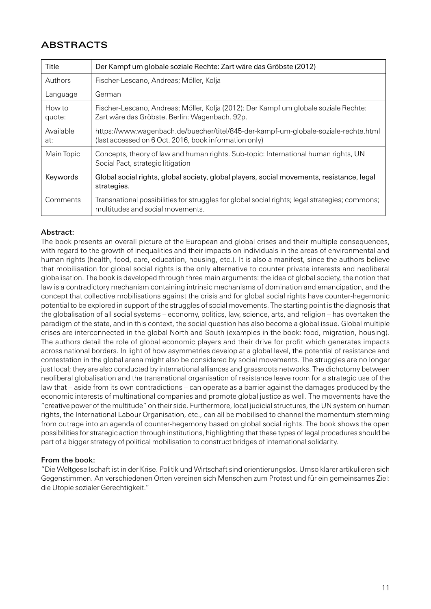# **ABSTRACTS**

| Title            | Der Kampf um globale soziale Rechte: Zart wäre das Gröbste (2012)                                                                            |
|------------------|----------------------------------------------------------------------------------------------------------------------------------------------|
| Authors          | Fischer-Lescano, Andreas; Möller, Kolja                                                                                                      |
| Language         | German                                                                                                                                       |
| How to<br>quote: | Fischer-Lescano, Andreas; Möller, Kolja (2012): Der Kampf um globale soziale Rechte:<br>Zart wäre das Gröbste. Berlin: Wagenbach. 92p.       |
| Available<br>at: | https://www.wagenbach.de/buecher/titel/845-der-kampf-um-globale-soziale-rechte.html<br>(last accessed on 6 Oct. 2016, book information only) |
| Main Topic       | Concepts, theory of law and human rights. Sub-topic: International human rights, UN<br>Social Pact, strategic litigation                     |
| Keywords         | Global social rights, global society, global players, social movements, resistance, legal<br>strategies.                                     |
| Comments         | Transnational possibilities for struggles for global social rights; legal strategies; commons;<br>multitudes and social movements.           |

# Abstract:

The book presents an overall picture of the European and global crises and their multiple consequences, with regard to the growth of inequalities and their impacts on individuals in the areas of environmental and human rights (health, food, care, education, housing, etc.). It is also a manifest, since the authors believe that mobilisation for global social rights is the only alternative to counter private interests and neoliberal globalisation. The book is developed through three main arguments: the idea of global society, the notion that law is a contradictory mechanism containing intrinsic mechanisms of domination and emancipation, and the concept that collective mobilisations against the crisis and for global social rights have counter-hegemonic potential to be explored in support of the struggles of social movements. The starting point is the diagnosis that the globalisation of all social systems – economy, politics, law, science, arts, and religion – has overtaken the paradigm of the state, and in this context, the social question has also become a global issue. Global multiple crises are interconnected in the global North and South (examples in the book: food, migration, housing). The authors detail the role of global economic players and their drive for profit which generates impacts across national borders. In light of how asymmetries develop at a global level, the potential of resistance and contestation in the global arena might also be considered by social movements. The struggles are no longer just local; they are also conducted by international alliances and grassroots networks. The dichotomy between neoliberal globalisation and the transnational organisation of resistance leave room for a strategic use of the law that – aside from its own contradictions – can operate as a barrier against the damages produced by the economic interests of multinational companies and promote global justice as well. The movements have the "creative power of the multitude" on their side. Furthermore, local judicial structures, the UN system on human rights, the International Labour Organisation, etc., can all be mobilised to channel the momentum stemming from outrage into an agenda of counter-hegemony based on global social rights. The book shows the open possibilities for strategic action through institutions, highlighting that these types of legal procedures should be part of a bigger strategy of political mobilisation to construct bridges of international solidarity.

#### From the book:

"Die Weltgesellschaft ist in der Krise. Politik und Wirtschaft sind orientierungslos. Umso klarer artikulieren sich Gegenstimmen. An verschiedenen Orten vereinen sich Menschen zum Protest und für ein gemeinsames Ziel: die Utopie sozialer Gerechtigkeit."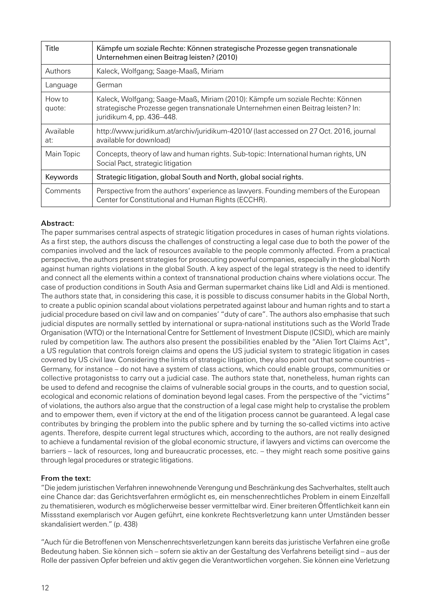| Title            | Kämpfe um soziale Rechte: Können strategische Prozesse gegen transnationale<br>Unternehmen einen Beitrag leisten? (2010)                                                                        |
|------------------|-------------------------------------------------------------------------------------------------------------------------------------------------------------------------------------------------|
| Authors          | Kaleck, Wolfgang; Saage-Maaß, Miriam                                                                                                                                                            |
| Language         | German                                                                                                                                                                                          |
| How to<br>quote: | Kaleck, Wolfgang; Saage-Maaß, Miriam (2010): Kämpfe um soziale Rechte: Können<br>strategische Prozesse gegen transnationale Unternehmen einen Beitrag leisten? In:<br>juridikum 4, pp. 436-448. |
| Available<br>at: | http://www.juridikum.at/archiv/juridikum-42010/ (last accessed on 27 Oct. 2016, journal<br>available for download)                                                                              |
| Main Topic       | Concepts, theory of law and human rights. Sub-topic: International human rights, UN<br>Social Pact, strategic litigation                                                                        |
| Keywords         | Strategic litigation, global South and North, global social rights.                                                                                                                             |
| Comments         | Perspective from the authors' experience as lawyers. Founding members of the European<br>Center for Constitutional and Human Rights (ECCHR).                                                    |

The paper summarises central aspects of strategic litigation procedures in cases of human rights violations. As a first step, the authors discuss the challenges of constructing a legal case due to both the power of the companies involved and the lack of resources available to the people commonly affected. From a practical perspective, the authors present strategies for prosecuting powerful companies, especially in the global North against human rights violations in the global South. A key aspect of the legal strategy is the need to identify and connect all the elements within a context of transnational production chains where violations occur. The case of production conditions in South Asia and German supermarket chains like Lidl and Aldi is mentioned. The authors state that, in considering this case, it is possible to discuss consumer habits in the Global North, to create a public opinion scandal about violations perpetrated against labour and human rights and to start a judicial procedure based on civil law and on companies' "duty of care". The authors also emphasise that such judicial disputes are normally settled by international or supra-national institutions such as the World Trade Organisation (WTO) or the International Centre for Settlement of Investment Dispute (ICSID), which are mainly ruled by competition law. The authors also present the possibilities enabled by the "Alien Tort Claims Act", a US regulation that controls foreign claims and opens the US judicial system to strategic litigation in cases covered by US civil law. Considering the limits of strategic litigation, they also point out that some countries – Germany, for instance – do not have a system of class actions, which could enable groups, communities or collective protagonistss to carry out a judicial case. The authors state that, nonetheless, human rights can be used to defend and recognise the claims of vulnerable social groups in the courts, and to question social, ecological and economic relations of domination beyond legal cases. From the perspective of the "victims" of violations, the authors also argue that the construction of a legal case might help to crystalise the problem and to empower them, even if victory at the end of the litigation process cannot be guaranteed. A legal case contributes by bringing the problem into the public sphere and by turning the so-called victims into active agents. Therefore, despite current legal structures which, according to the authors, are not really designed to achieve a fundamental revision of the global economic structure, if lawyers and victims can overcome the barriers – lack of resources, long and bureaucratic processes, etc. – they might reach some positive gains through legal procedures or strategic litigations.

# From the text:

"Die jedem juristischen Verfahren innewohnende Verengung und Beschränkung des Sachverhaltes, stellt auch eine Chance dar: das Gerichtsverfahren ermöglicht es, ein menschenrechtliches Problem in einem Einzelfall zu thematisieren, wodurch es möglicherweise besser vermittelbar wird. Einer breiteren Öffentlichkeit kann ein Missstand exemplarisch vor Augen geführt, eine konkrete Rechtsverletzung kann unter Umständen besser skandalisiert werden." (p. 438)

"Auch für die Betroffenen von Menschenrechtsverletzungen kann bereits das juristische Verfahren eine große Bedeutung haben. Sie können sich – sofern sie aktiv an der Gestaltung des Verfahrens beteiligt sind – aus der Rolle der passiven Opfer befreien und aktiv gegen die Verantwortlichen vorgehen. Sie können eine Verletzung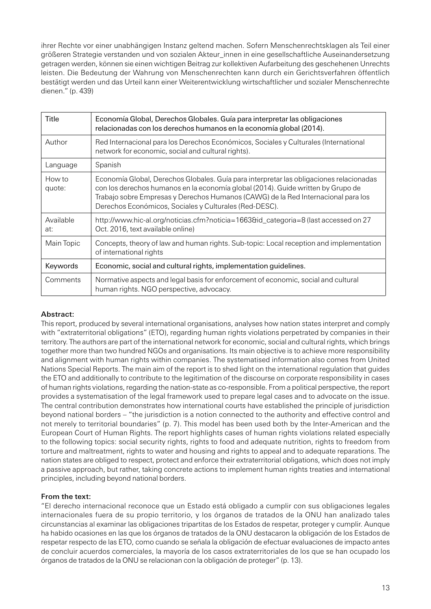ihrer Rechte vor einer unabhängigen Instanz geltend machen. Sofern Menschenrechtsklagen als Teil einer größeren Strategie verstanden und von sozialen Akteur\_innen in eine gesellschaftliche Auseinandersetzung getragen werden, können sie einen wichtigen Beitrag zur kollektiven Aufarbeitung des geschehenen Unrechts leisten. Die Bedeutung der Wahrung von Menschenrechten kann durch ein Gerichtsverfahren öffentlich bestätigt werden und das Urteil kann einer Weiterentwicklung wirtschaftlicher und sozialer Menschenrechte dienen." (p. 439)

| Title            | Economía Global, Derechos Globales. Guía para interpretar las obligaciones<br>relacionadas con los derechos humanos en la economía global (2014).                                                                                                                                                                          |
|------------------|----------------------------------------------------------------------------------------------------------------------------------------------------------------------------------------------------------------------------------------------------------------------------------------------------------------------------|
| Author           | Red Internacional para los Derechos Económicos, Sociales y Culturales (International<br>network for economic, social and cultural rights).                                                                                                                                                                                 |
| Language         | Spanish                                                                                                                                                                                                                                                                                                                    |
| How to<br>quote: | Economía Global, Derechos Globales. Guía para interpretar las obligaciones relacionadas<br>con los derechos humanos en la economía global (2014). Guide written by Grupo de<br>Trabajo sobre Empresas y Derechos Humanos (CAWG) de la Red Internacional para los<br>Derechos Económicos, Sociales y Culturales (Red-DESC). |
| Available<br>at: | http://www.hic-al.org/noticias.cfm?noticia=1663&id_categoria=8 (last accessed on 27<br>Oct. 2016, text available online)                                                                                                                                                                                                   |
| Main Topic       | Concepts, theory of law and human rights. Sub-topic: Local reception and implementation<br>of international rights                                                                                                                                                                                                         |
| Keywords         | Economic, social and cultural rights, implementation guidelines.                                                                                                                                                                                                                                                           |
| Comments         | Normative aspects and legal basis for enforcement of economic, social and cultural<br>human rights. NGO perspective, advocacy.                                                                                                                                                                                             |

# Abstract:

This report, produced by several international organisations, analyses how nation states interpret and comply with "extraterritorial obligations" (ETO), regarding human rights violations perpetrated by companies in their territory. The authors are part of the international network for economic, social and cultural rights, which brings together more than two hundred NGOs and organisations. Its main objective is to achieve more responsibility and alignment with human rights within companies. The systematised information also comes from United Nations Special Reports. The main aim of the report is to shed light on the international regulation that guides the ETO and additionally to contribute to the legitimation of the discourse on corporate responsibility in cases of human rights violations, regarding the nation-state as co-responsible. From a political perspective, the report provides a systematisation of the legal framework used to prepare legal cases and to advocate on the issue. The central contribution demonstrates how international courts have established the principle of jurisdiction beyond national borders – "the jurisdiction is a notion connected to the authority and effective control and not merely to territorial boundaries" (p. 7). This model has been used both by the Inter-American and the European Court of Human Rights. The report highlights cases of human rights violations related especially to the following topics: social security rights, rights to food and adequate nutrition, rights to freedom from torture and maltreatment, rights to water and housing and rights to appeal and to adequate reparations. The nation states are obliged to respect, protect and enforce their extraterritorial obligations, which does not imply a passive approach, but rather, taking concrete actions to implement human rights treaties and international principles, including beyond national borders.

# From the text:

"El derecho internacional reconoce que un Estado está obligado a cumplir con sus obligaciones legales internacionales fuera de su propio territorio, y los órganos de tratados de la ONU han analizado tales circunstancias al examinar las obligaciones tripartitas de los Estados de respetar, proteger y cumplir. Aunque ha habido ocasiones en las que los órganos de tratados de la ONU destacaron la obligación de los Estados de respetar respecto de las ETO, como cuando se señala la obligación de efectuar evaluaciones de impacto antes de concluir acuerdos comerciales, la mayoría de los casos extraterritoriales de los que se han ocupado los órganos de tratados de la ONU se relacionan con la obligación de proteger" (p. 13).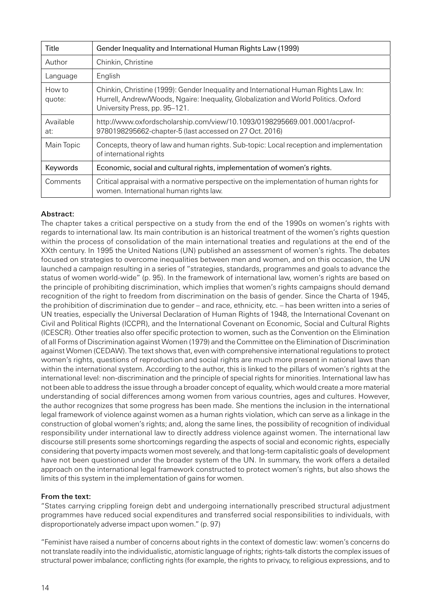| Title            | Gender Inequality and International Human Rights Law (1999)                                                                                                                                                  |
|------------------|--------------------------------------------------------------------------------------------------------------------------------------------------------------------------------------------------------------|
| Author           | Chinkin, Christine                                                                                                                                                                                           |
| Language         | English                                                                                                                                                                                                      |
| How to<br>quote: | Chinkin, Christine (1999): Gender Inequality and International Human Rights Law. In:<br>Hurrell, Andrew/Woods, Ngaire: Inequality, Globalization and World Politics. Oxford<br>University Press, pp. 95-121. |
| Available<br>at: | http://www.oxfordscholarship.com/view/10.1093/0198295669.001.0001/acprof-<br>9780198295662-chapter-5 (last accessed on 27 Oct. 2016)                                                                         |
| Main Topic       | Concepts, theory of law and human rights. Sub-topic: Local reception and implementation<br>of international rights                                                                                           |
| Keywords         | Economic, social and cultural rights, implementation of women's rights.                                                                                                                                      |
| Comments         | Critical appraisal with a normative perspective on the implementation of human rights for<br>women. International human rights law.                                                                          |

The chapter takes a critical perspective on a study from the end of the 1990s on women's rights with regards to international law. Its main contribution is an historical treatment of the women's rights question within the process of consolidation of the main international treaties and regulations at the end of the XXth century. In 1995 the United Nations (UN) published an assessment of women's rights. The debates focused on strategies to overcome inequalities between men and women, and on this occasion, the UN launched a campaign resulting in a series of "strategies, standards, programmes and goals to advance the status of women world-wide" (p. 95). In the framework of international law, women's rights are based on the principle of prohibiting discrimination, which implies that women's rights campaigns should demand recognition of the right to freedom from discrimination on the basis of gender. Since the Charta of 1945, the prohibition of discrimination due to gender – and race, ethnicity, etc. – has been written into a series of UN treaties, especially the Universal Declaration of Human Rights of 1948, the International Covenant on Civil and Political Rights (ICCPR), and the International Covenant on Economic, Social and Cultural Rights (ICESCR). Other treaties also offer specific protection to women, such as the Convention on the Elimination of all Forms of Discrimination against Women (1979) and the Committee on the Elimination of Discrimination against Women (CEDAW). The text shows that, even with comprehensive international regulations to protect women's rights, questions of reproduction and social rights are much more present in national laws than within the international system. According to the author, this is linked to the pillars of women's rights at the international level: non-discrimination and the principle of special rights for minorities. International law has not been able to address the issue through a broader concept of equality, which would create a more material understanding of social differences among women from various countries, ages and cultures. However, the author recognizes that some progress has been made. She mentions the inclusion in the international legal framework of violence against women as a human rights violation, which can serve as a linkage in the construction of global women's rights; and, along the same lines, the possibility of recognition of individual responsibility under international law to directly address violence against women. The international law discourse still presents some shortcomings regarding the aspects of social and economic rights, especially considering that poverty impacts women most severely, and that long-term capitalistic goals of development have not been questioned under the broader system of the UN. In summary, the work offers a detailed approach on the international legal framework constructed to protect women's rights, but also shows the limits of this system in the implementation of gains for women.

# From the text:

"States carrying crippling foreign debt and undergoing internationally prescribed structural adjustment programmes have reduced social expenditures and transferred social responsibilities to individuals, with disproportionately adverse impact upon women." (p. 97)

"Feminist have raised a number of concerns about rights in the context of domestic law: women's concerns do not translate readily into the individualistic, atomistic language of rights; rights-talk distorts the complex issues of structural power imbalance; conflicting rights (for example, the rights to privacy, to religious expressions, and to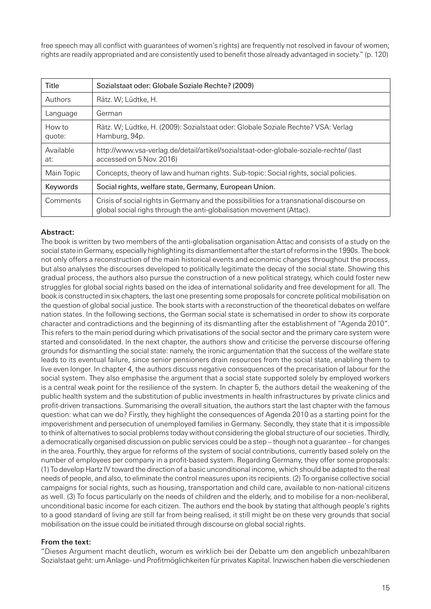free speech may all conflict with guarantees of women's rights) are frequently not resolved in favour of women; rights are readily appropriated and are consistently used to benefit those already advantaged in society." (p. 120)

| Title            | Sozialstaat oder: Globale Soziale Rechte? (2009)                                                                                                                  |
|------------------|-------------------------------------------------------------------------------------------------------------------------------------------------------------------|
| Authors          | Rätz. W; Lüdtke, H.                                                                                                                                               |
| Language         | German                                                                                                                                                            |
| How to<br>quote: | Rätz. W; Lüdtke, H. (2009): Sozialstaat oder: Globale Soziale Rechte? VSA: Verlag<br>Hamburg, 94p.                                                                |
| Available<br>at: | http://www.vsa-verlag.de/detail/artikel/sozialstaat-oder-globale-soziale-rechte/ (last<br>accessed on 5 Nov. 2016)                                                |
| Main Topic       | Concepts, theory of law and human rights. Sub-topic: Social rights, social policies.                                                                              |
| Keywords         | Social rights, welfare state, Germany, European Union.                                                                                                            |
| Comments         | Crisis of social rights in Germany and the possibilities for a transnational discourse on<br>global social righs through the anti-globalisation movement (Attac). |

#### Abstract:

The book is written by two members of the anti-globalisation organisation Attac and consists of a study on the social state in Germany, especially highlighting its dismantlement after the start of reforms in the 1990s. The book not only offers a reconstruction of the main historical events and economic changes throughout the process, but also analyses the discourses developed to politically legitimate the decay of the social state. Showing this gradual process, the authors also pursue the construction of a new political strategy, which could foster new struggles for global social rights based on the idea of international solidarity and free development for all. The book is constructed in six chapters, the last one presenting some proposals for concrete political mobilisation on the question of global social justice. The book starts with a reconstruction of the theoretical debates on welfare nation states. In the following sections, the German social state is schematised in order to show its corporate character and contradictions and the beginning of its dismantling after the establishment of "Agenda 2010". This refers to the main period during which privatisations of the social sector and the primary care system were started and consolidated. In the next chapter, the authors show and criticise the perverse discourse offering grounds for dismantling the social state: namely, the ironic argumentation that the success of the welfare state leads to its eventual failure, since senior pensioners drain resources from the social state, enabling them to live even longer. In chapter 4, the authors discuss negative consequences of the precarisation of labour for the social system. They also emphasise the argument that a social state supported solely by employed workers is a central weak point for the resilience of the system. In chapter 5, the authors detail the weakening of the public health system and the substitution of public investments in health infrastructures by private clinics and profit-driven transactions. Summarising the overall situation, the authors start the last chapter with the famous question: what can we do? Firstly, they highlight the consequences of Agenda 2010 as a starting point for the impoverishment and persecution of unemployed families in Germany. Secondly, they state that it is impossible to think of alternatives to social problems today without considering the global structure of our societies. Thirdly, a democratically organised discussion on public services could be a step – though not a guarantee – for changes in the area. Fourthly, they argue for reforms of the system of social contributions, currently based solely on the number of employees per company in a profit-based system. Regarding Germany, they offer some proposals: (1) To develop Hartz IV toward the direction of a basic unconditional income, which should be adapted to the real needs of people, and also, to eliminate the control measures upon its recipients. (2) To organise collective social campaigns for social rights, such as housing, transportation and child care, available to non-national citizens as well. (3) To focus particularly on the needs of children and the elderly, and to mobilise for a non-neoliberal, unconditional basic income for each citizen. The authors end the book by stating that although people's rights to a good standard of living are still far from being realised, it still might be on these very grounds that social mobilisation on the issue could be initiated through discourse on global social rights.

#### From the text:

"Dieses Argument macht deutlich, worum es wirklich bei der Debatte um den angeblich unbezahlbaren Sozialstaat geht: um Anlage- und Profitmöglichkeiten für privates Kapital. Inzwischen haben die verschiedenen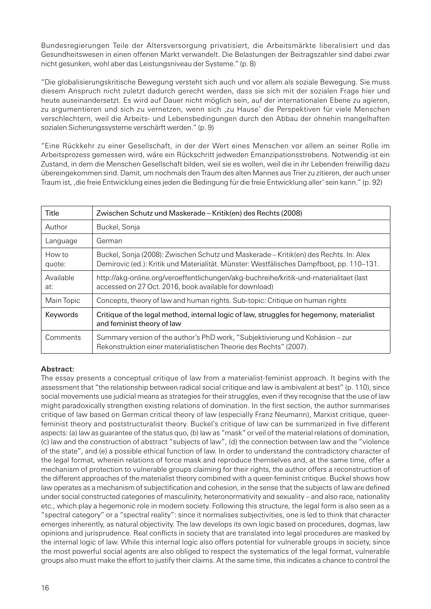Bundesregierungen Teile der Altersversorgung privatisiert, die Arbeitsmärkte liberalisiert und das Gesundheitswesen in einen offenen Markt verwandelt. Die Belastungen der Beitragszahler sind dabei zwar nicht gesunken, wohl aber das Leistungsniveau der Systeme." (p. 8)

"Die globalisierungskritische Bewegung versteht sich auch und vor allem als soziale Bewegung. Sie muss diesem Anspruch nicht zuletzt dadurch gerecht werden, dass sie sich mit der sozialen Frage hier und heute auseinandersetzt. Es wird auf Dauer nicht möglich sein, auf der internationalen Ebene zu agieren, zu argumentieren und sich zu vernetzen, wenn sich 'zu Hause' die Perspektiven für viele Menschen verschlechtern, weil die Arbeits- und Lebensbedingungen durch den Abbau der ohnehin mangelhaften sozialen Sicherungssysteme verschärft werden." (p. 9)

"Eine Rückkehr zu einer Gesellschaft, in der der Wert eines Menschen vor allem an seiner Rolle im Arbeitsprozess gemessen wird, wäre ein Rückschritt jedweden Emanzipationsstrebens. Notwendig ist ein Zustand, in dem die Menschen Gesellschaft bilden, weil sie es wollen, weil die in ihr Lebenden freiwillig dazu übereingekommen sind. Damit, um nochmals den Traum des alten Mannes aus Trier zu zitieren, der auch unser Traum ist, 'die freie Entwicklung eines jeden die Bedingung für die freie Entwicklung aller' sein kann." (p. 92)

| Title            | Zwischen Schutz und Maskerade - Kritik(en) des Rechts (2008)                                                                                                                      |
|------------------|-----------------------------------------------------------------------------------------------------------------------------------------------------------------------------------|
| Author           | Buckel, Sonja                                                                                                                                                                     |
| Language         | German                                                                                                                                                                            |
| How to<br>quote: | Buckel, Sonja (2008): Zwischen Schutz und Maskerade – Kritik(en) des Rechts. In: Alex<br>Demirovic (ed.): Kritik und Materialität. Münster: Westfälisches Dampfboot, pp. 110–131. |
| Available<br>at: | http://akg-online.org/veroeffentlichungen/akg-buchreihe/kritik-und-materialitaet (last<br>accessed on 27 Oct. 2016, book available for download)                                  |
| Main Topic       | Concepts, theory of law and human rights. Sub-topic: Critique on human rights                                                                                                     |
| Keywords         | Critique of the legal method, internal logic of law, struggles for hegemony, materialist<br>and feminist theory of law                                                            |
| Comments         | Summary version of the author's PhD work, "Subjektivierung und Kohäsion – zur<br>Rekonstruktion einer materialistischen Theorie des Rechts" (2007).                               |

# Abstract:

The essay presents a conceptual critique of law from a materialist-feminist approach. It begins with the assessment that "the relationship between radical social critique and law is ambivalent at best" (p. 110), since social movements use judicial means as strategies for their struggles, even if they recognise that the use of law might paradoxically strengthen existing relations of domination. In the first section, the author summarises critique of law based on German critical theory of law (especially Franz Neumann), Marxist critique, queerfeminist theory and poststructuralist theory. Buckel's critique of law can be summarized in five different aspects: (a) law as guarantee of the status quo, (b) law as "mask" or veil of the material relations of domination, (c) law and the construction of abstract "subjects of law", (d) the connection between law and the "violence of the state", and (e) a possible ethical function of law. In order to understand the contradictory character of the legal format, wherein relations of force mask and reproduce themselves and, at the same time, offer a mechanism of protection to vulnerable groups claiming for their rights, the author offers a reconstruction of the different approaches of the materialist theory combined with a queer-feminist critique. Buckel shows how law operates as a mechanism of subjectification and cohesion, in the sense that the subjects of law are defined under social constructed categories of masculinity, heteronormativity and sexuality – and also race, nationality etc., which play a hegemonic role in modern society. Following this structure, the legal form is also seen as a "spectral category" or a "spectral reality": since it normalises subjectivities, one is led to think that character emerges inherently, as natural objectivity. The law develops its own logic based on procedures, dogmas, law opinions and jurisprudence. Real conflicts in society that are translated into legal procedures are masked by the internal logic of law. While this internal logic also offers potential for vulnerable groups in society, since the most powerful social agents are also obliged to respect the systematics of the legal format, vulnerable groups also must make the effort to justify their claims. At the same time, this indicates a chance to control the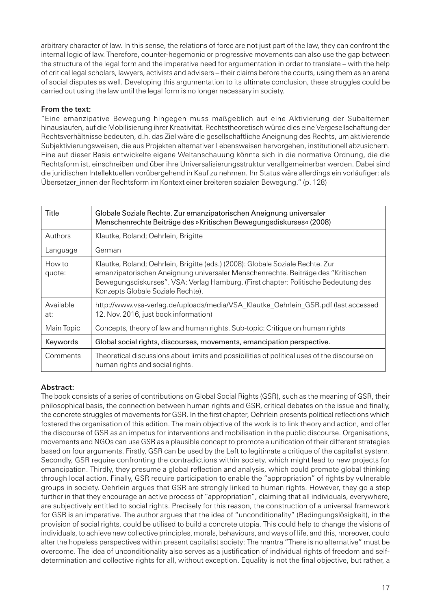arbitrary character of law. In this sense, the relations of force are not just part of the law, they can confront the internal logic of law. Therefore, counter-hegemonic or progressive movements can also use the gap between the structure of the legal form and the imperative need for argumentation in order to translate – with the help of critical legal scholars, lawyers, activists and advisers – their claims before the courts, using them as an arena of social disputes as well. Developing this argumentation to its ultimate conclusion, these struggles could be carried out using the law until the legal form is no longer necessary in society.

# From the text:

"Eine emanzipative Bewegung hingegen muss maßgeblich auf eine Aktivierung der Subalternen hinauslaufen, auf die Mobilisierung ihrer Kreativität. Rechtstheoretisch würde dies eine Vergesellschaftung der Rechtsverhältnisse bedeuten, d.h. das Ziel wäre die gesellschaftliche Aneignung des Rechts, um aktivierende Subjektivierungsweisen, die aus Projekten alternativer Lebensweisen hervorgehen, institutionell abzusichern. Eine auf dieser Basis entwickelte eigene Weltanschauung könnte sich in die normative Ordnung, die die Rechtsform ist, einschreiben und über ihre Universalisierungsstruktur verallgemeinerbar werden. Dabei sind die juridischen Intellektuellen vorübergehend in Kauf zu nehmen. Ihr Status wäre allerdings ein vorläufiger: als Übersetzer\_innen der Rechtsform im Kontext einer breiteren sozialen Bewegung." (p. 128)

| Title            | Globale Soziale Rechte. Zur emanzipatorischen Aneignung universaler<br>Menschenrechte Beiträge des »Kritischen Bewegungsdiskurses« (2008)                                                                                                                                                     |
|------------------|-----------------------------------------------------------------------------------------------------------------------------------------------------------------------------------------------------------------------------------------------------------------------------------------------|
| Authors          | Klautke, Roland; Oehrlein, Brigitte                                                                                                                                                                                                                                                           |
| Language         | German                                                                                                                                                                                                                                                                                        |
| How to<br>quote: | Klautke, Roland; Oehrlein, Brigitte (eds.) (2008): Globale Soziale Rechte. Zur<br>emanzipatorischen Aneignung universaler Menschenrechte. Beiträge des "Kritischen<br>Bewegungsdiskurses". VSA: Verlag Hamburg. (First chapter: Politische Bedeutung des<br>Konzepts Globale Soziale Rechte). |
| Available<br>at: | http://www.vsa-verlag.de/uploads/media/VSA_Klautke_Oehrlein_GSR.pdf (last accessed<br>12. Nov. 2016, just book information)                                                                                                                                                                   |
| Main Topic       | Concepts, theory of law and human rights. Sub-topic: Critique on human rights                                                                                                                                                                                                                 |
| Keywords         | Global social rights, discourses, movements, emancipation perspective.                                                                                                                                                                                                                        |
| Comments         | Theoretical discussions about limits and possibilities of political uses of the discourse on<br>human rights and social rights.                                                                                                                                                               |

# Abstract:

The book consists of a series of contributions on Global Social Rights (GSR), such as the meaning of GSR, their philosophical basis, the connection between human rights and GSR, critical debates on the issue and finally, the concrete struggles of movements for GSR. In the first chapter, Oehrlein presents political reflections which fostered the organisation of this edition. The main objective of the work is to link theory and action, and offer the discourse of GSR as an impetus for interventions and mobilisation in the public discourse. Organisations, movements and NGOs can use GSR as a plausible concept to promote a unification of their different strategies based on four arguments. Firstly, GSR can be used by the Left to legitimate a critique of the capitalist system. Secondly, GSR require confronting the contradictions within society, which might lead to new projects for emancipation. Thirdly, they presume a global reflection and analysis, which could promote global thinking through local action. Finally, GSR require participation to enable the "appropriation" of rights by vulnerable groups in society. Oehrlein argues that GSR are strongly linked to human rights. However, they go a step further in that they encourage an active process of "appropriation", claiming that all individuals, everywhere, are subjectively entitled to social rights. Precisely for this reason, the construction of a universal framework for GSR is an imperative. The author argues that the idea of "unconditionality" (Bedingungslösigkeit), in the provision of social rights, could be utilised to build a concrete utopia. This could help to change the visions of individuals, to achieve new collective principles, morals, behaviours, and ways of life, and this, moreover, could alter the hopeless perspectives within present capitalist society: The mantra "There is no alternative" must be overcome. The idea of unconditionality also serves as a justification of individual rights of freedom and selfdetermination and collective rights for all, without exception. Equality is not the final objective, but rather, a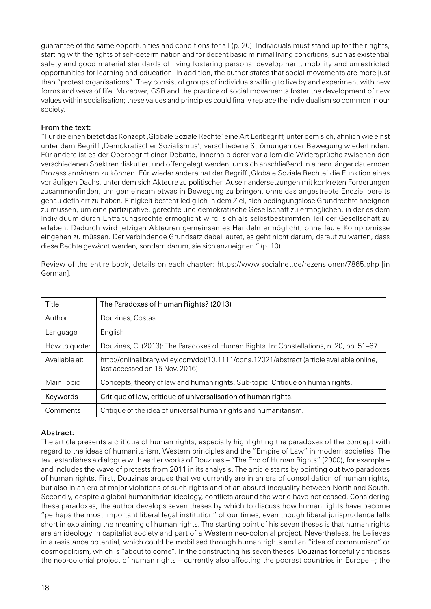guarantee of the same opportunities and conditions for all (p. 20). Individuals must stand up for their rights, starting with the rights of self-determination and for decent basic minimal living conditions, such as existential safety and good material standards of living fostering personal development, mobility and unrestricted opportunities for learning and education. In addition, the author states that social movements are more just than "protest organisations". They consist of groups of individuals willing to live by and experiment with new forms and ways of life. Moreover, GSR and the practice of social movements foster the development of new values within socialisation; these values and principles could finally replace the individualism so common in our society.

#### From the text:

"Für die einen bietet das Konzept , Globale Soziale Rechte' eine Art Leitbegriff, unter dem sich, ähnlich wie einst unter dem Begriff ,Demokratischer Sozialismus', verschiedene Strömungen der Bewegung wiederfinden. Für andere ist es der Oberbegriff einer Debatte, innerhalb derer vor allem die Widersprüche zwischen den verschiedenen Spektren diskutiert und offengelegt werden, um sich anschließend in einem länger dauernden Prozess annähern zu können. Für wieder andere hat der Begriff 'Globale Soziale Rechte' die Funktion eines vorläufigen Dachs, unter dem sich Akteure zu politischen Auseinandersetzungen mit konkreten Forderungen zusammenfinden, um gemeinsam etwas in Bewegung zu bringen, ohne das angestrebte Endziel bereits genau definiert zu haben. Einigkeit besteht lediglich in dem Ziel, sich bedingungslose Grundrechte aneignen zu müssen, um eine partizipative, gerechte und demokratische Gesellschaft zu ermöglichen, in der es dem Individuum durch Entfaltungsrechte ermöglicht wird, sich als selbstbestimmten Teil der Gesellschaft zu erleben. Dadurch wird jetzigen Akteuren gemeinsames Handeln ermöglicht, ohne faule Kompromisse eingehen zu müssen. Der verbindende Grundsatz dabei lautet, es geht nicht darum, darauf zu warten, dass diese Rechte gewährt werden, sondern darum, sie sich anzueignen." (p. 10)

Review of the entire book, details on each chapter: https://www.socialnet.de/rezensionen/7865.php [in German].

| Title         | The Paradoxes of Human Rights? (2013)                                                                                       |
|---------------|-----------------------------------------------------------------------------------------------------------------------------|
| Author        | Douzinas, Costas                                                                                                            |
| Language      | English                                                                                                                     |
| How to quote: | Douzinas, C. (2013): The Paradoxes of Human Rights. In: Constellations, n. 20, pp. 51–67.                                   |
| Available at: | http://onlinelibrary.wiley.com/doi/10.1111/cons.12021/abstract (article available online,<br>last accessed on 15 Nov. 2016) |
| Main Topic    | Concepts, theory of law and human rights. Sub-topic: Critique on human rights.                                              |
| Keywords      | Critique of law, critique of universalisation of human rights.                                                              |
| Comments      | Critique of the idea of universal human rights and humanitarism.                                                            |

#### Abstract:

The article presents a critique of human rights, especially highlighting the paradoxes of the concept with regard to the ideas of humanitarism, Western principles and the "Empire of Law" in modern societies. The text establishes a dialogue with earlier works of Douzinas – "The End of Human Rights" (2000), for example – and includes the wave of protests from 2011 in its analysis. The article starts by pointing out two paradoxes of human rights. First, Douzinas argues that we currently are in an era of consolidation of human rights, but also in an era of major violations of such rights and of an absurd inequality between North and South. Secondly, despite a global humanitarian ideology, conflicts around the world have not ceased. Considering these paradoxes, the author develops seven theses by which to discuss how human rights have become "perhaps the most important liberal legal institution" of our times, even though liberal jurisprudence falls short in explaining the meaning of human rights. The starting point of his seven theses is that human rights are an ideology in capitalist society and part of a Western neo-colonial project. Nevertheless, he believes in a resistance potential, which could be mobilised through human rights and an "idea of communism" or cosmopolitism, which is "about to come". In the constructing his seven theses, Douzinas forcefully criticises the neo-colonial project of human rights – currently also affecting the poorest countries in Europe –; the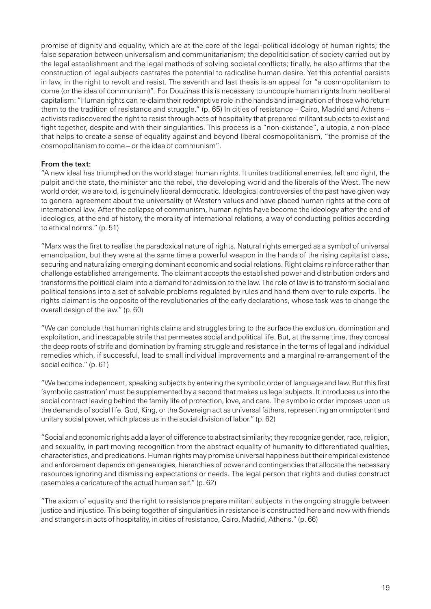promise of dignity and equality, which are at the core of the legal-political ideology of human rights; the false separation between universalism and communitarianism; the depoliticisation of society carried out by the legal establishment and the legal methods of solving societal conflicts; finally, he also affirms that the construction of legal subjects castrates the potential to radicalise human desire. Yet this potential persists in law, in the right to revolt and resist. The seventh and last thesis is an appeal for "a cosmopolitanism to come (or the idea of communism)". For Douzinas this is necessary to uncouple human rights from neoliberal capitalism: "Human rights can re-claim their redemptive role in the hands and imagination of those who return them to the tradition of resistance and struggle." (p. 65) In cities of resistance – Cairo, Madrid and Athens – activists rediscovered the right to resist through acts of hospitality that prepared militant subjects to exist and fight together, despite and with their singularities. This process is a "non-existance", a utopia, a non-place that helps to create a sense of equality against and beyond liberal cosmopolitanism, "the promise of the cosmopolitanism to come – or the idea of communism".

# From the text:

"A new ideal has triumphed on the world stage: human rights. It unites traditional enemies, left and right, the pulpit and the state, the minister and the rebel, the developing world and the liberals of the West. The new world order, we are told, is genuinely liberal democratic. Ideological controversies of the past have given way to general agreement about the universality of Western values and have placed human rights at the core of international law. After the collapse of communism, human rights have become the ideology after the end of ideologies, at the end of history, the morality of international relations, a way of conducting politics according to ethical norms." (p. 51)

"Marx was the first to realise the paradoxical nature of rights. Natural rights emerged as a symbol of universal emancipation, but they were at the same time a powerful weapon in the hands of the rising capitalist class, securing and naturalizing emerging dominant economic and social relations. Right claims reinforce rather than challenge established arrangements. The claimant accepts the established power and distribution orders and transforms the political claim into a demand for admission to the law. The role of law is to transform social and political tensions into a set of solvable problems regulated by rules and hand them over to rule experts. The rights claimant is the opposite of the revolutionaries of the early declarations, whose task was to change the overall design of the law." (p. 60)

"We can conclude that human rights claims and struggles bring to the surface the exclusion, domination and exploitation, and inescapable strife that permeates social and political life. But, at the same time, they conceal the deep roots of strife and domination by framing struggle and resistance in the terms of legal and individual remedies which, if successful, lead to small individual improvements and a marginal re-arrangement of the social edifice." (p. 61)

"We become independent, speaking subjects by entering the symbolic order of language and law. But this first 'symbolic castration' must be supplemented by a second that makes us legal subjects. It introduces us into the social contract leaving behind the family life of protection, love, and care. The symbolic order imposes upon us the demands of social life. God, King, or the Sovereign act as universal fathers, representing an omnipotent and unitary social power, which places us in the social division of labor." (p. 62)

"Social and economic rights add a layer of difference to abstract similarity; they recognize gender, race, religion, and sexuality, in part moving recognition from the abstract equality of humanity to differentiated qualities, characteristics, and predications. Human rights may promise universal happiness but their empirical existence and enforcement depends on genealogies, hierarchies of power and contingencies that allocate the necessary resources ignoring and dismissing expectations or needs. The legal person that rights and duties construct resembles a caricature of the actual human self." (p. 62)

"The axiom of equality and the right to resistance prepare militant subjects in the ongoing struggle between justice and injustice. This being together of singularities in resistance is constructed here and now with friends and strangers in acts of hospitality, in cities of resistance, Cairo, Madrid, Athens." (p. 66)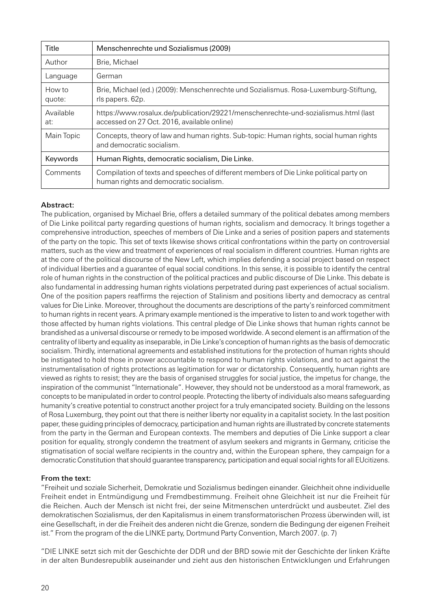| Title            | Menschenrechte und Sozialismus (2009)                                                                                             |
|------------------|-----------------------------------------------------------------------------------------------------------------------------------|
| Author           | Brie, Michael                                                                                                                     |
| Language         | German                                                                                                                            |
| How to<br>quote: | Brie, Michael (ed.) (2009): Menschenrechte und Sozialismus. Rosa-Luxemburg-Stiftung,<br>rls papers. 62p.                          |
| Available<br>at: | https://www.rosalux.de/publication/29221/menschenrechte-und-sozialismus.html (last<br>accessed on 27 Oct. 2016, available online) |
| Main Topic       | Concepts, theory of law and human rights. Sub-topic: Human rights, social human rights<br>and democratic socialism.               |
| Keywords         | Human Rights, democratic socialism, Die Linke.                                                                                    |
| Comments         | Compilation of texts and speeches of different members of Die Linke political party on<br>human rights and democratic socialism.  |

The publication, organised by Michael Brie, offers a detailed summary of the political debates among members of Die Linke poilitcal party regarding questions of human rights, socialism and democracy. It brings together a comprehensive introduction, speeches of members of Die Linke and a series of position papers and statements of the party on the topic. This set of texts likewise shows critical confrontations within the party on controversial matters, such as the view and treatment of experiences of real socialism in different countries. Human rights are at the core of the political discourse of the New Left, which implies defending a social project based on respect of individual liberties and a guarantee of equal social conditions. In this sense, it is possible to identify the central role of human rights in the construction of the political practices and public discourse of Die Linke. This debate is also fundamental in addressing human rights violations perpetrated during past experiences of actual socialism. One of the position papers reaffirms the rejection of Stalinism and positions liberty and democracy as central values for Die Linke. Moreover, throughout the documents are descriptions of the party's reinforced commitment to human rights in recent years. A primary example mentioned is the imperative to listen to and work together with those affected by human rights violations. This central pledge of Die Linke shows that human rights cannot be brandished as a universal discourse or remedy to be imposed worldwide. A second element is an affirmation of the centrality of liberty and equality as inseparable, in Die Linke's conception of human rights as the basis of democratic socialism. Thirdly, international agreements and established institutions for the protection of human rights should be instigated to hold those in power accountable to respond to human rights violations, and to act against the instrumentalisation of rights protections as legitimation for war or dictatorship. Consequently, human rights are viewed as rights to resist; they are the basis of organised struggles for social justice, the impetus for change, the inspiration of the communist "Internationale". However, they should not be understood as a moral framework, as concepts to be manipulated in order to control people. Protecting the liberty of individuals also means safeguarding humanity's creative potential to construct another project for a truly emancipated society. Building on the lessons of Rosa Luxemburg, they point out that there is neither liberty nor equality in a capitalist society. In the last position paper, these guiding principles of democracy, participation and human rights are illustrated by concrete statements from the party in the German and European contexts. The members and deputies of Die Linke support a clear position for equality, strongly condemn the treatment of asylum seekers and migrants in Germany, criticise the stigmatisation of social welfare recipients in the country and, within the European sphere, they campaign for a democratic Constitution that should guarantee transparency, participation and equal social rights for all EUcitizens.

# From the text:

"Freiheit und soziale Sicherheit, Demokratie und Sozialismus bedingen einander. Gleichheit ohne individuelle Freiheit endet in Entmündigung und Fremdbestimmung. Freiheit ohne Gleichheit ist nur die Freiheit für die Reichen. Auch der Mensch ist nicht frei, der seine Mitmenschen unterdrückt und ausbeutet. Ziel des demokratischen Sozialismus, der den Kapitalismus in einem transformatorischen Prozess überwinden will, ist eine Gesellschaft, in der die Freiheit des anderen nicht die Grenze, sondern die Bedingung der eigenen Freiheit ist." From the program of the die LINKE party, Dortmund Party Convention, March 2007. (p. 7)

"DIE LINKE setzt sich mit der Geschichte der DDR und der BRD sowie mit der Geschichte der linken Kräfte in der alten Bundesrepublik auseinander und zieht aus den historischen Entwicklungen und Erfahrungen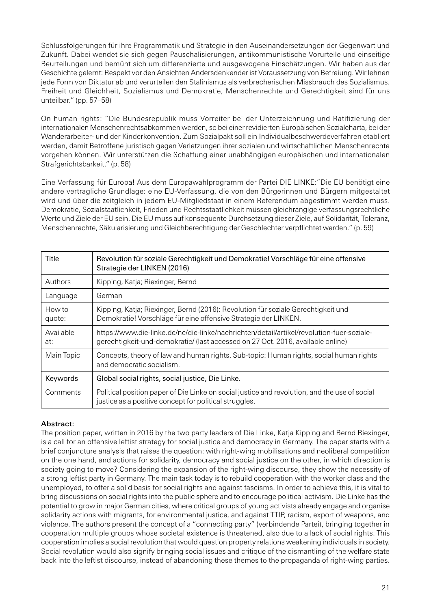Schlussfolgerungen für ihre Programmatik und Strategie in den Auseinandersetzungen der Gegenwart und Zukunft. Dabei wendet sie sich gegen Pauschalisierungen, antikommunistische Vorurteile und einseitige Beurteilungen und bemüht sich um differenzierte und ausgewogene Einschätzungen. Wir haben aus der Geschichte gelernt: Respekt vor den Ansichten Andersdenkender ist Voraussetzung von Befreiung. Wir lehnen jede Form von Diktatur ab und verurteilen den Stalinismus als verbrecherischen Missbrauch des Sozialismus. Freiheit und Gleichheit, Sozialismus und Demokratie, Menschenrechte und Gerechtigkeit sind für uns unteilbar." (pp. 57–58)

On human rights: "Die Bundesrepublik muss Vorreiter bei der Unterzeichnung und Ratifizierung der internationalen Menschenrechtsabkommen werden, so bei einer revidierten Europäischen Sozialcharta, bei der Wanderarbeiter- und der Kinderkonvention. Zum Sozialpakt soll ein Individualbeschwerdeverfahren etabliert werden, damit Betroffene juristisch gegen Verletzungen ihrer sozialen und wirtschaftlichen Menschenrechte vorgehen können. Wir unterstützen die Schaffung einer unabhängigen europäischen und internationalen Strafgerichtsbarkeit." (p. 58)

Eine Verfassung für Europa! Aus dem Europawahlprogramm der Partei DIE LINKE:"Die EU benötigt eine andere vertragliche Grundlage: eine EU-Verfassung, die von den Bürgerinnen und Bürgern mitgestaltet wird und über die zeitgleich in jedem EU-Mitgliedstaat in einem Referendum abgestimmt werden muss. Demokratie, Sozialstaatlichkeit, Frieden und Rechtsstaatlichkeit müssen gleichrangige verfassungsrechtliche Werte und Ziele der EU sein. Die EU muss auf konsequente Durchsetzung dieser Ziele, auf Solidarität, Toleranz, Menschenrechte, Säkularisierung und Gleichberechtigung der Geschlechter verpflichtet werden." (p. 59)

| Title            | Revolution für soziale Gerechtigkeit und Demokratie! Vorschläge für eine offensive<br>Strategie der LINKEN (2016)                                                            |
|------------------|------------------------------------------------------------------------------------------------------------------------------------------------------------------------------|
| Authors          | Kipping, Katja; Riexinger, Bernd                                                                                                                                             |
| Language         | German                                                                                                                                                                       |
| How to<br>quote: | Kipping, Katja; Riexinger, Bernd (2016): Revolution für soziale Gerechtigkeit und<br>Demokratie! Vorschläge für eine offensive Strategie der LINKEN.                         |
| Available<br>at: | https://www.die-linke.de/nc/die-linke/nachrichten/detail/artikel/revolution-fuer-soziale-<br>gerechtigkeit-und-demokratie/ (last accessed on 27 Oct. 2016, available online) |
| Main Topic       | Concepts, theory of law and human rights. Sub-topic: Human rights, social human rights<br>and democratic socialism.                                                          |
| Keywords         | Global social rights, social justice, Die Linke.                                                                                                                             |
| Comments         | Political position paper of Die Linke on social justice and revolution, and the use of social<br>justice as a positive concept for political struggles.                      |

# Abstract:

The position paper, written in 2016 by the two party leaders of Die Linke, Katja Kipping and Bernd Riexinger, is a call for an offensive leftist strategy for social justice and democracy in Germany. The paper starts with a brief conjuncture analysis that raises the question: with right-wing mobilisations and neoliberal competition on the one hand, and actions for solidarity, democracy and social justice on the other, in which direction is society going to move? Considering the expansion of the right-wing discourse, they show the necessity of a strong leftist party in Germany. The main task today is to rebuild cooperation with the worker class and the unemployed, to offer a solid basis for social rights and against fascisms. In order to achieve this, it is vital to bring discussions on social rights into the public sphere and to encourage political activism. Die Linke has the potential to grow in major German cities, where critical groups of young activists already engage and organise solidarity actions with migrants, for environmental justice, and against TTIP, racism, export of weapons, and violence. The authors present the concept of a "connecting party" (verbindende Partei), bringing together in cooperation multiple groups whose societal existence is threatened, also due to a lack of social rights. This cooperation implies a social revolution that would question property relations weakening individuals in society. Social revolution would also signify bringing social issues and critique of the dismantling of the welfare state back into the leftist discourse, instead of abandoning these themes to the propaganda of right-wing parties.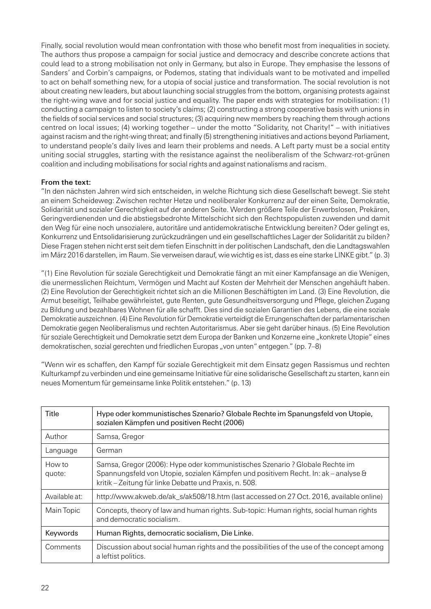Finally, social revolution would mean confrontation with those who benefit most from inequalities in society. The authors thus propose a campaign for social justice and democracy and describe concrete actions that could lead to a strong mobilisation not only in Germany, but also in Europe. They emphasise the lessons of Sanders' and Corbin's campaigns, or Podemos, stating that individuals want to be motivated and impelled to act on behalf something new, for a utopia of social justice and transformation. The social revolution is not about creating new leaders, but about launching social struggles from the bottom, organising protests against the right-wing wave and for social justice and equality. The paper ends with strategies for mobilisation: (1) conducting a campaign to listen to society's claims; (2) constructing a strong cooperative basis with unions in the fields of social services and social structures; (3) acquiring new members by reaching them through actions centred on local issues; (4) working together – under the motto "Solidarity, not Charity!" – with initiatives against racism and the right-wing threat; and finally (5) strengthening initiatives and actions beyond Parliament, to understand people's daily lives and learn their problems and needs. A Left party must be a social entity uniting social struggles, starting with the resistance against the neoliberalism of the Schwarz-rot-grünen coalition and including mobilisations for social rights and against nationalisms and racism.

# From the text:

"In den nächsten Jahren wird sich entscheiden, in welche Richtung sich diese Gesellschaft bewegt. Sie steht an einem Scheideweg: Zwischen rechter Hetze und neoliberaler Konkurrenz auf der einen Seite, Demokratie, Solidarität und sozialer Gerechtigkeit auf der anderen Seite. Werden größere Teile der Erwerbslosen, Prekären, Geringverdienenden und die abstiegsbedrohte Mittelschicht sich den Rechtspopulisten zuwenden und damit den Weg für eine noch unsozialere, autoritäre und antidemokratische Entwicklung bereiten? Oder gelingt es, Konkurrenz und Entsolidarisierung zurückzudrängen und ein gesellschaftliches Lager der Solidarität zu bilden? Diese Fragen stehen nicht erst seit dem tiefen Einschnitt in der politischen Landschaft, den die Landtagswahlen im März 2016 darstellen, im Raum. Sie verweisen darauf, wie wichtig es ist, dass es eine starke LINKE gibt." (p. 3)

"(1) Eine Revolution für soziale Gerechtigkeit und Demokratie fängt an mit einer Kampfansage an die Wenigen, die unermesslichen Reichtum, Vermögen und Macht auf Kosten der Mehrheit der Menschen angehäuft haben. (2) Eine Revolution der Gerechtigkeit richtet sich an die Millionen Beschäftigten im Land. (3) Eine Revolution, die Armut beseitigt, Teilhabe gewährleistet, gute Renten, gute Gesundheitsversorgung und Pflege, gleichen Zugang zu Bildung und bezahlbares Wohnen für alle schafft. Dies sind die sozialen Garantien des Lebens, die eine soziale Demokratie auszeichnen. (4) Eine Revolution für Demokratie verteidigt die Errungenschaften der parlamentarischen Demokratie gegen Neoliberalismus und rechten Autoritarismus. Aber sie geht darüber hinaus. (5) Eine Revolution für soziale Gerechtigkeit und Demokratie setzt dem Europa der Banken und Konzerne eine "konkrete Utopie" eines demokratischen, sozial gerechten und friedlichen Europas "von unten" entgegen." (pp. 7–8)

"Wenn wir es schaffen, den Kampf für soziale Gerechtigkeit mit dem Einsatz gegen Rassismus und rechten Kulturkampf zu verbinden und eine gemeinsame Initiative für eine solidarische Gesellschaft zu starten, kann ein neues Momentum für gemeinsame linke Politik entstehen." (p. 13)

| Title            | Hype oder kommunistisches Szenario? Globale Rechte im Spanungsfeld von Utopie,<br>sozialen Kämpfen und positiven Recht (2006)                                                                                                |
|------------------|------------------------------------------------------------------------------------------------------------------------------------------------------------------------------------------------------------------------------|
| Author           | Samsa, Gregor                                                                                                                                                                                                                |
| Language         | German                                                                                                                                                                                                                       |
| How to<br>quote: | Samsa, Gregor (2006): Hype oder kommunistisches Szenario ? Globale Rechte im<br>Spannungsfeld von Utopie, sozialen Kämpfen und positivem Recht. In: ak - analyse &<br>kritik - Zeitung für linke Debatte und Praxis, n. 508. |
| Available at:    | http://www.akweb.de/ak s/ak508/18.htm (last accessed on 27 Oct. 2016, available online)                                                                                                                                      |
| Main Topic       | Concepts, theory of law and human rights. Sub-topic: Human rights, social human rights<br>and democratic socialism.                                                                                                          |
| Keywords         | Human Rights, democratic socialism, Die Linke.                                                                                                                                                                               |
| Comments         | Discussion about social human rights and the possibilities of the use of the concept among<br>a leftist politics.                                                                                                            |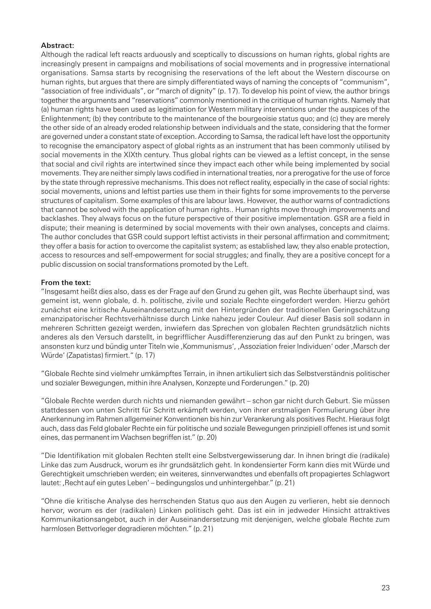Although the radical left reacts arduously and sceptically to discussions on human rights, global rights are increasingly present in campaigns and mobilisations of social movements and in progressive international organisations. Samsa starts by recognising the reservations of the left about the Western discourse on human rights, but argues that there are simply differentiated ways of naming the concepts of "communism", "association of free individuals", or "march of dignity" (p. 17). To develop his point of view, the author brings together the arguments and "reservations" commonly mentioned in the critique of human rights. Namely that (a) human rights have been used as legitimation for Western military interventions under the auspices of the Enlightenment; (b) they contribute to the maintenance of the bourgeoisie status quo; and (c) they are merely the other side of an already eroded relationship between individuals and the state, considering that the former are governed under a constant state of exception. According to Samsa, the radical left have lost the opportunity to recognise the emancipatory aspect of global rights as an instrument that has been commonly utilised by social movements in the XIXth century. Thus global rights can be viewed as a leftist concept, in the sense that social and civil rights are intertwined since they impact each other while being implemented by social movements. They are neither simply laws codified in international treaties, nor a prerogative for the use of force by the state through repressive mechanisms. This does not reflect reality, especially in the case of social rights: social movements, unions and leftist parties use them in their fights for some improvements to the perverse structures of capitalism. Some examples of this are labour laws. However, the author warns of contradictions that cannot be solved with the application of human rights.. Human rights move through improvements and backlashes. They always focus on the future perspective of their positive implementation. GSR are a field in dispute; their meaning is determined by social movements with their own analyses, concepts and claims. The author concludes that GSR could support leftist activists in their personal affirmation and commitment; they offer a basis for action to overcome the capitalist system; as established law, they also enable protection, access to resources and self-empowerment for social struggles; and finally, they are a positive concept for a public discussion on social transformations promoted by the Left.

#### From the text:

"Insgesamt heißt dies also, dass es der Frage auf den Grund zu gehen gilt, was Rechte überhaupt sind, was gemeint ist, wenn globale, d. h. politische, zivile und soziale Rechte eingefordert werden. Hierzu gehört zunächst eine kritische Auseinandersetzung mit den Hintergründen der traditionellen Geringschätzung emanzipatorischer Rechtsverhältnisse durch Linke nahezu jeder Couleur. Auf dieser Basis soll sodann in mehreren Schritten gezeigt werden, inwiefern das Sprechen von globalen Rechten grundsätzlich nichts anderes als den Versuch darstellt, in begrifflicher Ausdifferenzierung das auf den Punkt zu bringen, was ansonsten kurz und bündig unter Titeln wie ,Kommunismus', ,Assoziation freier Individuen' oder ,Marsch der Würde' (Zapatistas) firmiert." (p. 17)

"Globale Rechte sind vielmehr umkämpftes Terrain, in ihnen artikuliert sich das Selbstverständnis politischer und sozialer Bewegungen, mithin ihre Analysen, Konzepte und Forderungen." (p. 20)

"Globale Rechte werden durch nichts und niemanden gewährt – schon gar nicht durch Geburt. Sie müssen stattdessen von unten Schritt für Schritt erkämpft werden, von ihrer erstmaligen Formulierung über ihre Anerkennung im Rahmen allgemeiner Konventionen bis hin zur Verankerung als positives Recht. Hieraus folgt auch, dass das Feld globaler Rechte ein für politische und soziale Bewegungen prinzipiell offenes ist und somit eines, das permanent im Wachsen begriffen ist." (p. 20)

"Die Identifikation mit globalen Rechten stellt eine Selbstvergewisserung dar. In ihnen bringt die (radikale) Linke das zum Ausdruck, worum es ihr grundsätzlich geht. In kondensierter Form kann dies mit Würde und Gerechtigkeit umschrieben werden; ein weiteres, sinnverwandtes und ebenfalls oft propagiertes Schlagwort lautet: , Recht auf ein gutes Leben' – bedingungslos und unhintergehbar." (p. 21)

"Ohne die kritische Analyse des herrschenden Status quo aus den Augen zu verlieren, hebt sie dennoch hervor, worum es der (radikalen) Linken politisch geht. Das ist ein in jedweder Hinsicht attraktives Kommunikationsangebot, auch in der Auseinandersetzung mit denjenigen, welche globale Rechte zum harmlosen Bettvorleger degradieren möchten." (p. 21)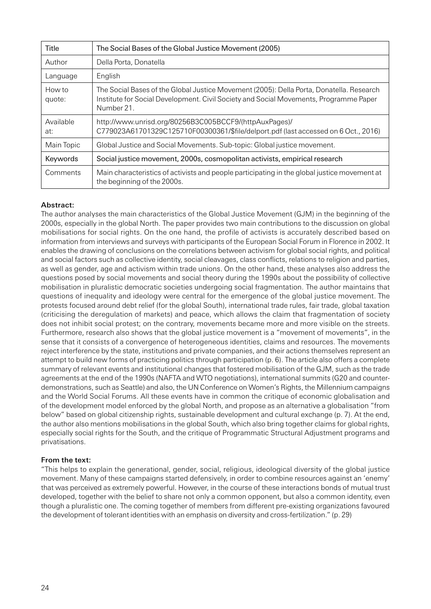| Title            | The Social Bases of the Global Justice Movement (2005)                                                                                                                                          |
|------------------|-------------------------------------------------------------------------------------------------------------------------------------------------------------------------------------------------|
| Author           | Della Porta, Donatella                                                                                                                                                                          |
| Language         | English                                                                                                                                                                                         |
| How to<br>quote: | The Social Bases of the Global Justice Movement (2005): Della Porta, Donatella. Research<br>Institute for Social Development. Civil Society and Social Movements, Programme Paper<br>Number 21. |
| Available<br>at: | http://www.unrisd.org/80256B3C005BCCF9/(httpAuxPages)/<br>C779023A61701329C125710F00300361/\$file/delport.pdf (last accessed on 6 Oct., 2016)                                                   |
| Main Topic       | Global Justice and Social Movements. Sub-topic: Global justice movement.                                                                                                                        |
| Keywords         | Social justice movement, 2000s, cosmopolitan activists, empirical research                                                                                                                      |
| Comments         | Main characteristics of activists and people participating in the global justice movement at<br>the beginning of the 2000s.                                                                     |

The author analyses the main characteristics of the Global Justice Movement (GJM) in the beginning of the 2000s, especially in the global North. The paper provides two main contributions to the discussion on global mobilisations for social rights. On the one hand, the profile of activists is accurately described based on information from interviews and surveys with participants of the European Social Forum in Florence in 2002. It enables the drawing of conclusions on the correlations between activism for global social rights, and political and social factors such as collective identity, social cleavages, class conflicts, relations to religion and parties, as well as gender, age and activism within trade unions. On the other hand, these analyses also address the questions posed by social movements and social theory during the 1990s about the possibility of collective mobilisation in pluralistic democratic societies undergoing social fragmentation. The author maintains that questions of inequality and ideology were central for the emergence of the global justice movement. The protests focused around debt relief (for the global South), international trade rules, fair trade, global taxation (criticising the deregulation of markets) and peace, which allows the claim that fragmentation of society does not inhibit social protest; on the contrary, movements became more and more visible on the streets. Furthermore, research also shows that the global justice movement is a "movement of movements", in the sense that it consists of a convergence of heterogeneous identities, claims and resources. The movements reject interference by the state, institutions and private companies, and their actions themselves represent an attempt to build new forms of practicing politics through participation (p. 6). The article also offers a complete summary of relevant events and institutional changes that fostered mobilisation of the GJM, such as the trade agreements at the end of the 1990s (NAFTA and WTO negotiations), international summits (G20 and counterdemonstrations, such as Seattle) and also, the UN Conference on Women's Rights, the Millennium campaigns and the World Social Forums. All these events have in common the critique of economic globalisation and of the development model enforced by the global North, and propose as an alternative a globalisation "from below" based on global citizenship rights, sustainable development and cultural exchange (p. 7). At the end, the author also mentions mobilisations in the global South, which also bring together claims for global rights, especially social rights for the South, and the critique of Programmatic Structural Adjustment programs and privatisations.

#### From the text:

"This helps to explain the generational, gender, social, religious, ideological diversity of the global justice movement. Many of these campaigns started defensively, in order to combine resources against an 'enemy' that was perceived as extremely powerful. However, in the course of these interactions bonds of mutual trust developed, together with the belief to share not only a common opponent, but also a common identity, even though a pluralistic one. The coming together of members from different pre-existing organizations favoured the development of tolerant identities with an emphasis on diversity and cross-fertilization." (p. 29)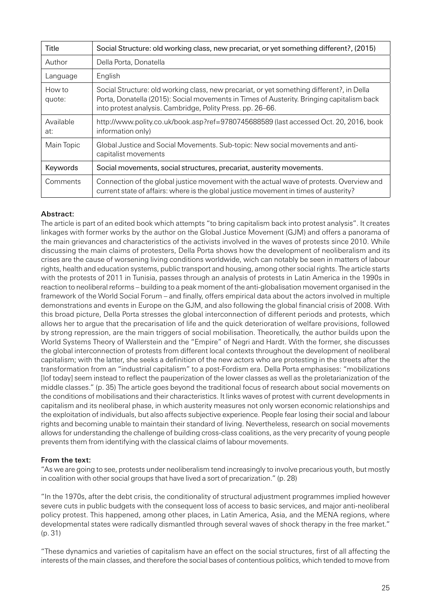| Title            | Social Structure: old working class, new precariat, or yet something different?, (2015)                                                                                                                                                              |
|------------------|------------------------------------------------------------------------------------------------------------------------------------------------------------------------------------------------------------------------------------------------------|
| Author           | Della Porta, Donatella                                                                                                                                                                                                                               |
| Language         | English                                                                                                                                                                                                                                              |
| How to<br>quote: | Social Structure: old working class, new precariat, or yet something different?, in Della<br>Porta, Donatella (2015): Social movements in Times of Austerity. Bringing capitalism back<br>into protest analysis. Cambridge, Polity Press. pp. 26-66. |
| Available<br>at: | http://www.polity.co.uk/book.asp?ref=9780745688589 (last accessed Oct. 20, 2016, book<br>information only)                                                                                                                                           |
| Main Topic       | Global Justice and Social Movements. Sub-topic: New social movements and anti-<br>capitalist movements                                                                                                                                               |
| Keywords         | Social movements, social structures, precariat, austerity movements.                                                                                                                                                                                 |
| Comments         | Connection of the global justice movement with the actual wave of protests. Overview and<br>current state of affairs: where is the global justice movement in times of austerity?                                                                    |

The article is part of an edited book which attempts "to bring capitalism back into protest analysis". It creates linkages with former works by the author on the Global Justice Movement (GJM) and offers a panorama of the main grievances and characteristics of the activists involved in the waves of protests since 2010. While discussing the main claims of protesters, Della Porta shows how the development of neoliberalism and its crises are the cause of worsening living conditions worldwide, wich can notably be seen in matters of labour rights, health and education systems, public transport and housing, among other social rights. The article starts with the protests of 2011 in Tunisia, passes through an analysis of protests in Latin America in the 1990s in reaction to neoliberal reforms – building to a peak moment of the anti-globalisation movement organised in the framework of the World Social Forum – and finally, offers empirical data about the actors involved in multiple demonstrations and events in Europe on the GJM, and also following the global financial crisis of 2008. With this broad picture, Della Porta stresses the global interconnection of different periods and protests, which allows her to argue that the precarisation of life and the quick deterioration of welfare provisions, followed by strong repression, are the main triggers of social mobilisation. Theoretically, the author builds upon the World Systems Theory of Wallerstein and the "Empire" of Negri and Hardt. With the former, she discusses the global interconnection of protests from different local contexts throughout the development of neoliberal capitalism; with the latter, she seeks a definition of the new actors who are protesting in the streets after the transformation from an "industrial capitalism" to a post-Fordism era. Della Porta emphasises: "mobilizations [lof today] seem instead to reflect the pauperization of the lower classes as well as the proletarianization of the middle classes." (p. 35) The article goes beyond the traditional focus of research about social movements on the conditions of mobilisations and their characteristics. It links waves of protest with current developments in capitalism and its neoliberal phase, in which austerity measures not only worsen economic relationships and the exploitation of individuals, but also affects subjective experience. People fear losing their social and labour rights and becoming unable to maintain their standard of living. Nevertheless, research on social movements allows for understanding the challenge of building cross-class coalitions, as the very precarity of young people prevents them from identifying with the classical claims of labour movements.

# From the text:

"As we are going to see, protests under neoliberalism tend increasingly to involve precarious youth, but mostly in coalition with other social groups that have lived a sort of precarization." (p. 28)

"In the 1970s, after the debt crisis, the conditionality of structural adjustment programmes implied however severe cuts in public budgets with the consequent loss of access to basic services, and major anti-neoliberal policy protest. This happened, among other places, in Latin America, Asia, and the MENA regions, where developmental states were radically dismantled through several waves of shock therapy in the free market." (p. 31)

"These dynamics and varieties of capitalism have an effect on the social structures, first of all affecting the interests of the main classes, and therefore the social bases of contentious politics, which tended to move from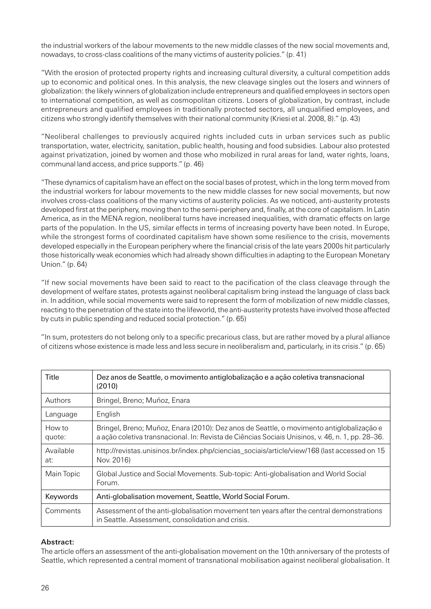the industrial workers of the labour movements to the new middle classes of the new social movements and, nowadays, to cross-class coalitions of the many victims of austerity policies." (p. 41)

"With the erosion of protected property rights and increasing cultural diversity, a cultural competition adds up to economic and political ones. In this analysis, the new cleavage singles out the losers and winners of globalization: the likely winners of globalization include entrepreneurs and qualified employees in sectors open to international competition, as well as cosmopolitan citizens. Losers of globalization, by contrast, include entrepreneurs and qualified employees in traditionally protected sectors, all unqualified employees, and citizens who strongly identify themselves with their national community (Kriesi et al. 2008, 8)." (p. 43)

"Neoliberal challenges to previously acquired rights included cuts in urban services such as public transportation, water, electricity, sanitation, public health, housing and food subsidies. Labour also protested against privatization, joined by women and those who mobilized in rural areas for land, water rights, loans, communal land access, and price supports." (p. 46)

"These dynamics of capitalism have an effect on the social bases of protest, which in the long term moved from the industrial workers for labour movements to the new middle classes for new social movements, but now involves cross-class coalitions of the many victims of austerity policies. As we noticed, anti-austerity protests developed first at the periphery, moving then to the semi-periphery and, finally, at the core of capitalism. In Latin America, as in the MENA region, neoliberal turns have increased inequalities, with dramatic effects on large parts of the population. In the US, similar effects in terms of increasing poverty have been noted. In Europe, while the strongest forms of coordinated capitalism have shown some resilience to the crisis, movements developed especially in the European periphery where the financial crisis of the late years 2000s hit particularly those historically weak economies which had already shown difficulties in adapting to the European Monetary Union." (p. 64)

"If new social movements have been said to react to the pacification of the class cleavage through the development of welfare states, protests against neoliberal capitalism bring instead the language of class back in. In addition, while social movements were said to represent the form of mobilization of new middle classes, reacting to the penetration of the state into the lifeworld, the anti-austerity protests have involved those affected by cuts in public spending and reduced social protection." (p. 65)

"In sum, protesters do not belong only to a specific precarious class, but are rather moved by a plural alliance of citizens whose existence is made less and less secure in neoliberalism and, particularly, in its crisis." (p. 65)

| Title            | Dez anos de Seattle, o movimento antiglobalização e a ação coletiva transnacional<br>(2010)                                                                                                  |
|------------------|----------------------------------------------------------------------------------------------------------------------------------------------------------------------------------------------|
| Authors          | Bringel, Breno; Muñoz, Enara                                                                                                                                                                 |
| Language         | English                                                                                                                                                                                      |
| How to<br>quote: | Bringel, Breno; Muñoz, Enara (2010): Dez anos de Seattle, o movimento antiglobalização e<br>a ação coletiva transnacional. In: Revista de Ciências Sociais Unisinos, v. 46, n. 1, pp. 28–36. |
| Available<br>at: | http://revistas.unisinos.br/index.php/ciencias_sociais/article/view/168 (last accessed on 15<br>Nov. 2016)                                                                                   |
| Main Topic       | Global Justice and Social Movements. Sub-topic: Anti-globalisation and World Social<br>Forum.                                                                                                |
| Keywords         | Anti-globalisation movement, Seattle, World Social Forum.                                                                                                                                    |
| Comments         | Assessment of the anti-globalisation movement ten years after the central demonstrations<br>in Seattle. Assessment, consolidation and crisis.                                                |

#### Abstract:

The article offers an assessment of the anti-globalisation movement on the 10th anniversary of the protests of Seattle, which represented a central moment of transnational mobilisation against neoliberal globalisation. It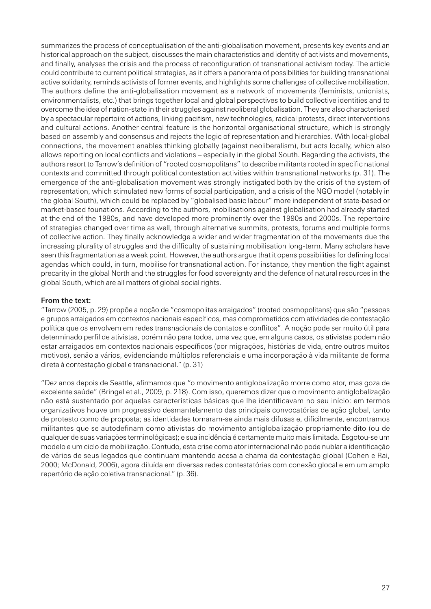summarizes the process of conceptualisation of the anti-globalisation movement, presents key events and an historical approach on the subject, discusses the main characteristics and identity of activists and movements, and finally, analyses the crisis and the process of reconfiguration of transnational activism today. The article could contribute to current political strategies, as it offers a panorama of possibilities for building transnational active solidarity, reminds activists of former events, and highlights some challenges of collective mobilisation. The authors define the anti-globalisation movement as a network of movements (feminists, unionists, environmentalists, etc.) that brings together local and global perspectives to build collective identities and to overcome the idea of nation-state in their struggles against neoliberal globalisation. They are also characterised by a spectacular repertoire of actions, linking pacifism, new technologies, radical protests, direct interventions and cultural actions. Another central feature is the horizontal organisational structure, which is strongly based on assembly and consensus and rejects the logic of representation and hierarchies. With local-global connections, the movement enables thinking globally (against neoliberalism), but acts locally, which also allows reporting on local conflicts and violations – especially in the global South. Regarding the activists, the authors resort to Tarrow's definition of "rooted cosmopolitans" to describe militants rooted in specific national contexts and committed through political contestation activities within transnational networks (p. 31). The emergence of the anti-globalisation movement was strongly instigated both by the crisis of the system of representation, which stimulated new forms of social participation, and a crisis of the NGO model (notably in the global South), which could be replaced by "globalised basic labour" more independent of state-based or market-based founations. According to the authors, mobilisations against globalisation had already started at the end of the 1980s, and have developed more prominently over the 1990s and 2000s. The repertoire of strategies changed over time as well, through alternative summits, protests, forums and multiple forms of collective action. They finally acknowledge a wider and wider fragmentation of the movements due the increasing plurality of struggles and the difficulty of sustaining mobilisation long-term. Many scholars have seen this fragmentation as a weak point. However, the authors argue that it opens possibilities for defining local agendas which could, in turn, mobilise for transnational action. For instance, they mention the fight against precarity in the global North and the struggles for food sovereignty and the defence of natural resources in the global South, which are all matters of global social rights.

# From the text:

"Tarrow (2005, p. 29) propõe a noção de "cosmopolitas arraigados" (rooted cosmopolitans) que são "pessoas e grupos arraigados em contextos nacionais específicos, mas comprometidos com atividades de contestação política que os envolvem em redes transnacionais de contatos e conflitos". A noção pode ser muito útil para determinado perfil de ativistas, porém não para todos, uma vez que, em alguns casos, os ativistas podem não estar arraigados em contextos nacionais específicos (por migrações, histórias de vida, entre outros muitos motivos), senão a vários, evidenciando múltiplos referenciais e uma incorporação à vida militante de forma direta à contestação global e transnacional." (p. 31)

"Dez anos depois de Seattle, afirmamos que "o movimento antiglobalização morre como ator, mas goza de excelente saúde" (Bringel et al., 2009, p. 218). Com isso, queremos dizer que o movimento antiglobalização não está sustentado por aquelas características básicas que lhe identificavam no seu início: em termos organizativos houve um progressivo desmantelamento das principais convocatórias de ação global, tanto de protesto como de proposta; as identidades tornaram-se ainda mais difusas e, dificilmente, encontramos militantes que se autodefinam como ativistas do movimento antiglobalização propriamente dito (ou de qualquer de suas variações terminológicas); e sua incidência é certamente muito mais limitada. Esgotou-se um modelo e um ciclo de mobilização. Contudo, esta crise como ator internacional não pode nublar a identificação de vários de seus legados que continuam mantendo acesa a chama da contestação global (Cohen e Rai, 2000; McDonald, 2006), agora diluída em diversas redes contestatórias com conexão glocal e em um amplo repertório de ação coletiva transnacional." (p. 36).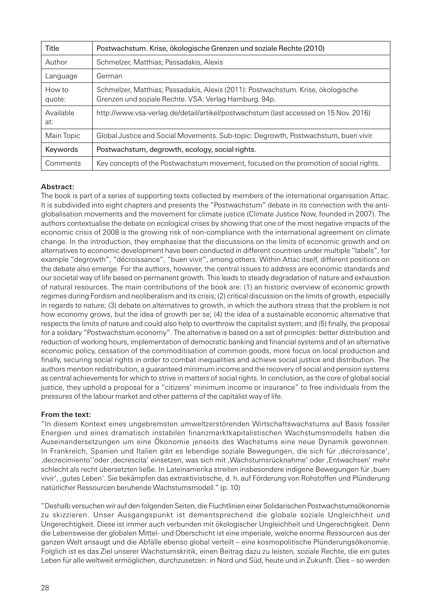| Title            | Postwachstum. Krise, ökologische Grenzen und soziale Rechte (2010)                                                                        |
|------------------|-------------------------------------------------------------------------------------------------------------------------------------------|
| Author           | Schmelzer, Matthias; Passadakis, Alexis                                                                                                   |
| Language         | German                                                                                                                                    |
| How to<br>quote: | Schmelzer, Matthias; Passadakis, Alexis (2011): Postwachstum. Krise, ökologische<br>Grenzen und soziale Rechte. VSA: Verlag Hamburg. 94p. |
| Available<br>at: | http://www.vsa-verlag.de/detail/artikel/postwachstum (last accessed on 15 Nov. 2016)                                                      |
| Main Topic       | Global Justice and Social Movements. Sub-topic: Degrowth, Postwachstum, buen vivir.                                                       |
| Keywords         | Postwachstum, degrowth, ecology, social rights.                                                                                           |
| Comments         | Key concepts of the Postwachstum movement, focused on the promotion of social rights.                                                     |

The book is part of a series of supporting texts collected by members of the international organisation Attac. It is subdivided into eight chapters and presents the "Postwachstum" debate in its connection with the antiglobalisation movements and the movement for climate justice (Climate Justice Now, founded in 2007). The authors contextualise the debate on ecological crises by showing that one of the most negative impacts of the economic crisis of 2008 is the growing risk of non-compliance with the international agreement on climate change. In the introduction, they emphasise that the discussions on the limits of economic growth and on alternatives to economic development have been conducted in different countries under multiple "labels", for example "degrowth", "décroissance", "buen vivir", among others. Within Attac itself, different positions on the debate also emerge. For the authors, however, the central issues to address are economic standards and our societal way of life based on permanent growth. This leads to steady degradation of nature and exhaustion of natural resources. The main contributions of the book are: (1) an historic overview of economic growth regimes during Fordism and neoliberalism and its crisis; (2) critical discussion on the limits of growth, especially in regards to nature; (3) debate on alternatives to growth, in which the authors stress that the problem is not how economy grows, but the idea of growth per se; (4) the idea of a sustainable economic alternative that respects the limits of nature and could also help to overthrow the capitalist system; and (5) finally, the proposal for a solidary "Postwachstum economy". The alternative is based on a set of principles: better distribution and reduction of working hours, implementation of democratic banking and financial systems and of an alternative economic policy, cessation of the commoditisation of common goods, more focus on local production and finally, securing social rights in order to combat inequalities and achieve social justice and distribution. The authors mention redistribution, a guaranteed minimum income and the recovery of social and pension systems as central achievements for which to strive in matters of social rights. In conclusion, as the core of global social justice, they uphold a proposal for a "citizens' minimum income or insurance" to free individuals from the pressures of the labour market and other patterns of the capitalist way of life.

# From the text:

"In diesem Kontext eines ungebremsten umweltzerstörenden Wirtschaftswachstums auf Basis fossiler Energien und eines dramatisch instabilen finanzmarktkapitalistischen Wachstumsmodells haben die Auseinandersetzungen um eine Ökonomie jenseits des Wachstums eine neue Dynamik gewonnen. In Frankreich, Spanien und Italien gibt es lebendige soziale Bewegungen, die sich für ,décroissance', decrecimiento''oder ,decrescita' einsetzen, was sich mit ,Wachstumsrücknahme' oder ,Entwachsen' mehr, schlecht als recht übersetzten ließe. In Lateinamerika streiten insbesondere indigene Bewegungen für 'buen vivir', 'gutes Leben'. Sie bekämpfen das extraktivistische, d. h. auf Förderung von Rohstoffen und Plünderung natürlicher Ressourcen beruhende Wachstumsmodell." (p. 10)

"Deshalb versuchen wir auf den folgenden Seiten, die Fluchtlinien einer Solidarischen Postwachstumsökonomie zu skizzieren. Unser Ausgangspunkt ist dementsprechend die globale soziale Ungleichheit und Ungerechtigkeit. Diese ist immer auch verbunden mit ökologischer Ungleichheit und Ungerechtigkeit. Denn die Lebensweise der globalen Mittel- und Oberschicht ist eine imperiale, welche enorme Ressourcen aus der ganzen Welt ansaugt und die Abfälle ebenso global verteilt – eine kosmopolitische Plünderungsökonomie. Folglich ist es das Ziel unserer Wachstumskritik, einen Beitrag dazu zu leisten, soziale Rechte, die ein gutes Leben für alle weltweit ermöglichen, durchzusetzen: in Nord und Süd, heute und in Zukunft. Dies – so werden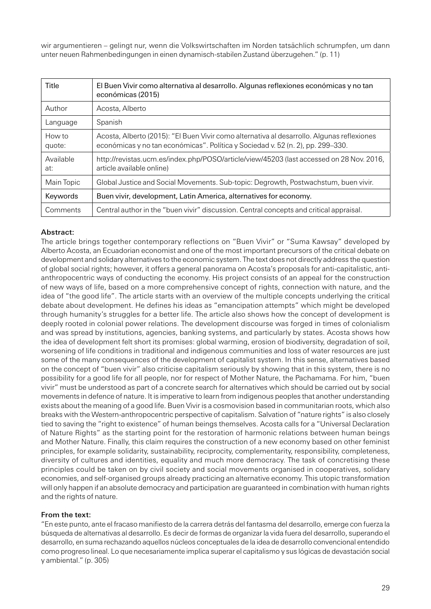wir argumentieren – gelingt nur, wenn die Volkswirtschaften im Norden tatsächlich schrumpfen, um dann unter neuen Rahmenbedingungen in einen dynamisch-stabilen Zustand überzugehen." (p. 11)

| Title            | El Buen Vivir como alternativa al desarrollo. Algunas reflexiones económicas y no tan<br>económicas (2015)                                                                    |
|------------------|-------------------------------------------------------------------------------------------------------------------------------------------------------------------------------|
| Author           | Acosta, Alberto                                                                                                                                                               |
| Language         | Spanish                                                                                                                                                                       |
| How to<br>quote: | Acosta, Alberto (2015): "El Buen Vivir como alternativa al desarrollo. Algunas reflexiones<br>económicas y no tan económicas". Política y Sociedad v. 52 (n. 2), pp. 299–330. |
| Available<br>at: | http://revistas.ucm.es/index.php/POSO/article/view/45203 (last accessed on 28 Nov. 2016,<br>article available online)                                                         |
| Main Topic       | Global Justice and Social Movements. Sub-topic: Degrowth, Postwachstum, buen vivir.                                                                                           |
| Keywords         | Buen vivir, development, Latin America, alternatives for economy.                                                                                                             |
| Comments         | Central author in the "buen vivir" discussion. Central concepts and critical appraisal.                                                                                       |

# Abstract:

The article brings together contemporary reflections on "Buen Vivir" or "Suma Kawsay" developed by Alberto Acosta, an Ecuadorian economist and one of the most important precursors of the critical debate on development and solidary alternatives to the economic system. The text does not directly address the question of global social rights; however, it offers a general panorama on Acosta's proposals for anti-capitalistic, antianthropocentric ways of conducting the economy. His project consists of an appeal for the construction of new ways of life, based on a more comprehensive concept of rights, connection with nature, and the idea of "the good life". The article starts with an overview of the multiple concepts underlying the critical debate about development. He defines his ideas as "emancipation attempts" which might be developed through humanity's struggles for a better life. The article also shows how the concept of development is deeply rooted in colonial power relations. The development discourse was forged in times of colonialism and was spread by institutions, agencies, banking systems, and particularly by states. Acosta shows how the idea of development felt short its promises: global warming, erosion of biodiversity, degradation of soil, worsening of life conditions in traditional and indigenous communities and loss of water resources are just some of the many consequences of the development of capitalist system. In this sense, alternatives based on the concept of "buen vivir" also criticise capitalism seriously by showing that in this system, there is no possibility for a good life for all people, nor for respect of Mother Nature, the Pachamama. For him, "buen vivir" must be understood as part of a concrete search for alternatives which should be carried out by social movements in defence of nature. It is imperative to learn from indigenous peoples that another understanding exists about the meaning of a good life. Buen Vivir is a cosmovision based in communitarian roots, which also breaks with the Western-anthropocentric perspective of capitalism. Salvation of "nature rights" is also closely tied to saving the "right to existence" of human beings themselves. Acosta calls for a "Universal Declaration of Nature Rights" as the starting point for the restoration of harmonic relations between human beings and Mother Nature. Finally, this claim requires the construction of a new economy based on other feminist principles, for example solidarity, sustainability, reciprocity, complementarity, responsibility, completeness, diversity of cultures and identities, equality and much more democracy. The task of concretising these principles could be taken on by civil society and social movements organised in cooperatives, solidary economies, and self-organised groups already practicing an alternative economy. This utopic transformation will only happen if an absolute democracy and participation are guaranteed in combination with human rights and the rights of nature.

#### From the text:

"En este punto, ante el fracaso manifiesto de la carrera detrás del fantasma del desarrollo, emerge con fuerza la búsqueda de alternativas al desarrollo. Es decir de formas de organizar la vida fuera del desarrollo, superando el desarrollo, en suma rechazando aquellos núcleos conceptuales de la idea de desarrollo convencional entendido como progreso lineal. Lo que necesariamente implica superar el capitalismo y sus lógicas de devastación social y ambiental." (p. 305)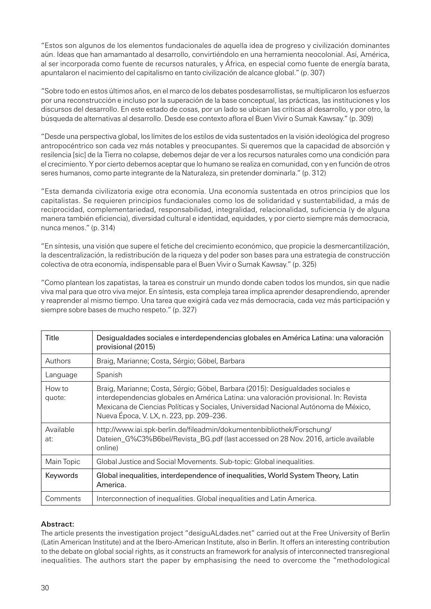"Estos son algunos de los elementos fundacionales de aquella idea de progreso y civilización dominantes aún. Ideas que han amamantado al desarrollo, convirtiéndolo en una herramienta neocolonial. Así, América, al ser incorporada como fuente de recursos naturales, y África, en especial como fuente de energía barata, apuntalaron el nacimiento del capitalismo en tanto civilización de alcance global." (p. 307)

"Sobre todo en estos últimos años, en el marco de los debates posdesarrollistas, se multiplicaron los esfuerzos por una reconstrucción e incluso por la superación de la base conceptual, las prácticas, las instituciones y los discursos del desarrollo. En este estado de cosas, por un lado se ubican las críticas al desarrollo, y por otro, la búsqueda de alternativas al desarrollo. Desde ese contexto aflora el Buen Vivir o Sumak Kawsay." (p. 309)

"Desde una perspectiva global, los límites de los estilos de vida sustentados en la visión ideológica del progreso antropocéntrico son cada vez más notables y preocupantes. Si queremos que la capacidad de absorción y resilencia [sic] de la Tierra no colapse, debemos dejar de ver a los recursos naturales como una condición para el crecimiento. Y por cierto debemos aceptar que lo humano se realiza en comunidad, con y en función de otros seres humanos, como parte integrante de la Naturaleza, sin pretender dominarla." (p. 312)

"Esta demanda civilizatoria exige otra economía. Una economía sustentada en otros principios que los capitalistas. Se requieren principios fundacionales como los de solidaridad y sustentabilidad, a más de reciprocidad, complementariedad, responsabilidad, integralidad, relacionalidad, suficiencia (y de alguna manera también eficiencia), diversidad cultural e identidad, equidades, y por cierto siempre más democracia, nunca menos." (p. 314)

"En síntesis, una visión que supere el fetiche del crecimiento económico, que propicie la desmercantilización, la descentralización, la redistribución de la riqueza y del poder son bases para una estrategia de construcción colectiva de otra economía, indispensable para el Buen Vivir o Sumak Kawsay." (p. 325)

"Como plantean los zapatistas, la tarea es construir un mundo donde caben todos los mundos, sin que nadie viva mal para que otro viva mejor. En síntesis, esta compleja tarea implica aprender desaprendiendo, aprender y reaprender al mismo tiempo. Una tarea que exigirá cada vez más democracia, cada vez más participación y siempre sobre bases de mucho respeto." (p. 327)

| Title            | Desigualdades sociales e interdependencias globales en América Latina: una valoración<br>provisional (2015)                                                                                                                                                                                                 |
|------------------|-------------------------------------------------------------------------------------------------------------------------------------------------------------------------------------------------------------------------------------------------------------------------------------------------------------|
| Authors          | Braig, Marianne; Costa, Sérgio; Göbel, Barbara                                                                                                                                                                                                                                                              |
| Language         | Spanish                                                                                                                                                                                                                                                                                                     |
| How to<br>quote: | Braig, Marianne; Costa, Sérgio; Göbel, Barbara (2015): Desigualdades sociales e<br>interdependencias globales en América Latina: una valoración provisional. In: Revista<br>Mexicana de Ciencias Políticas y Sociales, Universidad Nacional Autónoma de México,<br>Nueva Época, V. LX, n. 223, pp. 209–236. |
| Available<br>at: | http://www.iai.spk-berlin.de/fileadmin/dokumentenbibliothek/Forschung/<br>Dateien_G%C3%B6bel/Revista_BG.pdf (last accessed on 28 Nov. 2016, article available<br>online)                                                                                                                                    |
| Main Topic       | Global Justice and Social Movements. Sub-topic: Global inequalities.                                                                                                                                                                                                                                        |
| Keywords         | Global inequalities, interdependence of inequalities, World System Theory, Latin<br>America.                                                                                                                                                                                                                |
| Comments         | Interconnection of inequalities. Global inequalities and Latin America.                                                                                                                                                                                                                                     |

# Abstract:

The article presents the investigation project "desiguALdades.net" carried out at the Free University of Berlin (Latin American Institute) and at the Ibero-American Institute, also in Berlin. It offers an interesting contribution to the debate on global social rights, as it constructs an framework for analysis of interconnected transregional inequalities. The authors start the paper by emphasising the need to overcome the "methodological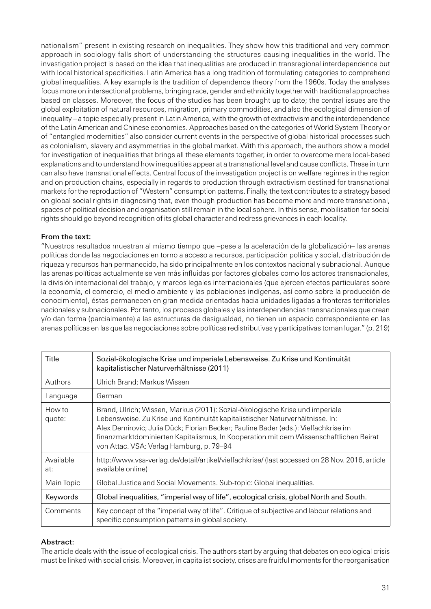nationalism" present in existing research on inequalities. They show how this traditional and very common approach in sociology falls short of understanding the structures causing inequalities in the world. The investigation project is based on the idea that inequalities are produced in transregional interdependence but with local historical specificities. Latin America has a long tradition of formulating categories to comprehend global inequalities. A key example is the tradition of dependence theory from the 1960s. Today the analyses focus more on intersectional problems, bringing race, gender and ethnicity together with traditional approaches based on classes. Moreover, the focus of the studies has been brought up to date; the central issues are the global exploitation of natural resources, migration, primary commodities, and also the ecological dimension of inequality – a topic especially present in Latin America, with the growth of extractivism and the interdependence of the Latin American and Chinese economies. Approaches based on the categories of World System Theory or of "entangled modernities" also consider current events in the perspective of global historical processes such as colonialism, slavery and asymmetries in the global market. With this approach, the authors show a model for investigation of inequalities that brings all these elements together, in order to overcome mere local-based explanations and to understand how inequalities appear at a transnational level and cause conflicts. These in turn can also have transnational effects. Central focus of the investigation project is on welfare regimes in the region and on production chains, especially in regards to production through extractivism destined for transnational markets for the reproduction of "Western" consumption patterns. Finally, the text contributes to a strategy based on global social rights in diagnosing that, even though production has become more and more transnational, spaces of political decision and organisation still remain in the local sphere. In this sense, mobilisation for social rights should go beyond recognition of its global character and redress grievances in each locality.

#### From the text:

"Nuestros resultados muestran al mismo tiempo que –pese a la aceleración de la globalización– las arenas políticas donde las negociaciones en torno a acceso a recursos, participación política y social, distribución de riqueza y recursos han permanecido, ha sido principalmente en los contextos nacional y subnacional. Aunque las arenas políticas actualmente se ven más influidas por factores globales como los actores transnacionales, la división internacional del trabajo, y marcos legales internacionales (que ejercen efectos particulares sobre la economía, el comercio, el medio ambiente y las poblaciones indígenas, así como sobre la producción de conocimiento), éstas permanecen en gran medida orientadas hacia unidades ligadas a fronteras territoriales nacionales y subnacionales. Por tanto, los procesos globales y las interdependencias transnacionales que crean y/o dan forma (parcialmente) a las estructuras de desigualdad, no tienen un espacio correspondiente en las arenas políticas en las que las negociaciones sobre políticas redistributivas y participativas toman lugar." (p. 219)

| Title            | Sozial-ökologische Krise und imperiale Lebensweise. Zu Krise und Kontinuität<br>kapitalistischer Naturverhältnisse (2011)                                                                                                                                                                                                                                                                |
|------------------|------------------------------------------------------------------------------------------------------------------------------------------------------------------------------------------------------------------------------------------------------------------------------------------------------------------------------------------------------------------------------------------|
| Authors          | Ulrich Brand; Markus Wissen                                                                                                                                                                                                                                                                                                                                                              |
| Language         | German                                                                                                                                                                                                                                                                                                                                                                                   |
| How to<br>quote: | Brand, Ulrich; Wissen, Markus (2011): Sozial-ökologische Krise und imperiale<br>Lebensweise. Zu Krise und Kontinuität kapitalistischer Naturverhältnisse. In:<br>Alex Demirovic; Julia Dück; Florian Becker; Pauline Bader (eds.): Vielfachkrise im<br>finanzmarktdominierten Kapitalismus, In Kooperation mit dem Wissenschaftlichen Beirat<br>von Attac. VSA: Verlag Hamburg, p. 79-94 |
| Available<br>at: | http://www.vsa-verlag.de/detail/artikel/vielfachkrise/ (last accessed on 28 Nov. 2016, article<br>available online)                                                                                                                                                                                                                                                                      |
| Main Topic       | Global Justice and Social Movements. Sub-topic: Global inequalities.                                                                                                                                                                                                                                                                                                                     |
| Keywords         | Global inequalities, "imperial way of life", ecological crisis, global North and South.                                                                                                                                                                                                                                                                                                  |
| Comments         | Key concept of the "imperial way of life". Critique of subjective and labour relations and<br>specific consumption patterns in global society.                                                                                                                                                                                                                                           |

#### Abstract:

The article deals with the issue of ecological crisis. The authors start by arguing that debates on ecological crisis must be linked with social crisis. Moreover, in capitalist society, crises are fruitful moments for the reorganisation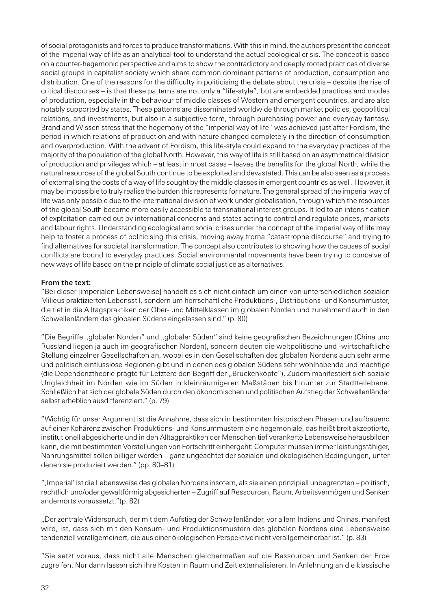of social protagonists and forces to produce transformations. With this in mind, the authors present the concept of the imperial way of life as an analytical tool to understand the actual ecological crisis. The concept is based on a counter-hegemonic perspective and aims to show the contradictory and deeply rooted practices of diverse social groups in capitalist society which share common dominant patterns of production, consumption and distribution. One of the reasons for the difficulty in politicising the debate about the crisis – despite the rise of critical discourses – is that these patterns are not only a "life-style", but are embedded practices and modes of production, especially in the behaviour of middle classes of Western and emergent countries, and are also notably supported by states. These patterns are disseminated worldwide through market policies, geopolitical relations, and investments, but also in a subjective form, through purchasing power and everyday fantasy. Brand and Wissen stress that the hegemony of the "imperial way of life" was achieved just after Fordism, the period in which relations of production and with nature changed completely in the direction of consumption and overproduction. With the advent of Fordism, this life-style could expand to the everyday practices of the majority of the population of the global North. However, this way of life is still based on an asymmetrical division of production and privileges which – at least in most cases – leaves the benefits for the global North, while the natural resources of the global South continue to be exploited and devastated. This can be also seen as a process of externalising the costs of a way of life sought by the middle classes in emergent countries as well. However, it may be impossible to truly realise the burden this represents for nature. The general spread of the imperial way of life was only possible due to the international division of work under globalisation, through which the resources of the global South become more easily accessible to transnational interest groups. It led to an intensification of exploitation carried out by international concerns and states acting to control and regulate prices, markets and labour rights. Understanding ecological and social crises under the concept of the imperial way of life may help to foster a process of politicising this crisis, moving away froma "catastrophe discourse" and trying to find alternatives for societal transformation. The concept also contributes to showing how the causes of social conflicts are bound to everyday practices. Social environmental movements have been trying to conceive of new ways of life based on the principle of climate social justice as alternatives.

#### From the text:

"Bei dieser [imperialen Lebensweise] handelt es sich nicht einfach um einen von unterschiedlichen sozialen Milieus praktizierten Lebensstil, sondern um herrschaftliche Produktions-, Distributions- und Konsummuster, die tief in die Alltagspraktiken der Ober- und Mittelklassen im globalen Norden und zunehmend auch in den Schwellenländern des globalen Südens eingelassen sind." (p. 80)

"Die Begriffe "globaler Norden" und "globaler Süden" sind keine geografischen Bezeichnungen (China und Russland liegen ja auch im geografischen Norden), sondern deuten die weltpolitische und -wirtschaftliche Stellung einzelner Gesellschaften an, wobei es in den Gesellschaften des globalen Nordens auch sehr arme und politisch einflusslose Regionen gibt und in denen des globalen Südens sehr wohlhabende und mächtige (die Dependenztheorie prägte für Letztere den Begriff der "Brückenköpfe"). Zudem manifestiert sich soziale Ungleichheit im Norden wie im Süden in kleinräumigeren Maßstäben bis hinunter zur Stadtteilebene. Schließlich hat sich der globale Süden durch den ökonomischen und politischen Aufstieg der Schwellenländer selbst erheblich ausdifferenziert." (p. 79)

"Wichtig für unser Argument ist die Annahme, dass sich in bestimmten historischen Phasen und aufbauend auf einer Kohärenz zwischen Produktions- und Konsummustern eine hegemoniale, das heißt breit akzeptierte, institutionell abgesicherte und in den Alltagpraktiken der Menschen tief verankerte Lebensweise herausbilden kann, die mit bestimmten Vorstellungen von Fortschritt einhergeht: Computer müssen immer leistungsfähiger, Nahrungsmittel sollen billiger werden – ganz ungeachtet der sozialen und ökologischen Bedingungen, unter denen sie produziert werden." (pp. 80–81)

"'Imperial' ist die Lebensweise des globalen Nordens insofern, als sie einen prinzipiell unbegrenzten – politisch, rechtlich und/oder gewaltförmig abgesicherten – Zugriff auf Ressourcen, Raum, Arbeitsvermögen und Senken andernorts voraussetzt."(p. 82)

"Der zentrale Widerspruch, der mit dem Aufstieg der Schwellenländer, vor allem Indiens und Chinas, manifest wird, ist, dass sich mit den Konsum- und Produktionsmustern des globalen Nordens eine Lebensweise tendenziell verallgemeinert, die aus einer ökologischen Perspektive nicht verallgemeinerbar ist." (p. 83)

"Sie setzt voraus, dass nicht alle Menschen gleichermaßen auf die Ressourcen und Senken der Erde zugreifen. Nur dann lassen sich ihre Kosten in Raum und Zeit externalisieren. In Anlehnung an die klassische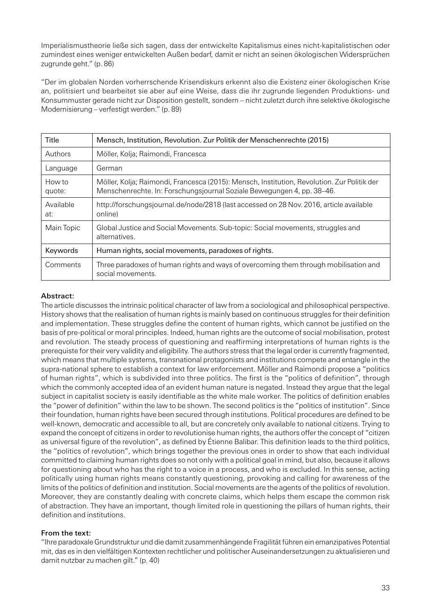Imperialismustheorie ließe sich sagen, dass der entwickelte Kapitalismus eines nicht-kapitalistischen oder zumindest eines weniger entwickelten Außen bedarf, damit er nicht an seinen ökologischen Widersprüchen zugrunde geht." (p. 86)

"Der im globalen Norden vorherrschende Krisendiskurs erkennt also die Existenz einer ökologischen Krise an, politisiert und bearbeitet sie aber auf eine Weise, dass die ihr zugrunde liegenden Produktions- und Konsummuster gerade nicht zur Disposition gestellt, sondern – nicht zuletzt durch ihre selektive ökologische Modernisierung – verfestigt werden." (p. 89)

| Title            | Mensch, Institution, Revolution. Zur Politik der Menschenrechte (2015)                                                                                                |
|------------------|-----------------------------------------------------------------------------------------------------------------------------------------------------------------------|
| Authors          | Möller, Kolja; Raimondi, Francesca                                                                                                                                    |
| Language         | German                                                                                                                                                                |
| How to<br>quote: | Möller, Kolja; Raimondi, Francesca (2015): Mensch, Institution, Revolution. Zur Politik der<br>Menschenrechte. In: Forschungsjournal Soziale Bewegungen 4, pp. 38–46. |
| Available<br>at: | http://forschungsjournal.de/node/2818 (last accessed on 28 Nov. 2016, article available<br>online)                                                                    |
| Main Topic       | Global Justice and Social Movements. Sub-topic: Social movements, struggles and<br>alternatives.                                                                      |
| Keywords         | Human rights, social movements, paradoxes of rights.                                                                                                                  |
| Comments         | Three paradoxes of human rights and ways of overcoming them through mobilisation and<br>social movements.                                                             |

# Abstract:

The article discusses the intrinsic political character of law from a sociological and philosophical perspective. History shows that the realisation of human rights is mainly based on continuous struggles for their definition and implementation. These struggles define the content of human rights, which cannot be justified on the basis of pre-political or moral principles. Indeed, human rights are the outcome of social mobilisation, protest and revolution. The steady process of questioning and reaffirming interpretations of human rights is the prerequiste for their very validity and eligibility. The authors stress that the legal order is currently fragmented, which means that multiple systems, transnational protagonists and institutions compete and entangle in the supra-national sphere to establish a context for law enforcement. Möller and Raimondi propose a "politics of human rights", which is subdivided into three politics. The first is the "politics of definition", through which the commonly accepted idea of an evident human nature is negated. Instead they argue that the legal subject in capitalist society is easily identifiable as the white male worker. The politics of definition enables the "power of definition" within the law to be shown. The second politics is the "politics of institution". Since their foundation, human rights have been secured through institutions. Political procedures are defined to be well-known, democratic and accessible to all, but are concretely only available to national citizens. Trying to expand the concept of citizens in order to revolutionise human rights, the authors offer the concept of "citizen as universal figure of the revolution", as defined by Étienne Balibar. This definition leads to the third politics, the "politics of revolution", which brings together the previous ones in order to show that each individual committed to claiming human rights does so not only with a political goal in mind, but also, because it allows for questioning about who has the right to a voice in a process, and who is excluded. In this sense, acting politically using human rights means constantly questioning, provoking and calling for awareness of the limits of the politics of definition and institution. Social movements are the agents of the politics of revolution. Moreover, they are constantly dealing with concrete claims, which helps them escape the common risk of abstraction. They have an important, though limited role in questioning the pillars of human rights, their definition and institutions.

# From the text:

"Ihre paradoxale Grundstruktur und die damit zusammenhängende Fragilität führen ein emanzipatives Potential mit, das es in den vielfältigen Kontexten rechtlicher und politischer Auseinandersetzungen zu aktualisieren und damit nutzbar zu machen gilt." (p. 40)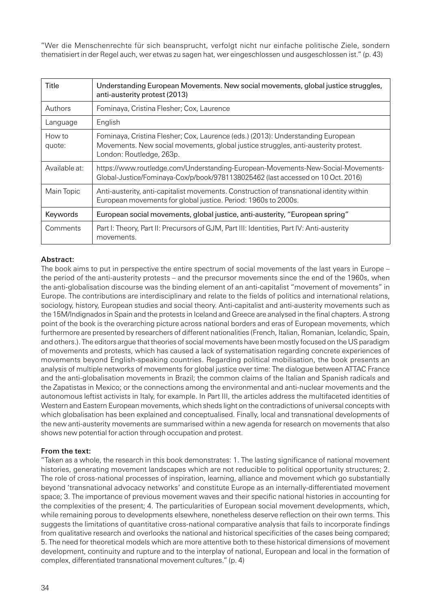"Wer die Menschenrechte für sich beansprucht, verfolgt nicht nur einfache politische Ziele, sondern thematisiert in der Regel auch, wer etwas zu sagen hat, wer eingeschlossen und ausgeschlossen ist." (p. 43)

| Title            | Understanding European Movements. New social movements, global justice struggles,<br>anti-austerity protest (2013)                                                                                |
|------------------|---------------------------------------------------------------------------------------------------------------------------------------------------------------------------------------------------|
| Authors          | Fominaya, Cristina Flesher; Cox, Laurence                                                                                                                                                         |
| Language         | English                                                                                                                                                                                           |
| How to<br>quote: | Fominaya, Cristina Flesher; Cox, Laurence (eds.) (2013): Understanding European<br>Movements. New social movements, global justice struggles, anti-austerity protest.<br>London: Routledge, 263p. |
| Available at:    | https://www.routledge.com/Understanding-European-Movements-New-Social-Movements-<br>Global-Justice/Fominaya-Cox/p/book/9781138025462 (last accessed on 10 Oct. 2016)                              |
| Main Topic       | Anti-austerity, anti-capitalist movements. Construction of transnational identity within<br>European movements for global justice. Period: 1960s to 2000s.                                        |
| Keywords         | European social movements, global justice, anti-austerity, "European spring"                                                                                                                      |
| Comments         | Part I: Theory, Part II: Precursors of GJM, Part III: Identities, Part IV: Anti-austerity<br>movements.                                                                                           |

#### Abstract:

The book aims to put in perspective the entire spectrum of social movements of the last years in Europe – the period of the anti-austerity protests – and the precursor movements since the end of the 1960s, when the anti-globalisation discourse was the binding element of an anti-capitalist "movement of movements" in Europe. The contributions are interdisciplinary and relate to the fields of politics and international relations, sociology, history, European studies and social theory. Anti-capitalist and anti-austerity movements such as the 15M/Indignados in Spain and the protests in Iceland and Greece are analysed in the final chapters. A strong point of the book is the overarching picture across national borders and eras of European movements, which furthermore are presented by researchers of different nationalities (French, Italian, Romanian, Icelandic, Spain, and others.). The editors argue that theories of social movements have been mostly focused on the US paradigm of movements and protests, which has caused a lack of systematisation regarding concrete experiences of movements beyond English-speaking countries. Regarding political mobilisation, the book presents an analysis of multiple networks of movements for global justice over time: The dialogue between ATTAC France and the anti-globalisation movements in Brazil; the common claims of the Italian and Spanish radicals and the Zapatistas in Mexico; or the connections among the environmental and anti-nuclear movements and the autonomous leftist activists in Italy, for example. In Part III, the articles address the multifaceted identities of Western and Eastern European movements, which sheds light on the contradictions of universal concepts with which globalisation has been explained and conceptualised. Finally, local and transnational developments of the new anti-austerity movements are summarised within a new agenda for research on movements that also shows new potential for action through occupation and protest.

#### From the text:

"Taken as a whole, the research in this book demonstrates: 1. The lasting significance of national movement histories, generating movement landscapes which are not reducible to political opportunity structures; 2. The role of cross-national processes of inspiration, learning, alliance and movement which go substantially beyond 'transnational advocacy networks' and constitute Europe as an internally-differentiated movement space; 3. The importance of previous movement waves and their specific national histories in accounting for the complexities of the present; 4. The particularities of European social movement developments, which, while remaining porous to developments elsewhere, nonetheless deserve reflection on their own terms. This suggests the limitations of quantitative cross-national comparative analysis that fails to incorporate findings from qualitative research and overlooks the national and historical specificities of the cases being compared; 5. The need for theoretical models which are more attentive both to these historical dimensions of movement development, continuity and rupture and to the interplay of national, European and local in the formation of complex, differentiated transnational movement cultures." (p. 4)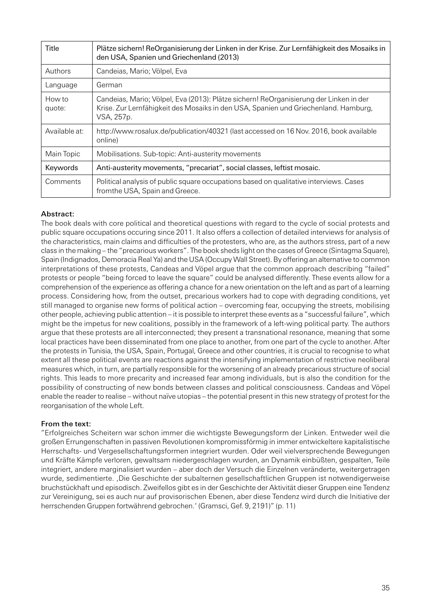| Title            | Plätze sichern! ReOrganisierung der Linken in der Krise. Zur Lernfähigkeit des Mosaiks in<br>den USA, Spanien und Griechenland (2013)                                                       |
|------------------|---------------------------------------------------------------------------------------------------------------------------------------------------------------------------------------------|
| Authors          | Candeias, Mario; Völpel, Eva                                                                                                                                                                |
| Language         | German                                                                                                                                                                                      |
| How to<br>quote: | Candeias, Mario; Völpel, Eva (2013): Plätze sichern! ReOrganisierung der Linken in der<br>Krise. Zur Lernfähigkeit des Mosaiks in den USA, Spanien und Griechenland. Hamburg,<br>VSA, 257p. |
| Available at:    | http://www.rosalux.de/publication/40321 (last accessed on 16 Nov. 2016, book available<br>online)                                                                                           |
| Main Topic       | Mobilisations. Sub-topic: Anti-austerity movements                                                                                                                                          |
| Keywords         | Anti-austerity movements, "precariat", social classes, leftist mosaic.                                                                                                                      |
| Comments         | Political analysis of public square occupations based on qualitative interviews. Cases<br>fromthe USA, Spain and Greece.                                                                    |

The book deals with core political and theoretical questions with regard to the cycle of social protests and public square occupations occuring since 2011. It also offers a collection of detailed interviews for analysis of the characteristics, main claims and difficulties of the protesters, who are, as the authors stress, part of a new class in the making – the "precarious workers". The book sheds light on the cases of Greece (Sintagma Square), Spain (Indignados, Demoracia Real Ya) and the USA (Occupy Wall Street). By offering an alternative to common interpretations of these protests, Candeas and Vöpel argue that the common approach describing "failed" protests or people "being forced to leave the square" could be analysed differently. These events allow for a comprehension of the experience as offering a chance for a new orientation on the left and as part of a learning process. Considering how, from the outset, precarious workers had to cope with degrading conditions, yet still managed to organise new forms of political action – overcoming fear, occupying the streets, mobilising other people, achieving public attention – it is possible to interpret these events as a "successful failure", which might be the impetus for new coalitions, possibly in the framework of a left-wing political party. The authors argue that these protests are all interconnected; they present a transnational resonance, meaning that some local practices have been disseminated from one place to another, from one part of the cycle to another. After the protests in Tunisia, the USA, Spain, Portugal, Greece and other countries, it is crucial to recognise to what extent all these political events are reactions against the intensifying implementation of restrictive neoliberal measures which, in turn, are partially responsible for the worsening of an already precarious structure of social rights. This leads to more precarity and increased fear among individuals, but is also the condition for the possibility of constructing of new bonds between classes and political consciousness. Candeas and Vöpel enable the reader to realise – without naïve utopias – the potential present in this new strategy of protest for the reorganisation of the whole Left.

# From the text:

"Erfolgreiches Scheitern war schon immer die wichtigste Bewegungsform der Linken. Entweder weil die großen Errungenschaften in passiven Revolutionen kompromissförmig in immer entwickeltere kapitalistische Herrschafts- und Vergesellschaftungsformen integriert wurden. Oder weil vielversprechende Bewegungen und Kräfte Kämpfe verloren, gewaltsam niedergeschlagen wurden, an Dynamik einbüßten, gespalten, Teile integriert, andere marginalisiert wurden – aber doch der Versuch die Einzelnen veränderte, weitergetragen wurde, sedimentierte. 'Die Geschichte der subalternen gesellschaftlichen Gruppen ist notwendigerweise bruchstückhaft und episodisch. Zweifellos gibt es in der Geschichte der Aktivität dieser Gruppen eine Tendenz zur Vereinigung, sei es auch nur auf provisorischen Ebenen, aber diese Tendenz wird durch die Initiative der herrschenden Gruppen fortwährend gebrochen.' (Gramsci, Gef. 9, 2191)" (p. 11)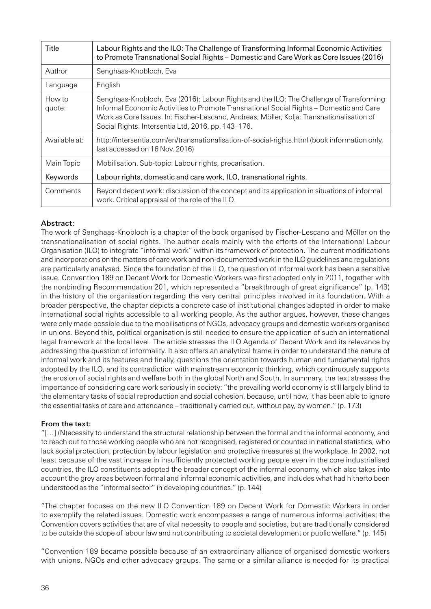| Title            | Labour Rights and the ILO: The Challenge of Transforming Informal Economic Activities<br>to Promote Transnational Social Rights - Domestic and Care Work as Core Issues (2016)                                                                                                                                                        |
|------------------|---------------------------------------------------------------------------------------------------------------------------------------------------------------------------------------------------------------------------------------------------------------------------------------------------------------------------------------|
| Author           | Senghaas-Knobloch, Eva                                                                                                                                                                                                                                                                                                                |
| Language         | English                                                                                                                                                                                                                                                                                                                               |
| How to<br>quote: | Senghaas-Knobloch, Eva (2016): Labour Rights and the ILO: The Challenge of Transforming<br>Informal Economic Activities to Promote Transnational Social Rights - Domestic and Care<br>Work as Core Issues. In: Fischer-Lescano, Andreas; Möller, Kolja: Transnationalisation of<br>Social Rights. Intersentia Ltd, 2016, pp. 143-176. |
| Available at:    | http://intersentia.com/en/transnationalisation-of-social-rights.html (book information only,<br>last accessed on 16 Nov. 2016)                                                                                                                                                                                                        |
| Main Topic       | Mobilisation. Sub-topic: Labour rights, precarisation.                                                                                                                                                                                                                                                                                |
| Keywords         | Labour rights, domestic and care work, ILO, transnational rights.                                                                                                                                                                                                                                                                     |
| Comments         | Beyond decent work: discussion of the concept and its application in situations of informal<br>work. Critical appraisal of the role of the ILO.                                                                                                                                                                                       |

The work of Senghaas-Knobloch is a chapter of the book organised by Fischer-Lescano and Möller on the transnationalisation of social rights. The author deals mainly with the efforts of the International Labour Organisation (ILO) to integrate "informal work" within its framework of protection. The current modifications and incorporations on the matters of care work and non-documented work in the ILO guidelines and regulations are particularly analysed. Since the foundation of the ILO, the question of informal work has been a sensitive issue. Convention 189 on Decent Work for Domestic Workers was first adopted only in 2011, together with the nonbinding Recommendation 201, which represented a "breakthrough of great significance" (p. 143) in the history of the organisation regarding the very central principles involved in its foundation. With a broader perspective, the chapter depicts a concrete case of institutional changes adopted in order to make international social rights accessible to all working people. As the author argues, however, these changes were only made possible due to the mobilisations of NGOs, advocacy groups and domestic workers organised in unions. Beyond this, political organisation is still needed to ensure the application of such an international legal framework at the local level. The article stresses the ILO Agenda of Decent Work and its relevance by addressing the question of informality. It also offers an analytical frame in order to understand the nature of informal work and its features and finally, questions the orientation towards human and fundamental rights adopted by the ILO, and its contradiction with mainstream economic thinking, which continuously supports the erosion of social rights and welfare both in the global North and South. In summary, the text stresses the importance of considering care work seriously in society: "the prevailing world economy is still largely blind to the elementary tasks of social reproduction and social cohesion, because, until now, it has been able to ignore the essential tasks of care and attendance – traditionally carried out, without pay, by women." (p. 173)

# From the text:

"[…] (N)ecessity to understand the structural relationship between the formal and the informal economy, and to reach out to those working people who are not recognised, registered or counted in national statistics, who lack social protection, protection by labour legislation and protective measures at the workplace. In 2002, not least because of the vast increase in insufficiently protected working people even in the core industrialised countries, the ILO constituents adopted the broader concept of the informal economy, which also takes into account the grey areas between formal and informal economic activities, and includes what had hitherto been understood as the "informal sector" in developing countries." (p. 144)

"The chapter focuses on the new ILO Convention 189 on Decent Work for Domestic Workers in order to exemplify the related issues. Domestic work encompasses a range of numerous informal activities; the Convention covers activities that are of vital necessity to people and societies, but are traditionally considered to be outside the scope of labour law and not contributing to societal development or public welfare." (p. 145)

"Convention 189 became possible because of an extraordinary alliance of organised domestic workers with unions, NGOs and other advocacy groups. The same or a similar alliance is needed for its practical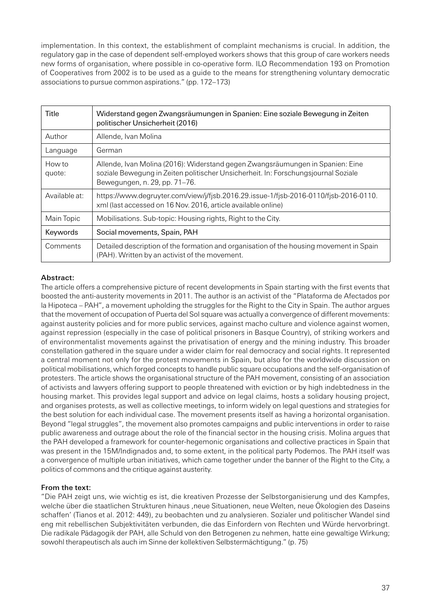implementation. In this context, the establishment of complaint mechanisms is crucial. In addition, the regulatory gap in the case of dependent self-employed workers shows that this group of care workers needs new forms of organisation, where possible in co-operative form. ILO Recommendation 193 on Promotion of Cooperatives from 2002 is to be used as a guide to the means for strengthening voluntary democratic associations to pursue common aspirations." (pp. 172–173)

| Title            | Widerstand gegen Zwangsräumungen in Spanien: Eine soziale Bewegung in Zeiten<br>politischer Unsicherheit (2016)                                                                                       |
|------------------|-------------------------------------------------------------------------------------------------------------------------------------------------------------------------------------------------------|
| Author           | Allende, Ivan Molina                                                                                                                                                                                  |
| Language         | German                                                                                                                                                                                                |
| How to<br>quote: | Allende, Ivan Molina (2016): Widerstand gegen Zwangsräumungen in Spanien: Eine<br>soziale Bewegung in Zeiten politischer Unsicherheit. In: Forschungsjournal Soziale<br>Bewegungen, n. 29, pp. 71-76. |
| Available at:    | https://www.degruyter.com/view/j/fjsb.2016.29.issue-1/fjsb-2016-0110/fjsb-2016-0110.<br>xml (last accessed on 16 Nov. 2016, article available online)                                                 |
| Main Topic       | Mobilisations. Sub-topic: Housing rights, Right to the City.                                                                                                                                          |
| Keywords         | Social movements, Spain, PAH                                                                                                                                                                          |
| Comments         | Detailed description of the formation and organisation of the housing movement in Spain<br>(PAH). Written by an activist of the movement.                                                             |

# Abstract:

The article offers a comprehensive picture of recent developments in Spain starting with the first events that boosted the anti-austerity movements in 2011. The author is an activist of the "Plataforma de Afectados por la Hipoteca – PAH", a movement upholding the struggles for the Right to the City in Spain. The author argues that the movement of occupation of Puerta del Sol square was actually a convergence of different movements: against austerity policies and for more public services, against macho culture and violence against women, against repression (especially in the case of political prisoners in Basque Country), of striking workers and of environmentalist movements against the privatisation of energy and the mining industry. This broader constellation gathered in the square under a wider claim for real democracy and social rights. It represented a central moment not only for the protest movements in Spain, but also for the worldwide discussion on political mobilisations, which forged concepts to handle public square occupations and the self-organisation of protesters. The article shows the organisational structure of the PAH movement, consisting of an association of activists and lawyers offering support to people threatened with eviction or by high indebtedness in the housing market. This provides legal support and advice on legal claims, hosts a solidary housing project, and organises protests, as well as collective meetings, to inform widely on legal questions and strategies for the best solution for each individual case. The movement presents itself as having a horizontal organisation. Beyond "legal struggles", the movement also promotes campaigns and public interventions in order to raise public awareness and outrage about the role of the financial sector in the housing crisis. Molina argues that the PAH developed a framework for counter-hegemonic organisations and collective practices in Spain that was present in the 15M/Indignados and, to some extent, in the political party Podemos. The PAH itself was a convergence of multiple urban initiatives, which came together under the banner of the Right to the City, a politics of commons and the critique against austerity.

# From the text:

"Die PAH zeigt uns, wie wichtig es ist, die kreativen Prozesse der Selbstorganisierung und des Kampfes, welche über die staatlichen Strukturen hinaus ,neue Situationen, neue Welten, neue Ökologien des Daseins schaffen' (Tianos et al. 2012: 449), zu beobachten und zu analysieren. Sozialer und politischer Wandel sind eng mit rebellischen Subjektivitäten verbunden, die das Einfordern von Rechten und Würde hervorbringt. Die radikale Pädagogik der PAH, alle Schuld von den Betrogenen zu nehmen, hatte eine gewaltige Wirkung; sowohl therapeutisch als auch im Sinne der kollektiven Selbstermächtigung." (p. 75)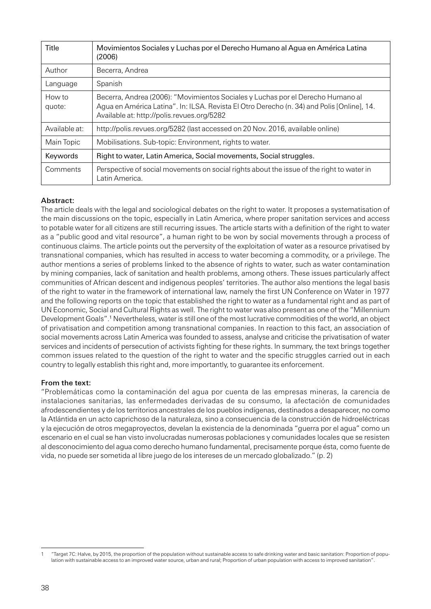| Title            | Movimientos Sociales y Luchas por el Derecho Humano al Agua en América Latina<br>(2006)                                                                                                                                     |
|------------------|-----------------------------------------------------------------------------------------------------------------------------------------------------------------------------------------------------------------------------|
| Author           | Becerra, Andrea                                                                                                                                                                                                             |
| Language         | Spanish                                                                                                                                                                                                                     |
| How to<br>quote: | Becerra, Andrea (2006): "Movimientos Sociales y Luchas por el Derecho Humano al<br>Agua en América Latina". In: ILSA. Revista El Otro Derecho (n. 34) and Polis [Online], 14.<br>Available at: http://polis.revues.org/5282 |
| Available at:    | http://polis.revues.org/5282 (last accessed on 20 Nov. 2016, available online)                                                                                                                                              |
| Main Topic       | Mobilisations. Sub-topic: Environment, rights to water.                                                                                                                                                                     |
| Keywords         | Right to water, Latin America, Social movements, Social struggles.                                                                                                                                                          |
| Comments         | Perspective of social movements on social rights about the issue of the right to water in<br>Latin America.                                                                                                                 |

The article deals with the legal and sociological debates on the right to water. It proposes a systematisation of the main discussions on the topic, especially in Latin America, where proper sanitation services and access to potable water for all citizens are still recurring issues. The article starts with a definition of the right to water as a "public good and vital resource", a human right to be won by social movements through a process of continuous claims. The article points out the perversity of the exploitation of water as a resource privatised by transnational companies, which has resulted in access to water becoming a commodity, or a privilege. The author mentions a series of problems linked to the absence of rights to water, such as water contamination by mining companies, lack of sanitation and health problems, among others. These issues particularly affect communities of African descent and indigenous peoples' territories. The author also mentions the legal basis of the right to water in the framework of international law, namely the first UN Conference on Water in 1977 and the following reports on the topic that established the right to water as a fundamental right and as part of UN Economic, Social and Cultural Rights as well. The right to water was also present as one of the "Millennium Development Goals".<sup>1</sup> Nevertheless, water is still one of the most lucrative commodities of the world, an object of privatisation and competition among transnational companies. In reaction to this fact, an association of social movements across Latin America was founded to assess, analyse and criticise the privatisation of water services and incidents of persecution of activists fighting for these rights. In summary, the text brings together common issues related to the question of the right to water and the specific struggles carried out in each country to legally establish this right and, more importantly, to guarantee its enforcement.

#### From the text:

"Problemáticas como la contaminación del agua por cuenta de las empresas mineras, la carencia de instalaciones sanitarias, las enfermedades derivadas de su consumo, la afectación de comunidades afrodescendientes y de los territorios ancestrales de los pueblos indígenas, destinados a desaparecer, no como la Atlántida en un acto caprichoso de la naturaleza, sino a consecuencia de la construcción de hidroeléctricas y la ejecución de otros megaproyectos, develan la existencia de la denominada "guerra por el agua" como un escenario en el cual se han visto involucradas numerosas poblaciones y comunidades locales que se resisten al desconocimiento del agua como derecho humano fundamental, precisamente porque ésta, como fuente de vida, no puede ser sometida al libre juego de los intereses de un mercado globalizado." (p. 2)

<sup>&</sup>quot;Target 7C: Halve, by 2015, the proportion of the population without sustainable access to safe drinking water and basic sanitation: Proportion of population with sustainable access to an improved water source, urban and rural; Proportion of urban population with access to improved sanitation".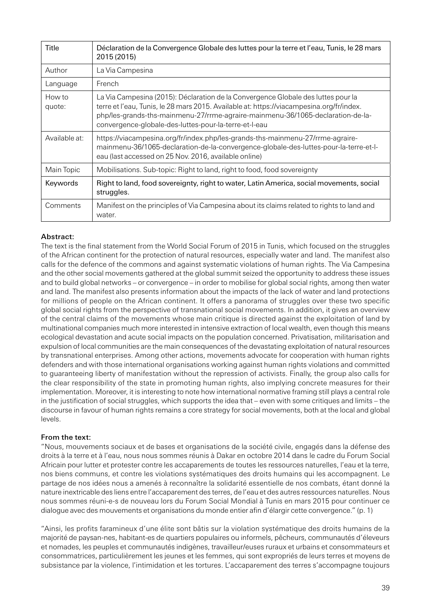| Title            | Déclaration de la Convergence Globale des luttes pour la terre et l'eau, Tunis, le 28 mars<br>2015 (2015)                                                                                                                                                                                                                 |
|------------------|---------------------------------------------------------------------------------------------------------------------------------------------------------------------------------------------------------------------------------------------------------------------------------------------------------------------------|
| Author           | La Via Campesina                                                                                                                                                                                                                                                                                                          |
| Language         | French                                                                                                                                                                                                                                                                                                                    |
| How to<br>quote: | La Via Campesina (2015): Déclaration de la Convergence Globale des luttes pour la<br>terre et l'eau, Tunis, le 28 mars 2015. Available at: https://viacampesina.org/fr/index.<br>php/les-grands-ths-mainmenu-27/rrme-agraire-mainmenu-36/1065-declaration-de-la-<br>convergence-globale-des-luttes-pour-la-terre-et-l-eau |
| Available at:    | https://viacampesina.org/fr/index.php/les-grands-ths-mainmenu-27/rrme-agraire-<br>mainmenu-36/1065-declaration-de-la-convergence-globale-des-luttes-pour-la-terre-et-l-<br>eau (last accessed on 25 Nov. 2016, available online)                                                                                          |
| Main Topic       | Mobilisations. Sub-topic: Right to land, right to food, food sovereignty                                                                                                                                                                                                                                                  |
| Keywords         | Right to land, food sovereignty, right to water, Latin America, social movements, social<br>struggles.                                                                                                                                                                                                                    |
| Comments         | Manifest on the principles of Via Campesina about its claims related to rights to land and<br>water.                                                                                                                                                                                                                      |

The text is the final statement from the World Social Forum of 2015 in Tunis, which focused on the struggles of the African continent for the protection of natural resources, especially water and land. The manifest also calls for the defence of the commons and against systematic violations of human rights. The Via Campesina and the other social movements gathered at the global summit seized the opportunity to address these issues and to build global networks – or convergence – in order to mobilise for global social rights, among then water and land. The manifest also presents information about the impacts of the lack of water and land protections for millions of people on the African continent. It offers a panorama of struggles over these two specific global social rights from the perspective of transnational social movements. In addition, it gives an overview of the central claims of the movements whose main critique is directed against the exploitation of land by multinational companies much more interested in intensive extraction of local wealth, even though this means ecological devastation and acute social impacts on the population concerned. Privatisation, militarisation and expulsion of local communities are the main consequences of the devastating exploitation of natural resources by transnational enterprises. Among other actions, movements advocate for cooperation with human rights defenders and with those international organisations working against human rights violations and committed to guaranteeing liberty of manifestation without the repression of activists. Finally, the group also calls for the clear responsibility of the state in promoting human rights, also implying concrete measures for their implementation. Moreover, it is interesting to note how international normative framing still plays a central role in the justification of social struggles, which supports the idea that – even with some critiques and limits – the discourse in favour of human rights remains a core strategy for social movements, both at the local and global levels.

#### From the text:

"Nous, mouvements sociaux et de bases et organisations de la société civile, engagés dans la défense des droits à la terre et à l'eau, nous nous sommes réunis à Dakar en octobre 2014 dans le cadre du Forum Social Africain pour lutter et protester contre les accaparements de toutes les ressources naturelles, l'eau et la terre, nos biens communs, et contre les violations systématiques des droits humains qui les accompagnent. Le partage de nos idées nous a amenés à reconnaître la solidarité essentielle de nos combats, étant donné la nature inextricable des liens entre l'accaparement des terres, de l'eau et des autres ressources naturelles. Nous nous sommes réuni-e-s de nouveau lors du Forum Social Mondial à Tunis en mars 2015 pour continuer ce dialogue avec des mouvements et organisations du monde entier afin d'élargir cette convergence." (p. 1)

"Ainsi, les profits faramineux d'une élite sont bâtis sur la violation systématique des droits humains de la majorité de paysan-nes, habitant-es de quartiers populaires ou informels, pêcheurs, communautés d'éleveurs et nomades, les peuples et communautés indigènes, travailleur/euses ruraux et urbains et consommateurs et consommatrices, particulièrement les jeunes et les femmes, qui sont expropriés de leurs terres et moyens de subsistance par la violence, l'intimidation et les tortures. L'accaparement des terres s'accompagne toujours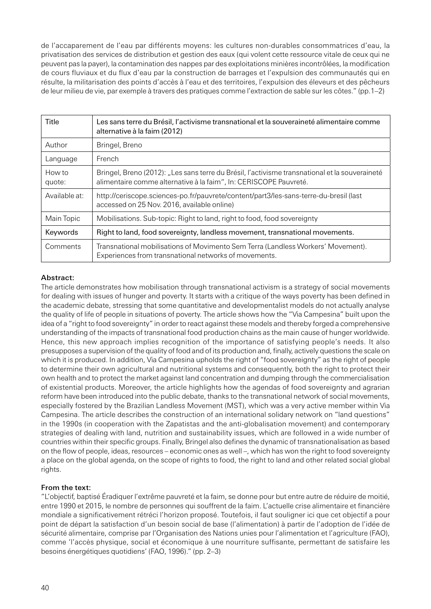de l'accaparement de l'eau par différents moyens: les cultures non-durables consommatrices d'eau, la privatisation des services de distribution et gestion des eaux (qui volent cette ressource vitale de ceux qui ne peuvent pas la payer), la contamination des nappes par des exploitations minières incontrôlées, la modification de cours fluviaux et du flux d'eau par la construction de barrages et l'expulsion des communautés qui en résulte, la militarisation des points d'accès à l'eau et des territoires, l'expulsion des éleveurs et des pêcheurs de leur milieu de vie, par exemple à travers des pratiques comme l'extraction de sable sur les côtes." (pp.1–2)

| Title            | Les sans terre du Brésil, l'activisme transnational et la souveraineté alimentaire comme<br>alternative à la faim (2012)                                            |  |
|------------------|---------------------------------------------------------------------------------------------------------------------------------------------------------------------|--|
| Author           | Bringel, Breno                                                                                                                                                      |  |
| Language         | French                                                                                                                                                              |  |
| How to<br>quote: | Bringel, Breno (2012): "Les sans terre du Brésil, l'activisme transnational et la souveraineté<br>alimentaire comme alternative à la faim", In: CERISCOPE Pauvreté. |  |
| Available at:    | http://ceriscope.sciences-po.fr/pauvrete/content/part3/les-sans-terre-du-bresil (last<br>accessed on 25 Nov. 2016, available online)                                |  |
| Main Topic       | Mobilisations. Sub-topic: Right to land, right to food, food sovereignty                                                                                            |  |
| Keywords         | Right to land, food sovereignty, landless movement, transnational movements.                                                                                        |  |
| Comments         | Transnational mobilisations of Movimento Sem Terra (Landless Workers' Movement).<br>Experiences from transnational networks of movements.                           |  |

# Abstract:

The article demonstrates how mobilisation through transnational activism is a strategy of social movements for dealing with issues of hunger and poverty. It starts with a critique of the ways poverty has been defined in the academic debate, stressing that some quantitative and developmentalist models do not actually analyse the quality of life of people in situations of poverty. The article shows how the "Via Campesina" built upon the idea of a "right to food sovereignty" in order to react against these models and thereby forged a comprehensive understanding of the impacts of transnational food production chains as the main cause of hunger worldwide. Hence, this new approach implies recognition of the importance of satisfying people's needs. It also presupposes a supervision of the quality of food and of its production and, finally, actively questions the scale on which it is produced. In addition, Via Campesina upholds the right of "food sovereignty" as the right of people to determine their own agricultural and nutritional systems and consequently, both the right to protect their own health and to protect the market against land concentration and dumping through the commercialisation of existential products. Moreover, the article highlights how the agendas of food sovereignty and agrarian reform have been introduced into the public debate, thanks to the transnational network of social movements, especially fostered by the Brazilian Landless Movement (MST), which was a very active member within Via Campesina. The article describes the construction of an international solidary network on "land questions" in the 1990s (in cooperation with the Zapatistas and the anti-globalisation movement) and contemporary strategies of dealing with land, nutrition and sustainability issues, which are followed in a wide number of countries within their specific groups. Finally, Bringel also defines the dynamic of transnationalisation as based on the flow of people, ideas, resources – economic ones as well –, which has won the right to food sovereignty a place on the global agenda, on the scope of rights to food, the right to land and other related social global rights.

# From the text:

"L'objectif, baptisé Éradiquer l'extrême pauvreté et la faim, se donne pour but entre autre de réduire de moitié, entre 1990 et 2015, le nombre de personnes qui souffrent de la faim. L'actuelle crise alimentaire et financière mondiale a significativement rétréci l'horizon proposé. Toutefois, il faut souligner ici que cet objectif a pour point de départ la satisfaction d'un besoin social de base (l'alimentation) à partir de l'adoption de l'idée de sécurité alimentaire, comprise par l'Organisation des Nations unies pour l'alimentation et l'agriculture (FAO), comme 'l'accès physique, social et économique à une nourriture suffisante, permettant de satisfaire les besoins énergétiques quotidiens' (FAO, 1996)." (pp. 2–3)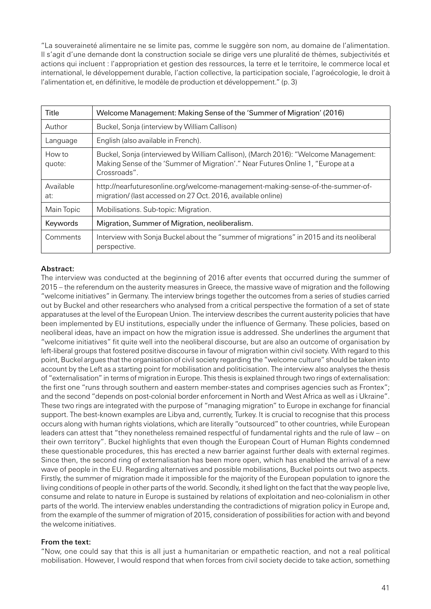"La souveraineté alimentaire ne se limite pas, comme le suggère son nom, au domaine de l'alimentation. Il s'agit d'une demande dont la construction sociale se dirige vers une pluralité de thèmes, subjectivités et actions qui incluent : l'appropriation et gestion des ressources, la terre et le territoire, le commerce local et international, le développement durable, l'action collective, la participation sociale, l'agroécologie, le droit à l'alimentation et, en définitive, le modèle de production et développement." (p. 3)

| Title            | Welcome Management: Making Sense of the 'Summer of Migration' (2016)                                                                                                                   |  |  |
|------------------|----------------------------------------------------------------------------------------------------------------------------------------------------------------------------------------|--|--|
| Author           | Buckel, Sonja (interview by William Callison)                                                                                                                                          |  |  |
| Language         | English (also available in French).                                                                                                                                                    |  |  |
| How to<br>quote: | Buckel, Sonja (interviewed by William Callison), (March 2016): "Welcome Management:<br>Making Sense of the 'Summer of Migration'." Near Futures Online 1, "Europe at a<br>Crossroads". |  |  |
| Available<br>at: | http://nearfuturesonline.org/welcome-management-making-sense-of-the-summer-of-<br>migration/ (last accessed on 27 Oct. 2016, available online)                                         |  |  |
| Main Topic       | Mobilisations. Sub-topic: Migration.                                                                                                                                                   |  |  |
| Keywords         | Migration, Summer of Migration, neoliberalism.                                                                                                                                         |  |  |
| Comments         | Interview with Sonja Buckel about the "summer of migrations" in 2015 and its neoliberal<br>perspective.                                                                                |  |  |

#### Abstract:

The interview was conducted at the beginning of 2016 after events that occurred during the summer of 2015 – the referendum on the austerity measures in Greece, the massive wave of migration and the following "welcome initiatives" in Germany. The interview brings together the outcomes from a series of studies carried out by Buckel and other researchers who analysed from a critical perspective the formation of a set of state apparatuses at the level of the European Union. The interview describes the current austerity policies that have been implemented by EU institutions, especially under the influence of Germany. These policies, based on neoliberal ideas, have an impact on how the migration issue is addressed. She underlines the argument that "welcome initiatives" fit quite well into the neoliberal discourse, but are also an outcome of organisation by left-liberal groups that fostered positive discourse in favour of migration within civil society. With regard to this point, Buckel argues that the organisation of civil society regarding the "welcome culture" should be taken into account by the Left as a starting point for mobilisation and politicisation. The interview also analyses the thesis of "externalisation" in terms of migration in Europe. This thesis is explained through two rings of externalisation: the first one "runs through southern and eastern member-states and comprises agencies such as Frontex"; and the second "depends on post-colonial border enforcement in North and West Africa as well as i Ukraine". These two rings are integrated with the purpose of "managing migration" to Europe in exchange for financial support. The best-known examples are Libya and, currently, Turkey. It is crucial to recognise that this process occurs along with human rights violations, which are literally "outsourced" to other countries, while European leaders can attest that "they nonetheless remained respectful of fundamental rights and the rule of law – on their own territory". Buckel highlights that even though the European Court of Human Rights condemned these questionable procedures, this has erected a new barrier against further deals with external regimes. Since then, the second ring of externalisation has been more open, which has enabled the arrival of a new wave of people in the EU. Regarding alternatives and possible mobilisations, Buckel points out two aspects. Firstly, the summer of migration made it impossible for the majority of the European population to ignore the living conditions of people in other parts of the world. Secondly, it shed light on the fact that the way people live, consume and relate to nature in Europe is sustained by relations of exploitation and neo-colonialism in other parts of the world. The interview enables understanding the contradictions of migration policy in Europe and, from the example of the summer of migration of 2015, consideration of possibilities for action with and beyond the welcome initiatives.

#### From the text:

"Now, one could say that this is all just a humanitarian or empathetic reaction, and not a real political mobilisation. However, I would respond that when forces from civil society decide to take action, something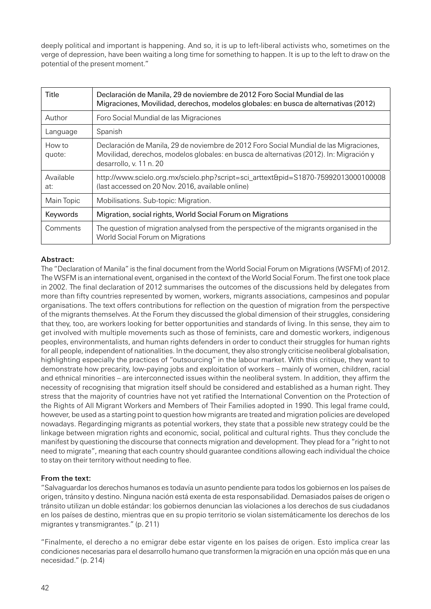deeply political and important is happening. And so, it is up to left-liberal activists who, sometimes on the verge of depression, have been waiting a long time for something to happen. It is up to the left to draw on the potential of the present moment."

| Title            | Declaración de Manila, 29 de noviembre de 2012 Foro Social Mundial de las<br>Migraciones, Movilidad, derechos, modelos globales: en busca de alternativas (2012)                                             |  |  |
|------------------|--------------------------------------------------------------------------------------------------------------------------------------------------------------------------------------------------------------|--|--|
| Author           | Foro Social Mundial de las Migraciones                                                                                                                                                                       |  |  |
| Language         | Spanish                                                                                                                                                                                                      |  |  |
| How to<br>quote: | Declaración de Manila, 29 de noviembre de 2012 Foro Social Mundial de las Migraciones,<br>Movilidad, derechos, modelos globales: en busca de alternativas (2012). In: Migración y<br>desarrollo, v. 11 n. 20 |  |  |
| Available<br>at: | http://www.scielo.org.mx/scielo.php?script=sci_arttext&pid=S1870-75992013000100008<br>(last accessed on 20 Nov. 2016, available online)                                                                      |  |  |
| Main Topic       | Mobilisations. Sub-topic: Migration.                                                                                                                                                                         |  |  |
| Keywords         | Migration, social rights, World Social Forum on Migrations                                                                                                                                                   |  |  |
| Comments         | The question of migration analysed from the perspective of the migrants organised in the<br>World Social Forum on Migrations                                                                                 |  |  |

#### Abstract:

The "Declaration of Manila" is the final document from the World Social Forum on Migrations (WSFM) of 2012. The WSFM is an international event, organised in the context of the World Social Forum. The first one took place in 2002. The final declaration of 2012 summarises the outcomes of the discussions held by delegates from more than fifty countries represented by women, workers, migrants associations, campesinos and popular organisations. The text offers contributions for reflection on the question of migration from the perspective of the migrants themselves. At the Forum they discussed the global dimension of their struggles, considering that they, too, are workers looking for better opportunities and standards of living. In this sense, they aim to get involved with multiple movements such as those of feminists, care and domestic workers, indigenous peoples, environmentalists, and human rights defenders in order to conduct their struggles for human rights for all people, independent of nationalities. In the document, they also strongly criticise neoliberal globalisation, highlighting especially the practices of "outsourcing" in the labour market. With this critique, they want to demonstrate how precarity, low-paying jobs and exploitation of workers – mainly of women, children, racial and ethnical minorities – are interconnected issues within the neoliberal system. In addition, they affirm the necessity of recognising that migration itself should be considered and established as a human right. They stress that the majority of countries have not yet ratified the International Convention on the Protection of the Rights of All Migrant Workers and Members of Their Families adopted in 1990. This legal frame could, however, be used as a starting point to question how migrants are treated and migration policies are developed nowadays. Regardinging migrants as potential workers, they state that a possible new strategy could be the linkage between migration rights and economic, social, political and cultural rights. Thus they conclude the manifest by questioning the discourse that connects migration and development. They plead for a "right to not need to migrate", meaning that each country should guarantee conditions allowing each individual the choice to stay on their territory without needing to flee.

#### From the text:

"Salvaguardar los derechos humanos es todavía un asunto pendiente para todos los gobiernos en los países de origen, tránsito y destino. Ninguna nación está exenta de esta responsabilidad. Demasiados países de origen o tránsito utilizan un doble estándar: los gobiernos denuncian las violaciones a los derechos de sus ciudadanos en los países de destino, mientras que en su propio territorio se violan sistemáticamente los derechos de los migrantes y transmigrantes." (p. 211)

"Finalmente, el derecho a no emigrar debe estar vigente en los países de origen. Esto implica crear las condiciones necesarias para el desarrollo humano que transformen la migración en una opción más que en una necesidad." (p. 214)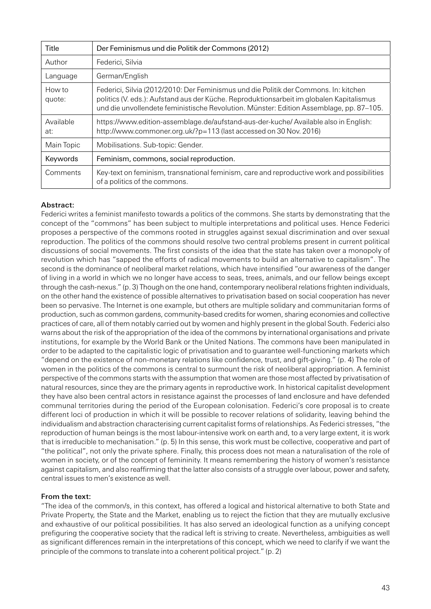| Title            | Der Feminismus und die Politik der Commons (2012)                                                                                                                                                                                                                           |  |  |
|------------------|-----------------------------------------------------------------------------------------------------------------------------------------------------------------------------------------------------------------------------------------------------------------------------|--|--|
| Author           | Federici, Silvia                                                                                                                                                                                                                                                            |  |  |
| Language         | German/English                                                                                                                                                                                                                                                              |  |  |
| How to<br>quote: | Federici, Silvia (2012/2010: Der Feminismus und die Politik der Commons. In: kitchen<br>politics (V. eds.): Aufstand aus der Küche. Reproduktionsarbeit im globalen Kapitalismus<br>und die unvollendete feministische Revolution. Münster: Edition Assemblage, pp. 87-105. |  |  |
| Available<br>at: | https://www.edition-assemblage.de/aufstand-aus-der-kuche/ Available also in English:<br>http://www.commoner.org.uk/?p=113 (last accessed on 30 Nov. 2016)                                                                                                                   |  |  |
| Main Topic       | Mobilisations. Sub-topic: Gender.                                                                                                                                                                                                                                           |  |  |
| Keywords         | Feminism, commons, social reproduction.                                                                                                                                                                                                                                     |  |  |
| Comments         | Key-text on feminism, transnational feminism, care and reproductive work and possibilities<br>of a politics of the commons.                                                                                                                                                 |  |  |

Federici writes a feminist manifesto towards a politics of the commons. She starts by demonstrating that the concept of the "commons" has been subject to multiple interpretations and political uses. Hence Federici proposes a perspective of the commons rooted in struggles against sexual discrimination and over sexual reproduction. The politics of the commons should resolve two central problems present in current political discussions of social movements. The first consists of the idea that the state has taken over a monopoly of revolution which has "sapped the efforts of radical movements to build an alternative to capitalism". The second is the dominance of neoliberal market relations, which have intensified "our awareness of the danger of living in a world in which we no longer have access to seas, trees, animals, and our fellow beings except through the cash-nexus." (p. 3) Though on the one hand, contemporary neoliberal relations frighten individuals, on the other hand the existence of possible alternatives to privatisation based on social cooperation has never been so pervasive. The Internet is one example, but others are multiple solidary and communitarian forms of production, such as common gardens, community-based credits for women, sharing economies and collective practices of care, all of them notably carried out by women and highly present in the global South. Federici also warns about the risk of the appropriation of the idea of the commons by international organisations and private institutions, for example by the World Bank or the United Nations. The commons have been manipulated in order to be adapted to the capitalistic logic of privatisation and to guarantee well-functioning markets which "depend on the existence of non-monetary relations like confidence, trust, and gift-giving." (p. 4) The role of women in the politics of the commons is central to surmount the risk of neoliberal appropriation. A feminist perspective of the commons starts with the assumption that women are those most affected by privatisation of natural resources, since they are the primary agents in reproductive work. In historical capitalist development they have also been central actors in resistance against the processes of land enclosure and have defended communal territories during the period of the European colonisation. Federici's core proposal is to create different loci of production in which it will be possible to recover relations of solidarity, leaving behind the individualism and abstraction characterising current capitalist forms of relationships. As Federici stresses, "the reproduction of human beings is the most labour-intensive work on earth and, to a very large extent, it is work that is irreducible to mechanisation." (p. 5) In this sense, this work must be collective, cooperative and part of "the political", not only the private sphere. Finally, this process does not mean a naturalisation of the role of women in society, or of the concept of femininity. It means remembering the history of women's resistance against capitalism, and also reaffirming that the latter also consists of a struggle over labour, power and safety, central issues to men's existence as well.

# From the text:

"The idea of the common/s, in this context, has offered a logical and historical alternative to both State and Private Property, the State and the Market, enabling us to reject the fiction that they are mutually exclusive and exhaustive of our political possibilities. It has also served an ideological function as a unifying concept prefiguring the cooperative society that the radical left is striving to create. Nevertheless, ambiguities as well as significant differences remain in the interpretations of this concept, which we need to clarify if we want the principle of the commons to translate into a coherent political project." (p. 2)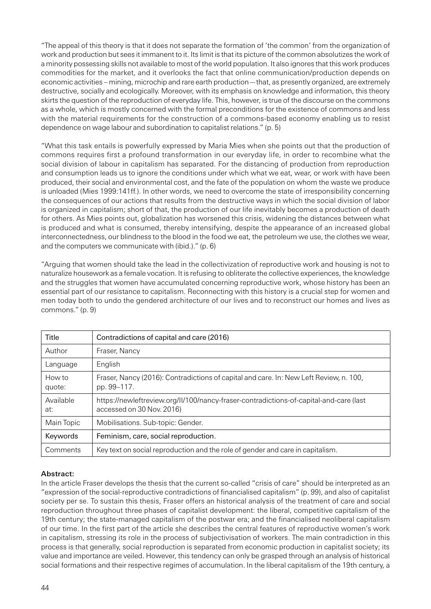"The appeal of this theory is that it does not separate the formation of 'the common' from the organization of work and production but sees it immanent to it. Its limit is that its picture of the common absolutizes the work of a minority possessing skills not available to most of the world population. It also ignores that this work produces commodities for the market, and it overlooks the fact that online communication/production depends on economic activities – mining, microchip and rare earth production—that, as presently organized, are extremely destructive, socially and ecologically. Moreover, with its emphasis on knowledge and information, this theory skirts the question of the reproduction of everyday life. This, however, is true of the discourse on the commons as a whole, which is mostly concerned with the formal preconditions for the existence of commons and less with the material requirements for the construction of a commons-based economy enabling us to resist dependence on wage labour and subordination to capitalist relations." (p. 5)

"What this task entails is powerfully expressed by Maria Mies when she points out that the production of commons requires first a profound transformation in our everyday life, in order to recombine what the social division of labour in capitalism has separated. For the distancing of production from reproduction and consumption leads us to ignore the conditions under which what we eat, wear, or work with have been produced, their social and environmental cost, and the fate of the population on whom the waste we produce is unloaded (Mies 1999:141ff.). In other words, we need to overcome the state of irresponsibility concerning the consequences of our actions that results from the destructive ways in which the social division of labor is organized in capitalism; short of that, the production of our life inevitably becomes a production of death for others. As Mies points out, globalization has worsened this crisis, widening the distances between what is produced and what is consumed, thereby intensifying, despite the appearance of an increased global interconnectedness, our blindness to the blood in the food we eat, the petroleum we use, the clothes we wear, and the computers we communicate with (ibid.)." (p. 6)

"Arguing that women should take the lead in the collectivization of reproductive work and housing is not to naturalize housework as a female vocation. It is refusing to obliterate the collective experiences, the knowledge and the struggles that women have accumulated concerning reproductive work, whose history has been an essential part of our resistance to capitalism. Reconnecting with this history is a crucial step for women and men today both to undo the gendered architecture of our lives and to reconstruct our homes and lives as commons." (p. 9)

| Title            | Contradictions of capital and care (2016)                                                                           |
|------------------|---------------------------------------------------------------------------------------------------------------------|
| Author           | Fraser, Nancy                                                                                                       |
| Language         | English                                                                                                             |
| How to<br>quote: | Fraser, Nancy (2016): Contradictions of capital and care. In: New Left Review, n. 100,<br>pp. 99-117.               |
| Available<br>at: | https://newleftreview.org/II/100/nancy-fraser-contradictions-of-capital-and-care (last<br>accessed on 30 Nov. 2016) |
| Main Topic       | Mobilisations. Sub-topic: Gender.                                                                                   |
| Keywords         | Feminism, care, social reproduction.                                                                                |
| Comments         | Key text on social reproduction and the role of gender and care in capitalism.                                      |

# Abstract:

In the article Fraser develops the thesis that the current so-called "crisis of care" should be interpreted as an "expression of the social-reproductive contradictions of financialised capitalism" (p. 99), and also of capitalist society per se. To sustain this thesis, Fraser offers an historical analysis of the treatment of care and social reproduction throughout three phases of capitalist development: the liberal, competitive capitalism of the 19th century; the state-managed capitalism of the postwar era; and the financialised neoliberal capitalism of our time. In the first part of the article she describes the central features of reproductive women's work in capitalism, stressing its role in the process of subjectivisation of workers. The main contradiction in this process is that generally, social reproduction is separated from economic production in capitalist society; its value and importance are veiled. However, this tendency can only be grasped through an analysis of historical social formations and their respective regimes of accumulation. In the liberal capitalism of the 19th century, a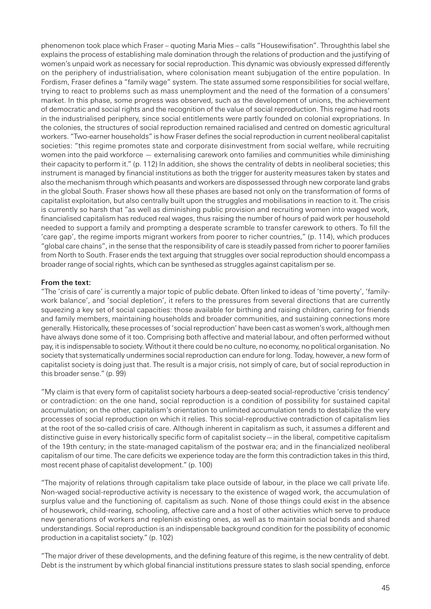phenomenon took place which Fraser – quoting Maria Mies – calls "Housewifisation". Throughthis label she explains the process of establishing male domination through the relations of production and the justifying of women's unpaid work as necessary for social reproduction. This dynamic was obviously expressed differently on the periphery of industrialisation, where colonisation meant subjugation of the entire population. In Fordism, Fraser defines a "family wage" system. The state assumed some responsibilities for social welfare, trying to react to problems such as mass unemployment and the need of the formation of a consumers' market. In this phase, some progress was observed, such as the development of unions, the achievement of democratic and social rights and the recognition of the value of social reproduction. This regime had roots in the industrialised periphery, since social entitlements were partly founded on colonial expropriations. In the colonies, the structures of social reproduction remained racialised and centred on domestic agricultural workers. "Two-earner households" is how Fraser defines the social reproduction in current neoliberal capitalist societies: "this regime promotes state and corporate disinvestment from social welfare, while recruiting women into the paid workforce — externalising carework onto families and communities while diminishing their capacity to perform it." (p. 112) In addition, she shows the centrality of debts in neoliberal societies; this instrument is managed by financial institutions as both the trigger for austerity measures taken by states and also the mechanism through which peasants and workers are dispossessed through new corporate land grabs in the global South. Fraser shows how all these phases are based not only on the transformation of forms of capitalist exploitation, but also centrally built upon the struggles and mobilisations in reaction to it. The crisis is currently so harsh that "as well as diminishing public provision and recruiting women into waged work, financialised capitalism has reduced real wages, thus raising the number of hours of paid work per household needed to support a family and prompting a desperate scramble to transfer carework to others. To fill the 'care gap', the regime imports migrant workers from poorer to richer countries," (p. 114), which produces "global care chains", in the sense that the responsibility of care is steadily passed from richer to poorer families from North to South. Fraser ends the text arguing that struggles over social reproduction should encompass a broader range of social rights, which can be synthesed as struggles against capitalism per se.

#### From the text:

"The 'crisis of care' is currently a major topic of public debate. Often linked to ideas of 'time poverty', 'familywork balance', and 'social depletion', it refers to the pressures from several directions that are currently squeezing a key set of social capacities: those available for birthing and raising children, caring for friends and family members, maintaining households and broader communities, and sustaining connections more generally. Historically, these processes of 'social reproduction' have been cast as women's work, although men have always done some of it too. Comprising both affective and material labour, and often performed without pay, it is indispensable to society. Without it there could be no culture, no economy, no political organisation. No society that systematically undermines social reproduction can endure for long. Today, however, a new form of capitalist society is doing just that. The result is a major crisis, not simply of care, but of social reproduction in this broader sense." (p. 99)

"My claim is that every form of capitalist society harbours a deep-seated social-reproductive 'crisis tendency' or contradiction: on the one hand, social reproduction is a condition of possibility for sustained capital accumulation; on the other, capitalism's orientation to unlimited accumulation tends to destabilize the very processes of social reproduction on which it relies. This social-reproductive contradiction of capitalism lies at the root of the so-called crisis of care. Although inherent in capitalism as such, it assumes a different and distinctive guise in every historically specific form of capitalist society—in the liberal, competitive capitalism of the 19th century; in the state-managed capitalism of the postwar era; and in the financialized neoliberal capitalism of our time. The care deficits we experience today are the form this contradiction takes in this third, most recent phase of capitalist development." (p. 100)

"The majority of relations through capitalism take place outside of labour, in the place we call private life. Non-waged social-reproductive activity is necessary to the existence of waged work, the accumulation of surplus value and the functioning of. capitalism as such. None of those things could exist in the absence of housework, child-rearing, schooling, affective care and a host of other activities which serve to produce new generations of workers and replenish existing ones, as well as to maintain social bonds and shared understandings. Social reproduction is an indispensable background condition for the possibility of economic production in a capitalist society." (p. 102)

"The major driver of these developments, and the defining feature of this regime, is the new centrality of debt. Debt is the instrument by which global financial institutions pressure states to slash social spending, enforce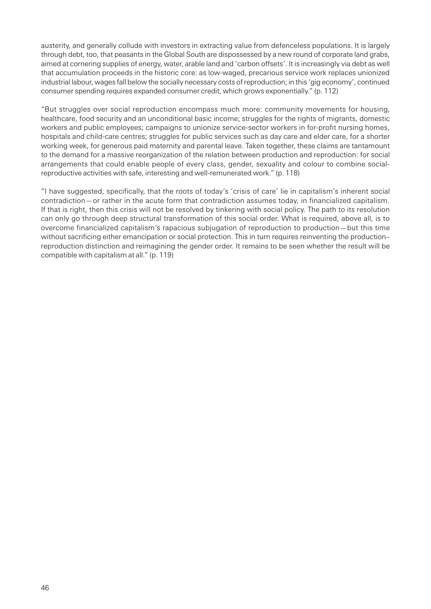austerity, and generally collude with investors in extracting value from defenceless populations. It is largely through debt, too, that peasants in the Global South are dispossessed by a new round of corporate land grabs, aimed at cornering supplies of energy, water, arable land and 'carbon offsets'. It is increasingly via debt as well that accumulation proceeds in the historic core: as low-waged, precarious service work replaces unionized industrial labour, wages fall below the socially necessary costs of reproduction; in this 'gig economy', continued consumer spending requires expanded consumer credit, which grows exponentially." (p. 112)

"But struggles over social reproduction encompass much more: community movements for housing, healthcare, food security and an unconditional basic income; struggles for the rights of migrants, domestic workers and public employees; campaigns to unionize service-sector workers in for-profit nursing homes, hospitals and child-care centres; struggles for public services such as day care and elder care, for a shorter working week, for generous paid maternity and parental leave. Taken together, these claims are tantamount to the demand for a massive reorganization of the relation between production and reproduction: for social arrangements that could enable people of every class, gender, sexuality and colour to combine socialreproductive activities with safe, interesting and well-remunerated work." (p. 118)

"I have suggested, specifically, that the roots of today's 'crisis of care' lie in capitalism's inherent social contradiction—or rather in the acute form that contradiction assumes today, in financialized capitalism. If that is right, then this crisis will not be resolved by tinkering with social policy. The path to its resolution can only go through deep structural transformation of this social order. What is required, above all, is to overcome financialized capitalism's rapacious subjugation of reproduction to production—but this time without sacrificing either emancipation or social protection. This in turn requires reinventing the production– reproduction distinction and reimagining the gender order. It remains to be seen whether the result will be compatible with capitalism at all." (p. 119)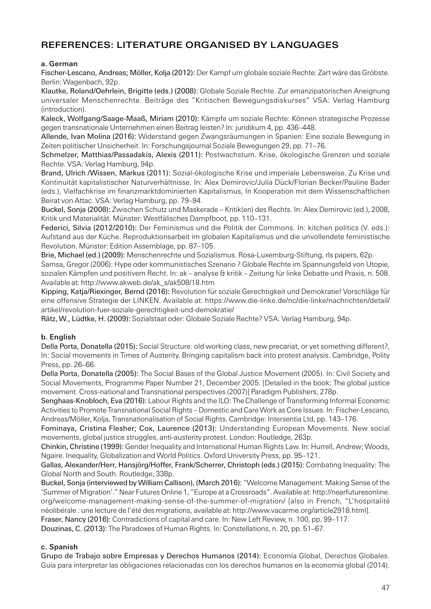# References: Literature organised by languages

# a. German

Fischer-Lescano, Andreas; Möller, Kolja (2012): Der Kampf um globale soziale Rechte: Zart wäre das Gröbste. Berlin: Wagenbach, 92p.

Klautke, Roland/Oehrlein, Brigitte (eds.) (2008): Globale Soziale Rechte. Zur emanzipatorischen Aneignung universaler Menschenrechte. Beiträge des "Kritischen Bewegungsdiskurses" VSA: Verlag Hamburg (introduction).

Kaleck, Wolfgang/Saage-Maaß, Miriam (2010): Kämpfe um soziale Rechte: Können strategische Prozesse gegen transnationale Unternehmen einen Beitrag leisten? In: juridikum 4, pp. 436–448.

Allende, Ivan Molina (2016): Widerstand gegen Zwangsräumungen in Spanien: Eine soziale Bewegung in Zeiten politischer Unsicherheit. In: Forschungsjournal Soziale Bewegungen 29, pp. 71–76.

Schmelzer, Matthias/Passadakis, Alexis (2011): Postwachstum. Krise, ökologische Grenzen und soziale Rechte. VSA: Verlag Hamburg, 94p.

Brand, Ulrich /Wissen, Markus (2011): Sozial-ökologische Krise und imperiale Lebensweise. Zu Krise und Kontinuität kapitalistischer Naturverhältnisse. In: Alex Demirovic/Julia Dück/Florian Becker/Pauline Bader (eds.), Vielfachkrise im finanzmarktdominierten Kapitalismus, In Kooperation mit dem Wissenschaftlichen Beirat von Attac. VSA: Verlag Hamburg, pp. 79–94.

Buckel, Sonja (2008): Zwischen Schutz und Maskerade – Kritik(en) des Rechts. In: Alex Demirovic (ed.), 2008, Kritik und Materialität. Münster: Westfälisches Dampfboot, pp. 110–131.

Federici, Silvia (2012/2010): Der Feminismus und die Politik der Commons. In: kitchen politics (V. eds.): Aufstand aus der Küche. Reproduktionsarbeit im globalen Kapitalismus und die unvollendete feministische Revolution. Münster: Edition Assemblage, pp. 87–105.

Brie, Michael (ed.) (2009): Menschenrechte und Sozialismus. Rosa-Luxemburg-Stiftung, rls papers, 62p. Samsa, Gregor (2006): Hype oder kommunistisches Szenario ? Globale Rechte im Spannungsfeld von Utopie, sozialen Kämpfen und positivem Recht. In: ak – analyse & kritik – Zeitung für linke Debatte und Praxis, n. 508. Available at: http://www.akweb.de/ak\_s/ak508/18.htm

Kipping, Katja/Riexinger, Bernd (2016): Revolution für soziale Gerechtigkeit und Demokratie! Vorschläge für eine offensive Strategie der LINKEN. Available at: https://www.die-linke.de/nc/die-linke/nachrichten/detail/ artikel/revolution-fuer-soziale-gerechtigkeit-und-demokratie/

Rätz, W., Lüdtke, H. (2009): Sozialstaat oder: Globale Soziale Rechte? VSA: Verlag Hamburg, 94p.

# b. English

Della Porta, Donatella (2015): Social Structure: old working class, new precariat, or yet something different?, In: Social movements in Times of Austerity. Bringing capitalism back into protest analysis. Cambridge, Polity Press, pp. 26–66.

Della Porta, Donatella (2005): The Social Bases of the Global Justice Movement (2005). In: Civil Society and Social Movements, Programme Paper Number 21, December 2005. [Detailed in the book: The global justice movement. Cross-national and Transnational perspectives (2007)] Paradigm Publishers, 278p.

Senghaas-Knobloch, Eva (2016): Labour Rights and the ILO: The Challenge of Transforming Informal Economic Activities to Promote Transnational Social Rights – Domestic and Care Work as Core Issues. In: Fischer-Lescano, Andreas/Möller, Kolja, Transnationalisation of Social Rights. Cambridge: Intersentia Ltd, pp. 143–176.

Fominaya, Cristina Flesher; Cox, Laurence (2013): Understanding European Movements. New social movements, global justice struggles, anti-austerity protest. London: Routledge, 263p.

Chinkin, Christine (1999): Gender Inequality and International Human Rights Law. In: Hurrell, Andrew; Woods, Ngaire. Inequality, Globalization and World Politics. Oxford University Press, pp. 95–121.

Gallas, Alexander/Herr, Hansjörg/Hoffer, Frank/Scherrer, Christoph (eds.) (2015): Combating Inequality: The Global North and South. Routledge, 338p.

Buckel, Sonja (interviewed by William Callison), (March 2016): "Welcome Management: Making Sense of the 'Summer of Migration'." Near Futures Online 1, "Europe at a Crossroads". Available at: http://nearfuturesonline. org/welcome-management-making-sense-of-the-summer-of-migration/ [also in French, "L'hospitalité néolibérale : une lecture de l'été des migrations, available at: http://www.vacarme.org/article2918.html].

Fraser, Nancy (2016): Contradictions of capital and care. In: New Left Review, n. 100, pp. 99–117.

Douzinas, C. (2013): The Paradoxes of Human Rights. In: Constellations, n. 20, pp. 51–67.

# c. Spanish

Grupo de Trabajo sobre Empresas y Derechos Humanos (2014): Economía Global, Derechos Globales. Guía para interpretar las obligaciones relacionadas con los derechos humanos en la economía global (2014).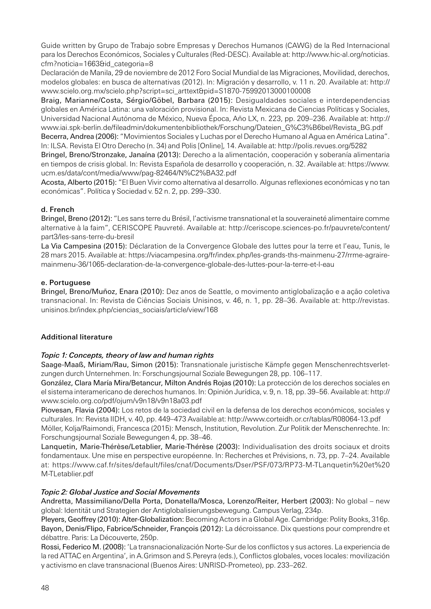Guide written by Grupo de Trabajo sobre Empresas y Derechos Humanos (CAWG) de la Red Internacional para los Derechos Económicos, Sociales y Culturales (Red-DESC). Available at: http://www.hic-al.org/noticias. cfm?noticia=1663&id\_categoria=8

Declaración de Manila, 29 de noviembre de 2012 Foro Social Mundial de las Migraciones, Movilidad, derechos, modelos globales: en busca de alternativas (2012). In: Migración y desarrollo, v. 11 n. 20. Available at: http:// www.scielo.org.mx/scielo.php?script=sci\_arttext&pid=S1870-75992013000100008

Braig, Marianne/Costa, Sérgio/Göbel, Barbara (2015): Desigualdades sociales e interdependencias globales en América Latina: una valoración provisional. In: Revista Mexicana de Ciencias Políticas y Sociales, Universidad Nacional Autónoma de México, Nueva Época, Año LX, n. 223, pp. 209–236. Available at: http:// www.iai.spk-berlin.de/fileadmin/dokumentenbibliothek/Forschung/Dateien\_G%C3%B6bel/Revista\_BG.pdf

Becerra, Andrea (2006): "Movimientos Sociales y Luchas por el Derecho Humano al Agua en América Latina". In: ILSA. Revista El Otro Derecho (n. 34) and Polis [Online], 14. Available at: http://polis.revues.org/5282

Bringel, Breno/Stronzake, Janaína (2013): Derecho a la alimentación, cooperación y soberanía alimentaria en tiempos de crisis global. In: Revista Española de desarrollo y cooperación, n. 32. Available at: https://www. ucm.es/data/cont/media/www/pag-82464/N%C2%BA32.pdf

Acosta, Alberto (2015): "El Buen Vivir como alternativa al desarrollo. Algunas reflexiones económicas y no tan económicas". Política y Sociedad v. 52 n. 2, pp. 299–330.

#### d. French

Bringel, Breno (2012): "Les sans terre du Brésil, l'activisme transnational et la souveraineté alimentaire comme alternative à la faim", CERISCOPE Pauvreté. Available at: http://ceriscope.sciences-po.fr/pauvrete/content/ part3/les-sans-terre-du-bresil

La Via Campesina (2015): Déclaration de la Convergence Globale des luttes pour la terre et l'eau, Tunis, le 28 mars 2015. Available at: https://viacampesina.org/fr/index.php/les-grands-ths-mainmenu-27/rrme-agrairemainmenu-36/1065-declaration-de-la-convergence-globale-des-luttes-pour-la-terre-et-l-eau

#### e. Portuguese

Bringel, Breno/Muñoz, Enara (2010): Dez anos de Seattle, o movimento antiglobalização e a ação coletiva transnacional. In: Revista de Ciências Sociais Unisinos, v. 46, n. 1, pp. 28–36. Available at: http://revistas. unisinos.br/index.php/ciencias\_sociais/article/view/168

#### Additional literature

#### *Topic 1: Concepts, theory of law and human rights*

Saage-Maaß, Miriam/Rau, Simon (2015): Transnationale juristische Kämpfe gegen Menschenrechtsverletzungen durch Unternehmen. In: Forschungsjournal Soziale Bewegungen 28, pp. 106–117.

González, Clara María Mira/Betancur, Milton Andrés Rojas (2010): La protección de los derechos sociales en el sistema interamericano de derechos humanos. In: Opinión Jurídica, v. 9, n. 18, pp. 39–56. Available at: http:// www.scielo.org.co/pdf/ojum/v9n18/v9n18a03.pdf

Piovesan, Flavia (2004): Los retos de la sociedad civil en la defensa de los derechos económicos, sociales y culturales. In: Revista IIDH, v. 40, pp. 449–473 Available at: http://www.corteidh.or.cr/tablas/R08064-13.pdf

Möller, Kolja/Raimondi, Francesca (2015): Mensch, Institution, Revolution. Zur Politik der Menschenrechte. In: Forschungsjournal Soziale Bewegungen 4, pp. 38–46.

Lanquetin, Marie-Thérèse/Letablier, Marie-Thérèse (2003): Individualisation des droits sociaux et droits fondamentaux. Une mise en perspective européenne. In: Recherches et Prévisions, n. 73, pp. 7–24. Available at: https://www.caf.fr/sites/default/files/cnaf/Documents/Dser/PSF/073/RP73-M-TLanquetin%20et%20 M-TLetablier.pdf

#### *Topic 2: Global Justice and Social Movements*

Andretta, Massimiliano/Della Porta, Donatella/Mosca, Lorenzo/Reiter, Herbert (2003): No global – new global: Identität und Strategien der Antiglobalisierungsbewegung. Campus Verlag, 234p.

Pleyers, Geoffrey (2010): Alter-Globalization: Becoming Actors in a Global Age. Cambridge: Polity Books, 316p. Bayon, Denis/Flipo, Fabrice/Schneider, François (2012): La décroissance. Dix questions pour comprendre et débattre. Paris: La Découverte, 250p.

Rossi, Federico M. (2008): 'La transnacionalización Norte-Sur de los conflictos y sus actores. La experiencia de la red ATTAC en Argentina', in A.Grimson and S.Pereyra (eds.), Conflictos globales, voces locales: movilización y activismo en clave transnacional (Buenos Aires: UNRISD-Prometeo), pp. 233–262.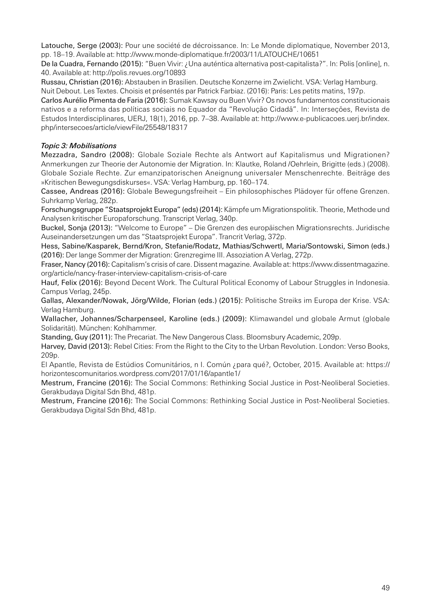Latouche, Serge (2003): Pour une société de décroissance. In: Le Monde diplomatique, November 2013, pp. 18–19. Available at: http://www.monde-diplomatique.fr/2003/11/LATOUCHE/10651

De la Cuadra, Fernando (2015): "Buen Vivir: ¿Una auténtica alternativa post-capitalista?". In: Polis [online], n. 40. Available at: http://polis.revues.org/10893

Russau, Christian (2016): Abstauben in Brasilien. Deutsche Konzerne im Zwielicht. VSA: Verlag Hamburg. Nuit Debout. Les Textes. Choisis et présentés par Patrick Farbiaz. (2016): Paris: Les petits matins, 197p.

Carlos Aurélio Pimenta de Faria (2016): Sumak Kawsay ou Buen Vivir? Os novos fundamentos constitucionais nativos e a reforma das políticas sociais no Equador da "Revolução Cidadã". In: Interseções, Revista de Estudos Interdisciplinares, UERJ, 18(1), 2016, pp. 7–38. Available at: http://www.e-publicacoes.uerj.br/index. php/intersecoes/article/viewFile/25548/18317

# *Topic 3: Mobilisations*

Mezzadra, Sandro (2008): Globale Soziale Rechte als Antwort auf Kapitalismus und Migrationen? Anmerkungen zur Theorie der Autonomie der Migration. In: Klautke, Roland /Oehrlein, Brigitte (eds.) (2008). Globale Soziale Rechte. Zur emanzipatorischen Aneignung universaler Menschenrechte. Beiträge des »Kritischen Bewegungsdiskurses«. VSA: Verlag Hamburg, pp. 160–174.

Cassee, Andreas (2016): Globale Bewegungsfreiheit – Ein philosophisches Plädoyer für offene Grenzen. Suhrkamp Verlag, 282p.

Forschungsgruppe "Staatsprojekt Europa" (eds) (2014): Kämpfe um Migrationspolitik. Theorie, Methode und Analysen kritischer Europaforschung. Transcript Verlag, 340p.

Buckel, Sonja (2013): "Welcome to Europe" – Die Grenzen des europäischen Migrationsrechts. Juridische Auseinandersetzungen um das "Staatsprojekt Europa". Trancrit Verlag, 372p.

Hess, Sabine/Kasparek, Bernd/Kron, Stefanie/Rodatz, Mathias/Schwertl, Maria/Sontowski, Simon (eds.) (2016): Der lange Sommer der Migration: Grenzregime III. Assoziation A Verlag, 272p.

Fraser, Nancy (2016): Capitalism's crisis of care. Dissent magazine. Available at: https://www.dissentmagazine. org/article/nancy-fraser-interview-capitalism-crisis-of-care

Hauf, Felix (2016): Beyond Decent Work. The Cultural Political Economy of Labour Struggles in Indonesia. Campus Verlag, 245p.

Gallas, Alexander/Nowak, Jörg/Wilde, Florian (eds.) (2015): Politische Streiks im Europa der Krise. VSA: Verlag Hamburg.

Wallacher, Johannes/Scharpenseel, Karoline (eds.) (2009): Klimawandel und globale Armut (globale Solidarität). München: Kohlhammer.

Standing, Guy (2011): The Precariat. The New Dangerous Class. Bloomsbury Academic, 209p.

Harvey, David (2013): Rebel Cities: From the Right to the City to the Urban Revolution. London: Verso Books, 209p.

El Apantle, Revista de Estúdios Comunitários, n I. Común ¿para qué?, October, 2015. Available at: https:// horizontescomunitarios.wordpress.com/2017/01/16/apantle1/

Mestrum, Francine (2016): The Social Commons: Rethinking Social Justice in Post-Neoliberal Societies. Gerakbudaya Digital Sdn Bhd, 481p.

Mestrum, Francine (2016): The Social Commons: Rethinking Social Justice in Post-Neoliberal Societies. Gerakbudaya Digital Sdn Bhd, 481p.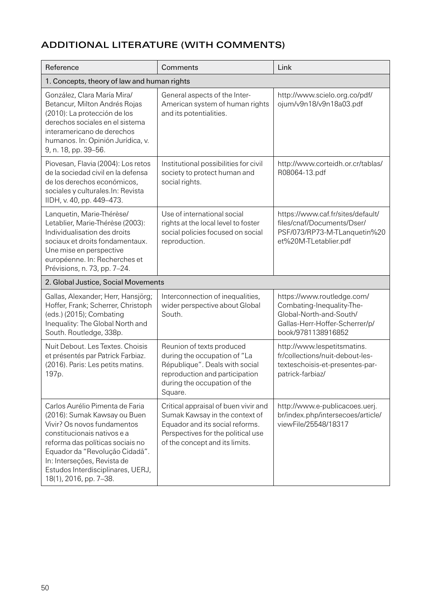# Additional literature (with comments)

| Reference                                                                                                                                                                                                                                                                                         | Comments                                                                                                                                                                          | Link                                                                                                                                       |  |  |
|---------------------------------------------------------------------------------------------------------------------------------------------------------------------------------------------------------------------------------------------------------------------------------------------------|-----------------------------------------------------------------------------------------------------------------------------------------------------------------------------------|--------------------------------------------------------------------------------------------------------------------------------------------|--|--|
| 1. Concepts, theory of law and human rights                                                                                                                                                                                                                                                       |                                                                                                                                                                                   |                                                                                                                                            |  |  |
| González, Clara María Mira/<br>Betancur, Milton Andrés Rojas<br>(2010): La protección de los<br>derechos sociales en el sistema<br>interamericano de derechos<br>humanos. In: Opinión Jurídica, v.<br>9, n. 18, pp. 39-56.                                                                        | General aspects of the Inter-<br>American system of human rights<br>and its potentialities.                                                                                       | http://www.scielo.org.co/pdf/<br>ojum/v9n18/v9n18a03.pdf                                                                                   |  |  |
| Piovesan, Flavia (2004): Los retos<br>de la sociedad civil en la defensa<br>de los derechos económicos,<br>sociales y culturales. In: Revista<br>IIDH, v. 40, pp. 449-473.                                                                                                                        | Institutional possibilities for civil<br>society to protect human and<br>social rights.                                                                                           | http://www.corteidh.or.cr/tablas/<br>R08064-13.pdf                                                                                         |  |  |
| Lanquetin, Marie-Thérèse/<br>Letablier, Marie-Thérèse (2003):<br>Individualisation des droits<br>sociaux et droits fondamentaux.<br>Une mise en perspective<br>européenne. In: Recherches et<br>Prévisions, n. 73, pp. 7-24.                                                                      | Use of international social<br>rights at the local level to foster<br>social policies focused on social<br>reproduction.                                                          | https://www.caf.fr/sites/default/<br>files/cnaf/Documents/Dser/<br>PSF/073/RP73-M-TLanquetin%20<br>et%20M-TLetablier.pdf                   |  |  |
| 2. Global Justice, Social Movements                                                                                                                                                                                                                                                               |                                                                                                                                                                                   |                                                                                                                                            |  |  |
| Gallas, Alexander; Herr, Hansjörg;<br>Hoffer, Frank; Scherrer, Christoph<br>(eds.) (2015); Combating<br>Inequality: The Global North and<br>South. Routledge, 338p.                                                                                                                               | Interconnection of inequalities,<br>wider perspective about Global<br>South.                                                                                                      | https://www.routledge.com/<br>Combating-Inequality-The-<br>Global-North-and-South/<br>Gallas-Herr-Hoffer-Scherrer/p/<br>book/9781138916852 |  |  |
| Nuit Debout. Les Textes. Choisis<br>et présentés par Patrick Farbiaz.<br>(2016). Paris: Les petits matins.<br>197p.                                                                                                                                                                               | Reunion of texts produced<br>during the occupation of "La<br>République". Deals with social<br>reproduction and participation<br>during the occupation of the<br>Square.          | http://www.lespetitsmatins.<br>fr/collections/nuit-debout-les-<br>texteschoisis-et-presentes-par-<br>patrick-farbiaz/                      |  |  |
| Carlos Aurélio Pimenta de Faria<br>(2016): Sumak Kawsay ou Buen<br>Vivir? Os novos fundamentos<br>constitucionais nativos e a<br>reforma das políticas sociais no<br>Equador da "Revolução Cidadã".<br>In: Interseções, Revista de<br>Estudos Interdisciplinares, UERJ,<br>18(1), 2016, pp. 7-38. | Critical appraisal of buen vivir and<br>Sumak Kawsay in the context of<br>Equador and its social reforms.<br>Perspectives for the political use<br>of the concept and its limits. | http://www.e-publicacoes.uerj.<br>br/index.php/intersecoes/article/<br>viewFile/25548/18317                                                |  |  |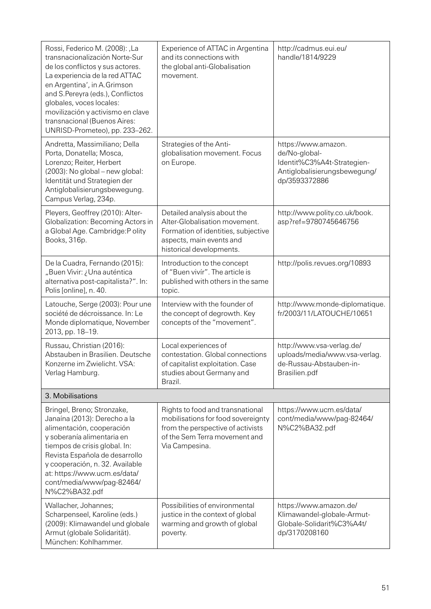| Rossi, Federico M. (2008): ,La<br>transnacionalización Norte-Sur<br>de los conflictos y sus actores.<br>La experiencia de la red ATTAC<br>en Argentina', in A.Grimson<br>and S.Pereyra (eds.), Conflictos<br>globales, voces locales:<br>movilización y activismo en clave<br>transnacional (Buenos Aires:<br>UNRISD-Prometeo), pp. 233-262. | Experience of ATTAC in Argentina<br>and its connections with<br>the global anti-Globalisation<br>movement.                                                     | http://cadmus.eui.eu/<br>handle/1814/9229                                                                           |
|----------------------------------------------------------------------------------------------------------------------------------------------------------------------------------------------------------------------------------------------------------------------------------------------------------------------------------------------|----------------------------------------------------------------------------------------------------------------------------------------------------------------|---------------------------------------------------------------------------------------------------------------------|
| Andretta, Massimiliano; Della<br>Porta, Donatella; Mosca,<br>Lorenzo; Reiter, Herbert<br>(2003): No global - new global:<br>Identität und Strategien der<br>Antiglobalisierungsbewegung.<br>Campus Verlag, 234p.                                                                                                                             | Strategies of the Anti-<br>globalisation movement. Focus<br>on Europe.                                                                                         | https://www.amazon.<br>de/No-global-<br>Identit%C3%A4t-Strategien-<br>Antiglobalisierungsbewegung/<br>dp/3593372886 |
| Pleyers, Geoffrey (2010): Alter-<br>Globalization: Becoming Actors in<br>a Global Age. Cambridge: Polity<br>Books, 316p.                                                                                                                                                                                                                     | Detailed analysis about the<br>Alter-Globalisation movement.<br>Formation of identities, subjective<br>aspects, main events and<br>historical developments.    | http://www.polity.co.uk/book.<br>asp?ref=9780745646756                                                              |
| De la Cuadra, Fernando (2015):<br>"Buen Vivir: ¿Una auténtica<br>alternativa post-capitalista?". In:<br>Polis [online], n. 40.                                                                                                                                                                                                               | Introduction to the concept<br>of "Buen vivír". The article is<br>published with others in the same<br>topic.                                                  | http://polis.revues.org/10893                                                                                       |
| Latouche, Serge (2003): Pour une<br>société de décroissance. In: Le<br>Monde diplomatique, November<br>2013, pp. 18-19.                                                                                                                                                                                                                      | Interview with the founder of<br>the concept of degrowth. Key<br>concepts of the "movement".                                                                   | http://www.monde-diplomatique.<br>fr/2003/11/LATOUCHE/10651                                                         |
| Russau, Christian (2016):<br>Abstauben in Brasilien. Deutsche<br>Konzerne im Zwielicht. VSA:<br>Verlag Hamburg.                                                                                                                                                                                                                              | Local experiences of<br>contestation. Global connections<br>of capitalist exploitation. Case<br>studies about Germany and<br>Brazil.                           | http://www.vsa-verlag.de/<br>uploads/media/www.vsa-verlag.<br>de-Russau-Abstauben-in-<br>Brasilien.pdf              |
| 3. Mobilisations                                                                                                                                                                                                                                                                                                                             |                                                                                                                                                                |                                                                                                                     |
| Bringel, Breno; Stronzake,<br>Janaína (2013): Derecho a la<br>alimentación, cooperación<br>y soberanía alimentaria en<br>tiempos de crisis global. In:<br>Revista Española de desarrollo<br>y cooperación, n. 32. Available<br>at: https://www.ucm.es/data/<br>cont/media/www/pag-82464/<br>N%C2%BA32.pdf                                    | Rights to food and transnational<br>mobilisations for food sovereignty<br>from the perspective of activists<br>of the Sem Terra movement and<br>Via Campesina. | https://www.ucm.es/data/<br>cont/media/www/pag-82464/<br>N%C2%BA32.pdf                                              |
| Wallacher, Johannes;<br>Scharpenseel, Karoline (eds.)<br>(2009): Klimawandel und globale<br>Armut (globale Solidarität).<br>München: Kohlhammer.                                                                                                                                                                                             | Possibilities of environmental<br>justice in the context of global<br>warming and growth of global<br>poverty.                                                 | https://www.amazon.de/<br>Klimawandel-globale-Armut-<br>Globale-Solidarit%C3%A4t/<br>dp/3170208160                  |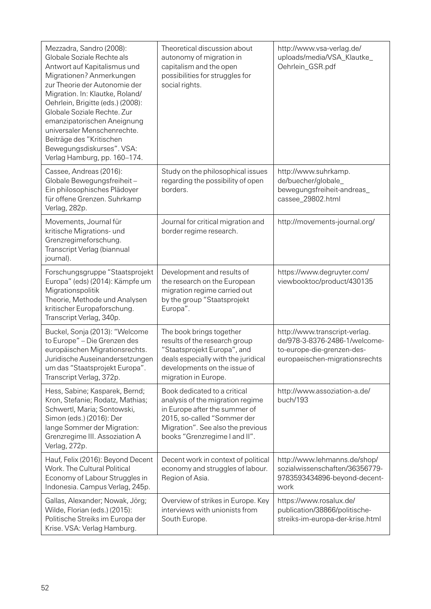| Mezzadra, Sandro (2008):<br>Globale Soziale Rechte als<br>Antwort auf Kapitalismus und<br>Migrationen? Anmerkungen<br>zur Theorie der Autonomie der<br>Migration. In: Klautke, Roland/<br>Oehrlein, Brigitte (eds.) (2008):<br>Globale Soziale Rechte. Zur<br>emanzipatorischen Aneignung<br>universaler Menschenrechte.<br>Beiträge des "Kritischen<br>Bewegungsdiskurses". VSA:<br>Verlag Hamburg, pp. 160-174. | Theoretical discussion about<br>autonomy of migration in<br>capitalism and the open<br>possibilities for struggles for<br>social rights.                                                               | http://www.vsa-verlag.de/<br>uploads/media/VSA_Klautke_<br>Oehrlein_GSR.pdf                                                    |
|-------------------------------------------------------------------------------------------------------------------------------------------------------------------------------------------------------------------------------------------------------------------------------------------------------------------------------------------------------------------------------------------------------------------|--------------------------------------------------------------------------------------------------------------------------------------------------------------------------------------------------------|--------------------------------------------------------------------------------------------------------------------------------|
| Cassee, Andreas (2016):<br>Globale Bewegungsfreiheit-<br>Ein philosophisches Plädoyer<br>für offene Grenzen. Suhrkamp<br>Verlag, 282p.                                                                                                                                                                                                                                                                            | Study on the philosophical issues<br>regarding the possibility of open<br>borders.                                                                                                                     | http://www.suhrkamp.<br>de/buecher/globale_<br>bewegungsfreiheit-andreas_<br>cassee_29802.html                                 |
| Movements, Journal für<br>kritische Migrations- und<br>Grenzregimeforschung.<br>Transcript Verlag (biannual<br>journal).                                                                                                                                                                                                                                                                                          | Journal for critical migration and<br>border regime research.                                                                                                                                          | http://movements-journal.org/                                                                                                  |
| Forschungsgruppe "Staatsprojekt<br>Europa" (eds) (2014): Kämpfe um<br>Migrationspolitik<br>Theorie, Methode und Analysen<br>kritischer Europaforschung.<br>Transcript Verlag, 340p.                                                                                                                                                                                                                               | Development and results of<br>the research on the European<br>migration regime carried out<br>by the group "Staatsprojekt<br>Europa".                                                                  | https://www.degruyter.com/<br>viewbooktoc/product/430135                                                                       |
| Buckel, Sonja (2013): "Welcome<br>to Europe" - Die Grenzen des<br>europäischen Migrationsrechts.<br>Juridische Auseinandersetzungen<br>um das "Staatsprojekt Europa".<br>Transcript Verlag, 372p.                                                                                                                                                                                                                 | The book brings together<br>results of the research group<br>"Staatsprojekt Europa", and<br>deals especially with the juridical<br>developments on the issue of<br>migration in Europe.                | http://www.transcript-verlag.<br>de/978-3-8376-2486-1/welcome-<br>to-europe-die-grenzen-des-<br>europaeischen-migrationsrechts |
| Hess, Sabine; Kasparek, Bernd;<br>Kron, Stefanie; Rodatz, Mathias;<br>Schwertl, Maria; Sontowski,<br>Simon (eds.) (2016): Der<br>lange Sommer der Migration:<br>Grenzregime III. Assoziation A<br>Verlag, 272p.                                                                                                                                                                                                   | Book dedicated to a critical<br>analysis of the migration regime<br>in Europe after the summer of<br>2015, so-called "Sommer der<br>Migration". See also the previous<br>books "Grenzregime I and II". | http://www.assoziation-a.de/<br>buch/193                                                                                       |
| Hauf, Felix (2016): Beyond Decent<br>Work. The Cultural Political<br>Economy of Labour Struggles in<br>Indonesia. Campus Verlag, 245p.                                                                                                                                                                                                                                                                            | Decent work in context of political<br>economy and struggles of labour.<br>Region of Asia.                                                                                                             | http://www.lehmanns.de/shop/<br>sozialwissenschaften/36356779-<br>9783593434896-beyond-decent-<br>work                         |
| Gallas, Alexander; Nowak, Jörg;<br>Wilde, Florian (eds.) (2015):<br>Politische Streiks im Europa der<br>Krise. VSA: Verlag Hamburg.                                                                                                                                                                                                                                                                               | Overview of strikes in Europe. Key<br>interviews with unionists from<br>South Europe.                                                                                                                  | https://www.rosalux.de/<br>publication/38866/politische-<br>streiks-im-europa-der-krise.html                                   |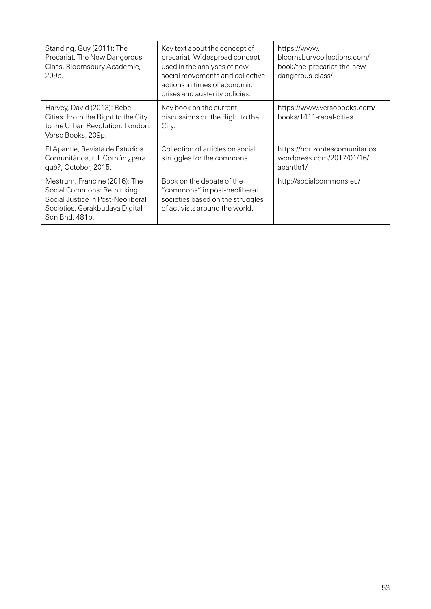| Standing, Guy (2011): The<br>Precariat. The New Dangerous<br>Class. Bloomsbury Academic,<br>209p.                                                    | Key text about the concept of<br>precariat. Widespread concept<br>used in the analyses of new<br>social movements and collective<br>actions in times of economic<br>crises and austerity policies. | https://www.<br>bloomsburycollections.com/<br>book/the-precariat-the-new-<br>dangerous-class/ |
|------------------------------------------------------------------------------------------------------------------------------------------------------|----------------------------------------------------------------------------------------------------------------------------------------------------------------------------------------------------|-----------------------------------------------------------------------------------------------|
| Harvey, David (2013): Rebel<br>Cities: From the Right to the City<br>to the Urban Revolution. London:<br>Verso Books, 209p.                          | Key book on the current<br>discussions on the Right to the<br>City.                                                                                                                                | https://www.versobooks.com/<br>books/1411-rebel-cities                                        |
| El Apantle, Revista de Estúdios<br>Comunitários, n I. Común ¿para<br>qué?, October, 2015.                                                            | Collection of articles on social<br>struggles for the commons.                                                                                                                                     | https://horizontescomunitarios.<br>wordpress.com/2017/01/16/<br>apantle1/                     |
| Mestrum, Francine (2016): The<br>Social Commons: Rethinking<br>Social Justice in Post-Neoliberal<br>Societies. Gerakbudaya Digital<br>Sdn Bhd, 481p. | Book on the debate of the<br>"commons" in post-neoliberal<br>societies based on the struggles<br>of activists around the world.                                                                    | http://socialcommons.eu/                                                                      |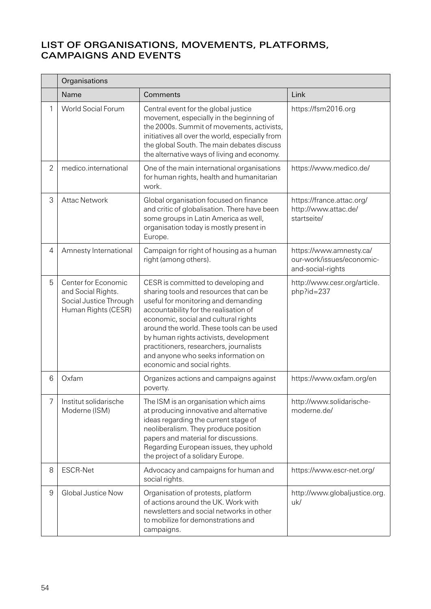# List of organisations, movements, platforms, campaigns and events

|                | Organisations                                                                              |                                                                                                                                                                                                                                                                                                                                                                                                                |                                                                           |
|----------------|--------------------------------------------------------------------------------------------|----------------------------------------------------------------------------------------------------------------------------------------------------------------------------------------------------------------------------------------------------------------------------------------------------------------------------------------------------------------------------------------------------------------|---------------------------------------------------------------------------|
|                | Name                                                                                       | Comments                                                                                                                                                                                                                                                                                                                                                                                                       | Link                                                                      |
| 1              | <b>World Social Forum</b>                                                                  | Central event for the global justice<br>movement, especially in the beginning of<br>the 2000s. Summit of movements, activists,<br>initiatives all over the world, especially from<br>the global South. The main debates discuss<br>the alternative ways of living and economy.                                                                                                                                 | https://fsm2016.org                                                       |
| $\overline{2}$ | medico.international                                                                       | One of the main international organisations<br>for human rights, health and humanitarian<br>work.                                                                                                                                                                                                                                                                                                              | https://www.medico.de/                                                    |
| 3              | <b>Attac Network</b>                                                                       | Global organisation focused on finance<br>and critic of globalisation. There have been<br>some groups in Latin America as well,<br>organisation today is mostly present in<br>Europe.                                                                                                                                                                                                                          | https://france.attac.org/<br>http://www.attac.de/<br>startseite/          |
| 4              | Amnesty International                                                                      | Campaign for right of housing as a human<br>right (among others).                                                                                                                                                                                                                                                                                                                                              | https://www.amnesty.ca/<br>our-work/issues/economic-<br>and-social-rights |
| 5              | Center for Economic<br>and Social Rights.<br>Social Justice Through<br>Human Rights (CESR) | CESR is committed to developing and<br>sharing tools and resources that can be<br>useful for monitoring and demanding<br>accountability for the realisation of<br>economic, social and cultural rights<br>around the world. These tools can be used<br>by human rights activists, development<br>practitioners, researchers, journalists<br>and anyone who seeks information on<br>economic and social rights. | http://www.cesr.org/article.<br>php?id=237                                |
| 6              | Oxfam                                                                                      | Organizes actions and campaigns against<br>poverty.                                                                                                                                                                                                                                                                                                                                                            | https://www.oxfam.org/en                                                  |
| $\overline{7}$ | Institut solidarische<br>Moderne (ISM)                                                     | The ISM is an organisation which aims<br>at producing innovative and alternative<br>ideas regarding the current stage of<br>neoliberalism. They produce position<br>papers and material for discussions.<br>Regarding European issues, they uphold<br>the project of a solidary Europe.                                                                                                                        | http://www.solidarische-<br>moderne.de/                                   |
| 8              | <b>ESCR-Net</b>                                                                            | Advocacy and campaigns for human and<br>social rights.                                                                                                                                                                                                                                                                                                                                                         | https://www.escr-net.org/                                                 |
| 9              | <b>Global Justice Now</b>                                                                  | Organisation of protests, platform<br>of actions around the UK. Work with<br>newsletters and social networks in other<br>to mobilize for demonstrations and<br>campaigns.                                                                                                                                                                                                                                      | http://www.globaljustice.org.<br>uk/                                      |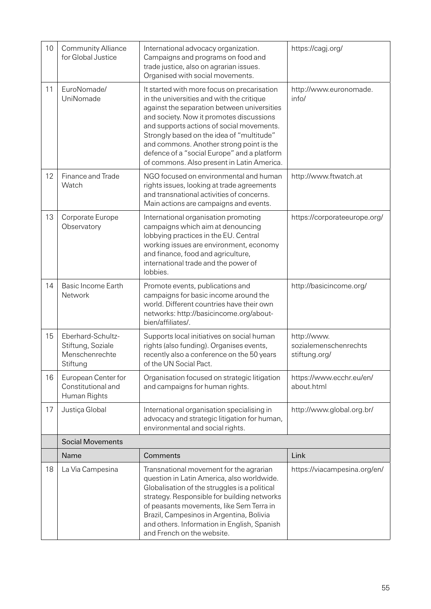| 10 | <b>Community Alliance</b><br>for Global Justice                      | International advocacy organization.<br>Campaigns and programs on food and<br>trade justice, also on agrarian issues.<br>Organised with social movements.                                                                                                                                                                                                                                                              | https://cagj.org/                                     |
|----|----------------------------------------------------------------------|------------------------------------------------------------------------------------------------------------------------------------------------------------------------------------------------------------------------------------------------------------------------------------------------------------------------------------------------------------------------------------------------------------------------|-------------------------------------------------------|
| 11 | EuroNomade/<br>UniNomade                                             | It started with more focus on precarisation<br>in the universities and with the critique<br>against the separation between universities<br>and society. Now it promotes discussions<br>and supports actions of social movements.<br>Strongly based on the idea of "multitude"<br>and commons. Another strong point is the<br>defence of a "social Europe" and a platform<br>of commons. Also present in Latin America. | http://www.euronomade.<br>info/                       |
| 12 | Finance and Trade<br>Watch                                           | NGO focused on environmental and human<br>rights issues, looking at trade agreements<br>and transnational activities of concerns.<br>Main actions are campaigns and events.                                                                                                                                                                                                                                            | http://www.ftwatch.at                                 |
| 13 | Corporate Europe<br>Observatory                                      | International organisation promoting<br>campaigns which aim at denouncing<br>lobbying practices in the EU. Central<br>working issues are environment, economy<br>and finance, food and agriculture,<br>international trade and the power of<br>lobbies.                                                                                                                                                                | https://corporateeurope.org/                          |
| 14 | <b>Basic Income Earth</b><br>Network                                 | Promote events, publications and<br>campaigns for basic income around the<br>world. Different countries have their own<br>networks: http://basicincome.org/about-<br>bien/affiliates/.                                                                                                                                                                                                                                 | http://basicincome.org/                               |
| 15 | Eberhard-Schultz-<br>Stiftung, Soziale<br>Menschenrechte<br>Stiftung | Supports local initiatives on social human<br>rights (also funding). Organises events,<br>recently also a conference on the 50 years<br>of the UN Social Pact.                                                                                                                                                                                                                                                         | http://www.<br>sozialemenschenrechts<br>stiftung.org/ |
| 16 | European Center for<br>Constitutional and<br>Human Rights            | Organisation focused on strategic litigation<br>and campaigns for human rights.                                                                                                                                                                                                                                                                                                                                        | https://www.ecchr.eu/en/<br>about.html                |
| 17 | Justiça Global                                                       | International organisation specialising in<br>advocacy and strategic litigation for human,<br>environmental and social rights.                                                                                                                                                                                                                                                                                         | http://www.global.org.br/                             |
|    | <b>Social Movements</b>                                              |                                                                                                                                                                                                                                                                                                                                                                                                                        |                                                       |
|    | Name                                                                 | Comments                                                                                                                                                                                                                                                                                                                                                                                                               | Link                                                  |
| 18 | La Via Campesina                                                     | Transnational movement for the agrarian<br>question in Latin America, also worldwide.<br>Globalisation of the struggles is a political<br>strategy. Responsible for building networks<br>of peasants movements, like Sem Terra in<br>Brazil, Campesinos in Argentina, Bolivia<br>and others. Information in English, Spanish<br>and French on the website.                                                             | https://viacampesina.org/en/                          |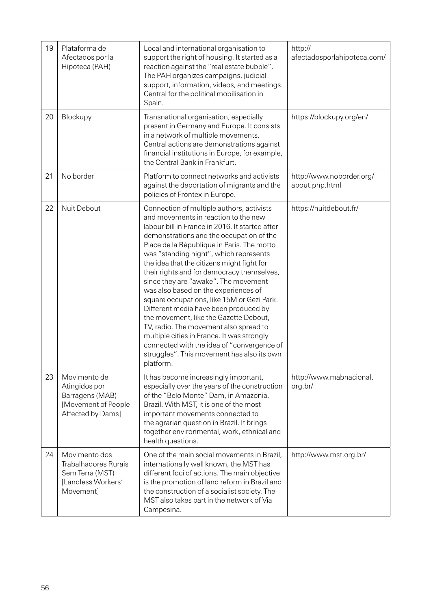| 19 | Plataforma de<br>Afectados por la<br>Hipoteca (PAH)                                                | Local and international organisation to<br>support the right of housing. It started as a<br>reaction against the "real estate bubble".<br>The PAH organizes campaigns, judicial<br>support, information, videos, and meetings.<br>Central for the political mobilisation in<br>Spain.                                                                                                                                                                                                                                                                                                                                                                                                                                                                                                  | http://<br>afectadosporlahipoteca.com/     |
|----|----------------------------------------------------------------------------------------------------|----------------------------------------------------------------------------------------------------------------------------------------------------------------------------------------------------------------------------------------------------------------------------------------------------------------------------------------------------------------------------------------------------------------------------------------------------------------------------------------------------------------------------------------------------------------------------------------------------------------------------------------------------------------------------------------------------------------------------------------------------------------------------------------|--------------------------------------------|
| 20 | Blockupy                                                                                           | Transnational organisation, especially<br>present in Germany and Europe. It consists<br>in a network of multiple movements.<br>Central actions are demonstrations against<br>financial institutions in Europe, for example,<br>the Central Bank in Frankfurt.                                                                                                                                                                                                                                                                                                                                                                                                                                                                                                                          | https://blockupy.org/en/                   |
| 21 | No border                                                                                          | Platform to connect networks and activists<br>against the deportation of migrants and the<br>policies of Frontex in Europe.                                                                                                                                                                                                                                                                                                                                                                                                                                                                                                                                                                                                                                                            | http://www.noborder.org/<br>about.php.html |
| 22 | Nuit Debout                                                                                        | Connection of multiple authors, activists<br>and movements in reaction to the new<br>labour bill in France in 2016. It started after<br>demonstrations and the occupation of the<br>Place de la République in Paris. The motto<br>was "standing night", which represents<br>the idea that the citizens might fight for<br>their rights and for democracy themselves,<br>since they are "awake". The movement<br>was also based on the experiences of<br>square occupations, like 15M or Gezi Park.<br>Different media have been produced by<br>the movement, like the Gazette Debout,<br>TV, radio. The movement also spread to<br>multiple cities in France. It was strongly<br>connected with the idea of "convergence of<br>struggles". This movement has also its own<br>platform. | https://nuitdebout.fr/                     |
| 23 | Movimento de<br>Atingidos por<br>Barragens (MAB)<br>[Movement of People<br>Affected by Dams]       | It has become increasingly important,<br>especially over the years of the construction<br>of the "Belo Monte" Dam, in Amazonia,<br>Brazil. With MST, it is one of the most<br>important movements connected to<br>the agrarian question in Brazil. It brings<br>together environmental, work, ethnical and<br>health questions.                                                                                                                                                                                                                                                                                                                                                                                                                                                        | http://www.mabnacional.<br>org.br/         |
| 24 | Movimento dos<br><b>Trabalhadores Rurais</b><br>Sem Terra (MST)<br>[Landless Workers'<br>Movement] | One of the main social movements in Brazil,<br>internationally well known, the MST has<br>different foci of actions. The main objective<br>is the promotion of land reform in Brazil and<br>the construction of a socialist society. The<br>MST also takes part in the network of Via<br>Campesina.                                                                                                                                                                                                                                                                                                                                                                                                                                                                                    | http://www.mst.org.br/                     |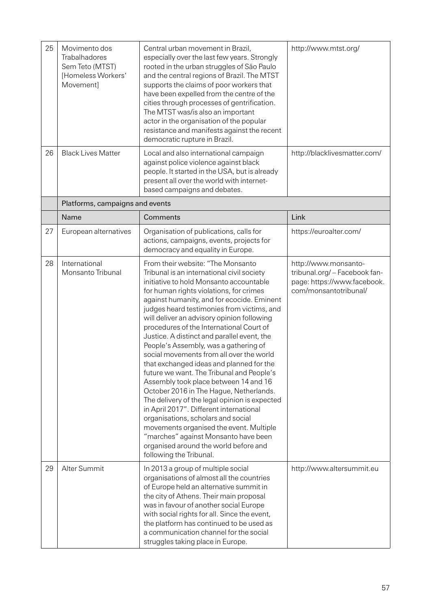| 25 | Movimento dos<br>Trabalhadores<br>Sem Teto (MTST)<br>[Homeless Workers'<br>Movement] | Central urban movement in Brazil,<br>especially over the last few years. Strongly<br>rooted in the urban struggles of São Paulo<br>and the central regions of Brazil. The MTST<br>supports the claims of poor workers that<br>have been expelled from the centre of the<br>cities through processes of gentrification.<br>The MTST was/is also an important<br>actor in the organisation of the popular<br>resistance and manifests against the recent<br>democratic rupture in Brazil.                                                                                                                                                                                                                                                                                                                                                                                                                                                                               | http://www.mtst.org/                                                                                          |  |
|----|--------------------------------------------------------------------------------------|-----------------------------------------------------------------------------------------------------------------------------------------------------------------------------------------------------------------------------------------------------------------------------------------------------------------------------------------------------------------------------------------------------------------------------------------------------------------------------------------------------------------------------------------------------------------------------------------------------------------------------------------------------------------------------------------------------------------------------------------------------------------------------------------------------------------------------------------------------------------------------------------------------------------------------------------------------------------------|---------------------------------------------------------------------------------------------------------------|--|
| 26 | <b>Black Lives Matter</b>                                                            | Local and also international campaign<br>against police violence against black<br>people. It started in the USA, but is already<br>present all over the world with internet-<br>based campaigns and debates.                                                                                                                                                                                                                                                                                                                                                                                                                                                                                                                                                                                                                                                                                                                                                          | http://blacklivesmatter.com/                                                                                  |  |
|    | Platforms, campaigns and events                                                      |                                                                                                                                                                                                                                                                                                                                                                                                                                                                                                                                                                                                                                                                                                                                                                                                                                                                                                                                                                       |                                                                                                               |  |
|    | Name                                                                                 | Comments                                                                                                                                                                                                                                                                                                                                                                                                                                                                                                                                                                                                                                                                                                                                                                                                                                                                                                                                                              | Link                                                                                                          |  |
| 27 | European alternatives                                                                | Organisation of publications, calls for<br>actions, campaigns, events, projects for<br>democracy and equality in Europe.                                                                                                                                                                                                                                                                                                                                                                                                                                                                                                                                                                                                                                                                                                                                                                                                                                              | https://euroalter.com/                                                                                        |  |
| 28 | International<br>Monsanto Tribunal                                                   | From their website: "The Monsanto<br>Tribunal is an international civil society<br>initiative to hold Monsanto accountable<br>for human rights violations, for crimes<br>against humanity, and for ecocide. Eminent<br>judges heard testimonies from victims, and<br>will deliver an advisory opinion following<br>procedures of the International Court of<br>Justice. A distinct and parallel event, the<br>People's Assembly, was a gathering of<br>social movements from all over the world<br>that exchanged ideas and planned for the<br>future we want. The Tribunal and People's<br>Assembly took place between 14 and 16<br>October 2016 in The Hague, Netherlands.<br>The delivery of the legal opinion is expected<br>in April 2017". Different international<br>organisations, scholars and social<br>movements organised the event. Multiple<br>"marches" against Monsanto have been<br>organised around the world before and<br>following the Tribunal. | http://www.monsanto-<br>tribunal.org/ - Facebook fan-<br>page: https://www.facebook.<br>com/monsantotribunal/ |  |
| 29 | Alter Summit                                                                         | In 2013 a group of multiple social<br>organisations of almost all the countries<br>of Europe held an alternative summit in<br>the city of Athens. Their main proposal<br>was in favour of another social Europe<br>with social rights for all. Since the event,<br>the platform has continued to be used as<br>a communication channel for the social<br>struggles taking place in Europe.                                                                                                                                                                                                                                                                                                                                                                                                                                                                                                                                                                            | http://www.altersummit.eu                                                                                     |  |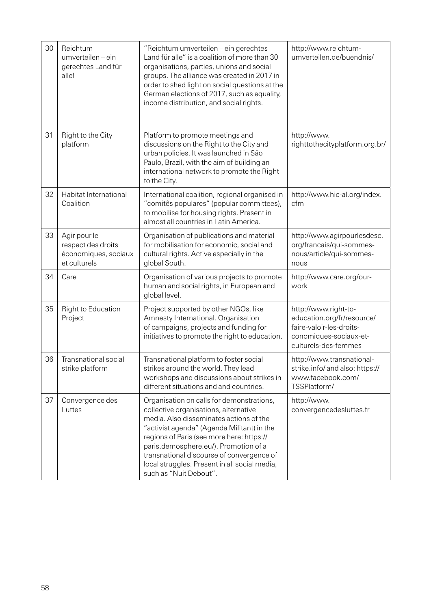| 30 | Reichtum<br>$umverteilen - ein$<br>gerechtes Land für<br>alle!             | "Reichtum umverteilen - ein gerechtes<br>Land für alle" is a coalition of more than 30<br>organisations, parties, unions and social<br>groups. The alliance was created in 2017 in<br>order to shed light on social questions at the<br>German elections of 2017, such as equality,<br>income distribution, and social rights.                                                            | http://www.reichtum-<br>umverteilen.de/buendnis/                                                                                 |
|----|----------------------------------------------------------------------------|-------------------------------------------------------------------------------------------------------------------------------------------------------------------------------------------------------------------------------------------------------------------------------------------------------------------------------------------------------------------------------------------|----------------------------------------------------------------------------------------------------------------------------------|
| 31 | Right to the City<br>platform                                              | Platform to promote meetings and<br>discussions on the Right to the City and<br>urban policies. It was launched in São<br>Paulo, Brazil, with the aim of building an<br>international network to promote the Right<br>to the City.                                                                                                                                                        | http://www.<br>righttothecityplatform.org.br/                                                                                    |
| 32 | Habitat International<br>Coalition                                         | International coalition, regional organised in<br>"comitês populares" (popular committees),<br>to mobilise for housing rights. Present in<br>almost all countries in Latin America.                                                                                                                                                                                                       | http://www.hic-al.org/index.<br>cfm                                                                                              |
| 33 | Agir pour le<br>respect des droits<br>économiques, sociaux<br>et culturels | Organisation of publications and material<br>for mobilisation for economic, social and<br>cultural rights. Active especially in the<br>global South.                                                                                                                                                                                                                                      | http://www.agirpourlesdesc.<br>org/francais/qui-sommes-<br>nous/article/qui-sommes-<br>nous                                      |
| 34 | Care                                                                       | Organisation of various projects to promote<br>human and social rights, in European and<br>global level.                                                                                                                                                                                                                                                                                  | http://www.care.org/our-<br>work                                                                                                 |
| 35 | <b>Right to Education</b><br>Project                                       | Project supported by other NGOs, like<br>Amnesty International. Organisation<br>of campaigns, projects and funding for<br>initiatives to promote the right to education.                                                                                                                                                                                                                  | http://www.right-to-<br>education.org/fr/resource/<br>faire-valoir-les-droits-<br>conomiques-sociaux-et-<br>culturels-des-femmes |
| 36 | Transnational social<br>strike platform                                    | Transnational platform to foster social<br>strikes around the world. They lead<br>workshops and discussions about strikes in<br>different situations and and countries.                                                                                                                                                                                                                   | http://www.transnational-<br>strike.info/ and also: https://<br>www.facebook.com/<br>TSSPlatform/                                |
| 37 | Convergence des<br>Luttes                                                  | Organisation on calls for demonstrations,<br>collective organisations, alternative<br>media. Also disseminates actions of the<br>"activist agenda" (Agenda Militant) in the<br>regions of Paris (see more here: https://<br>paris.demosphere.eu/). Promotion of a<br>transnational discourse of convergence of<br>local struggles. Present in all social media,<br>such as "Nuit Debout". | http://www.<br>convergencedesluttes.fr                                                                                           |